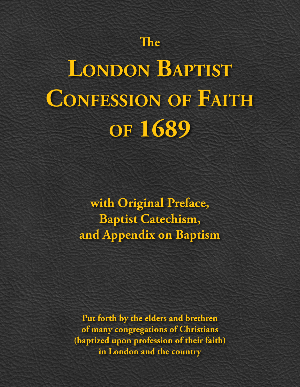# **The**

# **London Baptist Confession of Faith of 1689**

**with Original Preface, Baptist Catechism, and Appendix on Baptism**

**Put forth by the elders and brethren of many congregations of Christians (baptized upon profession of their faith) in London and the country**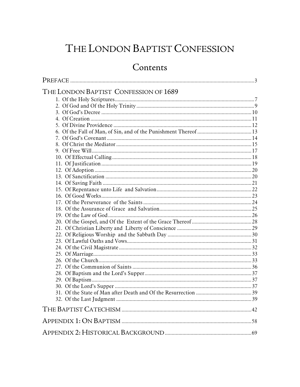## THE LONDON BAPTIST CONFESSION

## Contents

| THE LONDON BAPTIST CONFESSION OF 1689 |  |
|---------------------------------------|--|
|                                       |  |
|                                       |  |
|                                       |  |
|                                       |  |
|                                       |  |
|                                       |  |
|                                       |  |
|                                       |  |
|                                       |  |
|                                       |  |
|                                       |  |
|                                       |  |
|                                       |  |
|                                       |  |
|                                       |  |
|                                       |  |
|                                       |  |
|                                       |  |
|                                       |  |
|                                       |  |
|                                       |  |
|                                       |  |
|                                       |  |
|                                       |  |
|                                       |  |
|                                       |  |
|                                       |  |
|                                       |  |
|                                       |  |
|                                       |  |
|                                       |  |
|                                       |  |
|                                       |  |
|                                       |  |
|                                       |  |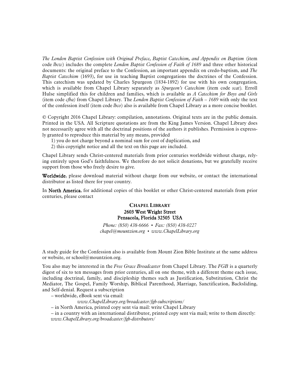*The London Baptist Confession with Original Preface, Baptist Catechism, and Appendix on Baptism* (item code *lbcw*) includes the complete *London Baptist Confession of Faith of 1689* and three other historical documents: the original preface to the Confession, an important appendix on credo-baptism, and *The Baptist Catechism* (1693), for use in teaching Baptist congregations the doctrines of the Confession. This catechism was updated by Charles Spurgeon (1834-1892) for use with his own congregation, which is available from Chapel Library separately as *Spurgeon's Catechism* (item code *scat*)*.* Erroll Hulse simplified this for children and families, which is available as *A Catechism for Boys and Girls* (item code *cfba)* from Chapel Library. The *London Baptist Confession of Faith – 1689* with only the text of the confession itself (item code *lbco*) also is available from Chapel Library as a more concise booklet.

© Copyright 2016 Chapel Library: compilation, annotations. Original texts are in the public domain. Printed in the USA. All Scripture quotations are from the King James Version. Chapel Library does not necessarily agree with all the doctrinal positions of the authors it publishes. Permission is expressly granted to reproduce this material by any means, provided

1) you do not charge beyond a nominal sum for cost of duplication, and

2) this copyright notice and all the text on this page are included.

Chapel Library sends Christ-centered materials from prior centuries worldwide without charge, relying entirely upon God's faithfulness. We therefore do not solicit donations, but we gratefully receive support from those who freely desire to give.

Worldwide, please download material without charge from our website, or contact the international distributor as listed there for your country.

In North America, for additional copies of this booklet or other Christ-centered materials from prior centuries, please contact

#### CHAPEL LIBRARY 2603 West Wright Street Pensacola, Florida 32505 USA

*Phone: (850) 438-6666* • *Fax: (850) 438-0227 chapel@mountzion.org* • *www.ChapelLibrary.org*

A study guide for the Confession also is available from Mount Zion Bible Institute at the same address or website, or school@mountzion.org.

You also may be interested in the *Free Grace Broadcaster* from Chapel Library. The *FGB* is a quarterly digest of six to ten messages from prior centuries, all on one theme, with a different theme each issue, including doctrinal, family, and discipleship themes such as Justification, Substitution, Christ the Mediator, The Gospel, Family Worship, Biblical Parenthood, Marriage, Sanctification, Backsliding, and Self-denial. Request a subscription

– worldwide, eBook sent via email:

*www.ChapelLibrary.org/broadcaster/fgb-subscriptions/*

– in North America, printed copy sent via mail: write Chapel Library

 – in a country with an international distributor, printed copy sent via mail; write to them directly: *www.ChapelLibrary.org/broadcaster/fgb-distributors/*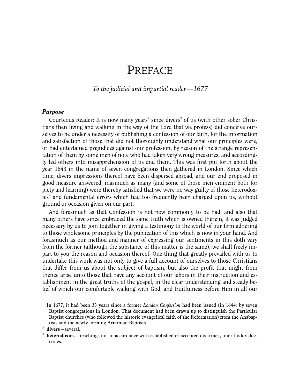## PREFACE

<span id="page-3-0"></span>*To the judicial and impartial reader—1677* 

#### *Purpose*

Courteous Reader: It is now many years<sup>[1](#page-3-1)</sup> since divers<sup>[2](#page-3-2)</sup> of us (with other sober Christians then living and walking in the way of the Lord that we profess) did conceive ourselves to be under a necessity of publishing a confession of our faith, for the information and satisfaction of those that did not thoroughly understand what our principles were, or had entertained prejudices against our profession, by reason of the strange representation of them by some men of note who had taken very wrong measures, and accordingly led others into misapprehension of us and them. This was first put forth about the year 1643 in the name of seven congregations then gathered in London. Since which time, divers impressions thereof have been dispersed abroad, and our end proposed in good measure answered, inasmuch as many (and some of those men eminent both for piety and learning) were thereby satisfied that we were no way guilty of those heterodox-ies<sup>[3](#page-3-3)</sup> and fundamental errors which had too frequently been charged upon us, without ground or occasion given on our part.

And forasmuch as that Confession is not now commonly to be had, and also that many others have since embraced the same truth which is owned therein, it was judged necessary by us to join together in giving a testimony to the world of our firm adhering to those wholesome principles by the publication of this which is now in your hand. And forasmuch as our method and manner of expressing our sentiments in this doth vary from the former (although the substance of this matter is the same), we shall freely impart to you the reason and occasion thereof. One thing that greatly prevailed with us to undertake this work was not only to give a full account of ourselves to those Christians that differ from us about the subject of baptism, but also the profit that might from thence arise unto those that have any account of our labors in their instruction and establishment in the great truths of the gospel, in the clear understanding and steady belief of which our comfortable walking with God, and fruitfulness before Him in all our

-

<span id="page-3-1"></span><sup>1</sup> In 1677, it had been 33 years since a former *London Confession* had been issued (in 1644) by seven Baptist congregations in London. That document had been drawn up to distinguish the Particular Baptist churches (who followed the historic evangelical faith of the Reformation) from the Anabaptists and the newly forming Arminian Baptists.

<span id="page-3-2"></span><sup>2</sup> **divers** – several.

<span id="page-3-3"></span><sup>&</sup>lt;sup>3</sup> heterodoxies – teachings not in accordance with established or accepted doctrines; unorthodox doctrines.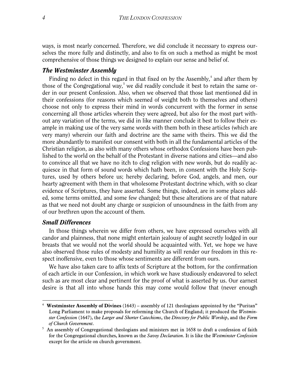ways, is most nearly concerned. Therefore, we did conclude it necessary to express ourselves the more fully and distinctly, and also to fix on such a method as might be most comprehensive of those things we designed to explain our sense and belief of.

#### *The Westminster Assembly*

Finding no defect in this regard in that fixed on by the Assembly, $<sup>4</sup>$  $<sup>4</sup>$  $<sup>4</sup>$  and after them by</sup> those of the Congregational way,<sup>[5](#page-4-1)</sup> we did readily conclude it best to retain the same order in our present Confession. Also, when we observed that those last mentioned did in their confessions (for reasons which seemed of weight both to themselves and others) choose not only to express their mind in words concurrent with the former in sense concerning all those articles wherein they were agreed, but also for the most part without any variation of the terms, we did in like manner conclude it best to follow their example in making use of the very same words with them both in these articles (which are very many) wherein our faith and doctrine are the same with theirs. This we did the more abundantly to manifest our consent with both in all the fundamental articles of the Christian religion, as also with many others whose orthodox Confessions have been published to the world on the behalf of the Protestant in diverse nations and cities—and also to convince all that we have no itch to clog religion with new words, but do readily acquiesce in that form of sound words which hath been, in consent with the Holy Scriptures, used by others before us; hereby declaring, before God, angels, and men, our hearty agreement with them in that wholesome Protestant doctrine which, with so clear evidence of Scriptures, they have asserted. Some things, indeed, are in some places added, some terms omitted, and some few changed; but these alterations are of that nature as that we need not doubt any charge or suspicion of unsoundness in the faith from any of our brethren upon the account of them.

#### *Small Differences*

l

In those things wherein we differ from others, we have expressed ourselves with all candor and plainness, that none might entertain jealousy of aught secretly lodged in our breasts that we would not the world should be acquainted with. Yet, we hope we have also observed those rules of modesty and humility as will render our freedom in this respect inoffensive, even to those whose sentiments are different from ours.

We have also taken care to affix texts of Scripture at the bottom, for the confirmation of each article in our Confession, in which work we have studiously endeavored to select such as are most clear and pertinent for the proof of what is asserted by us. Our earnest desire is that all into whose hands this may come would follow that (never enough

<span id="page-4-0"></span><sup>4</sup> **Westminster Assembly of Divines** (1643) – assembly of 121 theologians appointed by the "Puritan" Long Parliament to make proposals for reforming the Church of England; it produced the *Westminster Confession* (1647), the *Larger and Shorter Catechisms*, the *Directory for Public Worship*, and the *Form of Church Government*. 5 An assembly of Congregational theologians and ministers met in 1658 to draft a confession of faith

<span id="page-4-1"></span>for the Congregational churches, known as the *Savoy Declaration*. It is like the *Westminster Confession* except for the article on church government.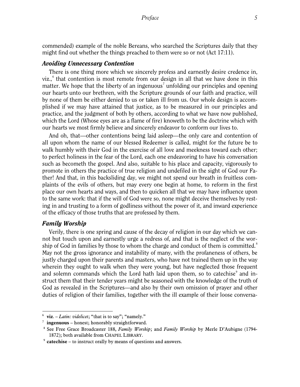commended) example of the noble Bereans, who searched the Scriptures daily that they might find out whether the things preached to them were so or not (Act 17:11).

#### *Avoiding Unnecessary Contention*

There is one thing more which we sincerely profess and earnestly desire credence in,  $viz.,<sup>6</sup>$  $viz.,<sup>6</sup>$  $viz.,<sup>6</sup>$  that contention is most remote from our design in all that we have done in this matter. We hope that the liberty of an ingenuous<sup>[7](#page-5-1)</sup> unfolding our principles and opening our hearts unto our brethren, with the Scripture grounds of our faith and practice, will by none of them be either denied to us or taken ill from us. Our whole design is accomplished if we may have attained that justice, as to be measured in our principles and practice, and the judgment of both by others, according to what we have now published, which the Lord (Whose eyes are as a flame of fire) knoweth to be the doctrine which with our hearts we most firmly believe and sincerely endeavor to conform our lives to.

And oh, that—other contentions being laid asleep—the only care and contention of all upon whom the name of our blessed Redeemer is called, might for the future be to walk humbly with their God in the exercise of all love and meekness toward each other; to perfect holiness in the fear of the Lord, each one endeavoring to have his conversation such as becometh the gospel. And also, suitable to his place and capacity, vigorously to promote in others the practice of true religion and undefiled in the sight of God our Father! And that, in this backsliding day, we might not spend our breath in fruitless complaints of the evils of others, but may every one begin at home, to reform in the first place our own hearts and ways, and then to quicken all that we may have influence upon to the same work: that if the will of God were so, none might deceive themselves by resting in and trusting to a form of godliness without the power of it, and inward experience of the efficacy of those truths that are professed by them.

#### *Family Worship*

-

Verily, there is one spring and cause of the decay of religion in our day which we cannot but touch upon and earnestly urge a redress of, and that is the neglect of the worship of God in families by those to whom the charge and conduct of them is committed. $\delta$ May not the gross ignorance and instability of many, with the profaneness of others, be justly charged upon their parents and masters, who have not trained them up in the way wherein they ought to walk when they were young, but have neglected those frequent and solemn commands which the Lord hath laid upon them, so to catechise and instruct them that their tender years might be seasoned with the knowledge of the truth of God as revealed in the Scriptures—and also by their own omission of prayer and other duties of religion of their families, together with the ill example of their loose conversa-

<span id="page-5-0"></span><sup>6</sup> **viz**. – *Latin: videlicet*; "that is to say"; "namely."

<span id="page-5-2"></span><span id="page-5-1"></span><sup>7</sup> **ingenuous** – honest; honorably straightforward.

<sup>8</sup> See Free Grace Broadcaster 188, *Family Worship*; and *Family Worship* by Merle D'Aubigne (1794- 1872); both available from CHAPEL LIBRARY. 9 **catechise** – to instruct orally by means of questions and answers.

<span id="page-5-3"></span>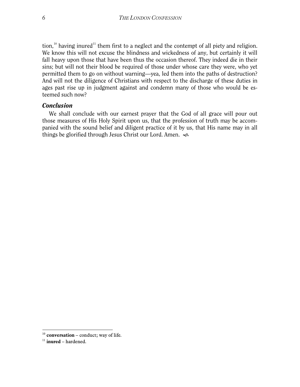tion,<sup>[10](#page-6-0)</sup> having inured<sup>[11](#page-6-1)</sup> them first to a neglect and the contempt of all piety and religion. We know this will not excuse the blindness and wickedness of any, but certainly it will fall heavy upon those that have been thus the occasion thereof. They indeed die in their sins; but will not their blood be required of those under whose care they were, who yet permitted them to go on without warning—yea, led them into the paths of destruction? And will not the diligence of Christians with respect to the discharge of these duties in ages past rise up in judgment against and condemn many of those who would be esteemed such now?

#### *Conclusion*

We shall conclude with our earnest prayer that the God of all grace will pour out those measures of His Holy Spirit upon us, that the profession of truth may be accompanied with the sound belief and diligent practice of it by us, that His name may in all things be glorified through Jesus Christ our Lord. Amen.

l

<span id="page-6-0"></span><sup>&</sup>lt;sup>10</sup> **conversation** – conduct; way of life.

<span id="page-6-1"></span><sup>11</sup> **inured** – hardened.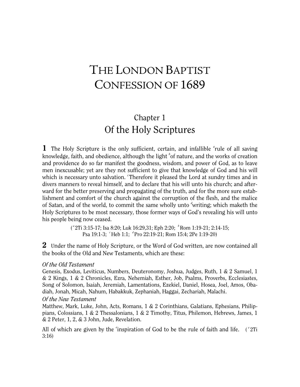# <span id="page-7-0"></span>THE LONDON BAPTIST CONFESSION OF 1689

## Chapter 1 Of the Holy Scriptures

<span id="page-7-1"></span>1 The Holy Scripture is the only sufficient, certain, and infallible <sup>a</sup>rule of all saving knowledge, faith, and obedience, although the light <sup>b</sup>of nature, and the works of creation and providence do so far manifest the goodness, wisdom, and power of God, as to leave men inexcusable; yet are they not sufficient to give that knowledge of God and his will which is necessary unto salvation. <sup>c</sup>Therefore it pleased the Lord at sundry times and in divers manners to reveal himself, and to declare that his will unto his church; and afterward for the better preserving and propagating of the truth, and for the more sure establishment and comfort of the church against the corruption of the flesh, and the malice of Satan, and of the world, to commit the same wholly unto *<sup>d</sup>* writing; which maketh the Holy Scriptures to be most necessary, those former ways of God's revealing his will unto his people being now ceased.

> ("2Ti 3:15-17; Isa 8:20; Luk 16:29,31; Eph 2:20; <sup>*b*</sup>Rom 1:19-21; 2:14-15; Psa 19:1-3; *<sup>c</sup>*Heb 1:1; *<sup>d</sup>*Pro 22:19-21; Rom 15:4; 2Pe 1:19-20)

2 Under the name of Holy Scripture, or the Word of God written, are now contained all the books of the Old and New Testaments, which are these:

#### *Of the Old Testament*

Genesis, Exodus, Leviticus, Numbers, Deuteronomy, Joshua, Judges, Ruth, 1 & 2 Samuel, 1 & 2 Kings, 1 & 2 Chronicles, Ezra, Nehemiah, Esther, Job, Psalms, Proverbs, Ecclesiastes, Song of Solomon, Isaiah, Jeremiah, Lamentations, Ezekiel, Daniel, Hosea, Joel, Amos, Obadiah, Jonah, Micah, Nahum, Habakkuk, Zephaniah, Haggai, Zechariah, Malachi.

#### *Of the New Testament*

Matthew, Mark, Luke, John, Acts, Romans, 1 & 2 Corinthians, Galatians, Ephesians, Philippians, Colossians, 1 & 2 Thessalonians, 1 & 2 Timothy, Titus, Philemon, Hebrews, James, 1 & 2 Peter, 1, 2, & 3 John, Jude, Revelation.

All of which are given by the <sup>*e*</sup> inspiration of God to be the rule of faith and life. (<sup>*e*</sup> 2Ti 3:16)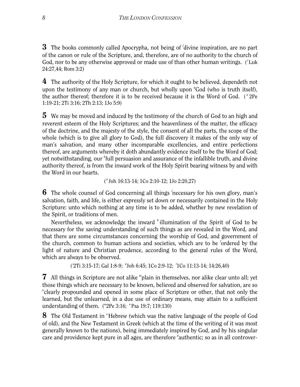3 The books commonly called Apocrypha, not being of *<sup>f</sup>* divine inspiration, are no part of the canon or rule of the Scripture, and, therefore, are of no authority to the church of God, nor to be any otherwise approved or made use of than other human writings. ( *<sup>f</sup>*Luk 24:27,44; Rom 3:2)

4 The authority of the Holy Scripture, for which it ought to be believed, dependeth not upon the testimony of any man or church, but wholly upon <sup>*g*</sup>God (who is truth itself), the author thereof; therefore it is to be received because it is the Word of God. ( *<sup>g</sup>*2Pe 1:19-21; 2Ti 3:16; 2Th 2:13; 1Jo 5:9)

**5** We may be moved and induced by the testimony of the church of God to an high and reverent esteem of the Holy Scriptures; and the heavenliness of the matter, the efficacy of the doctrine, and the majesty of the style, the consent of all the parts, the scope of the whole (which is to give all glory to God), the full discovery it makes of the only way of man's salvation, and many other incomparable excellencies, and entire perfections thereof, are arguments whereby it doth abundantly evidence itself to be the Word of God; yet notwithstanding, our *<sup>h</sup>* full persuasion and assurance of the infallible truth, and divine authority thereof, is from the inward work of the Holy Spirit bearing witness by and with the Word in our hearts.

( *<sup>h</sup>*Joh 16:13-14; 1Co 2:10-12; 1Jo 2:20,27)

**6** The whole counsel of God concerning all things *i* necessary for his own glory, man's salvation, faith, and life, is either expressly set down or necessarily contained in the Holy Scripture: unto which nothing at any time is to be added, whether by new revelation of the Spirit, or traditions of men.

Nevertheless, we acknowledge the inward *<sup>k</sup>* illumination of the Spirit of God to be necessary for the saving understanding of such things as are revealed in the Word, and that there are some circumstances concerning the worship of God, and government of the church, common to human actions and societies, which are to be <sup>*l*</sup>ordered by the light of nature and Christian prudence, according to the general rules of the Word, which are always to be observed.

( *i* 2Ti 3:15-17; Gal 1:8-9; *<sup>k</sup>* Joh 6:45; 1Co 2:9-12; *<sup>l</sup>* 1Co 11:13-14; 14:26,40)

7 All things in Scripture are not alike "plain in themselves, nor alike clear unto all; yet those things which are necessary to be known, believed and observed for salvation, are so *n* clearly propounded and opened in some place of Scripture or other, that not only the learned, but the unlearned, in a due use of ordinary means, may attain to a sufficient understanding of them. ( *m* 2Pe 3:16; *<sup>n</sup>*Psa 19:7; 119:130)

8 The Old Testament in <sup>o</sup>Hebrew (which was the native language of the people of God of old), and the New Testament in Greek (which at the time of the writing of it was most generally known to the nations), being immediately inspired by God, and by his singular care and providence kept pure in all ages, are therefore <sup>*p*</sup>authentic; so as in all controver-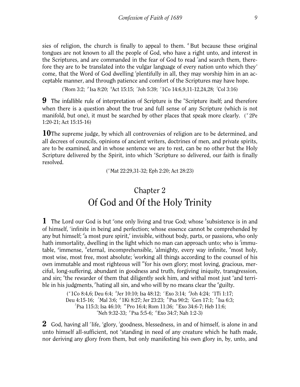sies of religion, the church is finally to appeal to them. <sup>*q*</sup> But because these original tongues are not known to all the people of God, who have a right unto, and interest in the Scriptures, and are commanded in the fear of God to read 'and search them, therefore they are to be translated into the vulgar language of every nation unto which they *<sup>s</sup>* come, that the Word of God dwelling 'plentifully in all, they may worship him in an acceptable manner, and through patience and comfort of the Scriptures may have hope.

("Rom 3:2; <sup>*p*</sup> Isa 8:20; "Act 15:15; 'Joh 5:39; <sup>*s*</sup> 1Co 14:6,9,11-12,24,28; 'Col 3:16)

**9** The infallible rule of interpretation of Scripture is the "Scripture itself; and therefore when there is a question about the true and full sense of any Scripture (which is not manifold, but one), it must be searched by other places that speak more clearly. ("2Pe 1:20-21; Act 15:15-16)

**10**The supreme judge, by which all controversies of religion are to be determined, and all decrees of councils, opinions of ancient writers, doctrines of men, and private spirits, are to be examined, and in whose sentence we are to rest, can be no other but the Holy Scripture delivered by the Spirit, into which "Scripture so delivered, our faith is finally resolved.

( *<sup>x</sup>*Mat 22:29,31-32; Eph 2:20; Act 28:23)

#### Chapter 2 Of God and Of the Holy Trinity

<span id="page-9-0"></span>1 The Lord our God is but <sup>*a*</sup> one only living and true God; whose *b*<sup>*s*</sup> subsistence is in and of himself, *<sup>c</sup>* infinite in being and perfection; whose essence cannot be comprehended by any but himself; *<sup>d</sup>* a most pure spirit,*<sup>e</sup>* invisible, without body, parts, or passions, who only hath immortality, dwelling in the light which no man can approach unto; who is *<sup>f</sup>* immutable, <sup>*s*</sup>immense, <sup>*h*</sup>eternal, incomprehensible, 'almighty, every way infinite, <sup>*k*</sup>most holy, most wise, most free, most absolute; *<sup>l</sup>* working all things according to the counsel of his own immutable and most righteous will *<sup>m</sup>* for his own glory; most loving, gracious, merciful, long-suffering, abundant in goodness and truth, forgiving iniquity, transgression, and sin; "the rewarder of them that diligently seek him, and withal most just <sup>o</sup>and terrible in his judgments, <sup>*r*</sup>hating all sin, and who will by no means clear the <sup>*q*</sup> guilty.

> ( *<sup>a</sup>*1Co 8:4,6; Deu 6:4; *<sup>b</sup>* Jer 10:10; Isa 48:12; *<sup>c</sup>*Exo 3:14; *<sup>d</sup>* Joh 4:24; *<sup>e</sup>* 1Ti 1:17; Deu 4:15-16; *<sup>f</sup>*Mal 3:6; *<sup>g</sup>*1Ki 8:27; Jer 23:23; *<sup>h</sup>*Psa 90:2; *<sup>i</sup>* Gen 17:1; *<sup>k</sup>*Isa 6:3; *<sup>l</sup>*Psa 115:3; Isa 46:10; *<sup>m</sup>*Pro 16:4; Rom 11:36; *<sup>n</sup>*Exo 34:6-7; Heb 11:6; *o* Neh 9:32-33; *<sup>p</sup>*Psa 5:5-6; *<sup>q</sup>*Exo 34:7; Nah 1:2-3)

2 God, having all 'life, 'glory, 'goodness, blessedness, in and of himself, is alone in and unto himself all-sufficient, not "standing in need of any creature which he hath made, nor deriving any glory from them, but only manifesting his own glory in, by, unto, and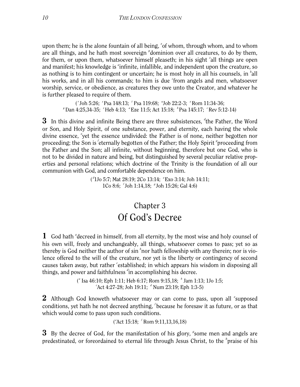upon them; he is the alone fountain of all being,  $x$ <sup>\*</sup> of whom, through whom, and to whom are all things, and he hath most sovereign *<sup>y</sup>* dominion over all creatures, to do by them, for them, or upon them, whatsoever himself pleaseth; in his sight <sup>z</sup>all things are open and manifest; his knowledge is "infinite, infallible, and independent upon the creature, so as nothing is to him contingent or uncertain; he is most holy in all his counsels, in <sup>b</sup>all his works, and in all his commands; to him is due 'from angels and men, whatsoever worship, service, or obedience, as creatures they owe unto the Creator, and whatever he is further pleased to require of them.

( *<sup>r</sup>*Joh 5:26; *<sup>s</sup>*Psa 148:13; *<sup>t</sup>* Psa 119:68; *<sup>u</sup>* Job 22:2-3; *<sup>x</sup>*Rom 11:34-36; *y* Dan 4:25,34-35; *'Heb 4:13; "Eze 11:5; Act 15:18; 'Psa 145:17; 'Rev 5:12-14)* 

3 In this divine and infinite Being there are three subsistences, <sup>d</sup>the Father, the Word or Son, and Holy Spirit, of one substance, power, and eternity, each having the whole divine essence, 'yet the essence undivided: the Father is of none, neither begotten nor proceeding; the Son is 'eternally begotten of the Father; the Holy Spirit <sup>*s*</sup>proceeding from the Father and the Son; all infinite, without beginning, therefore but one God, who is not to be divided in nature and being, but distinguished by several peculiar relative properties and personal relations; which doctrine of the Trinity is the foundation of all our communion with God, and comfortable dependence on him.

> ( *d* 1Jo 5:7; Mat 28:19; 2Co 13:14; *<sup>e</sup>* Exo 3:14; Joh 14:11; 1Co 8:6; *<sup>f</sup>* Joh 1:14,18; *<sup>g</sup>* Joh 15:26; Gal 4:6)

#### Chapter 3 Of God's Decree

<span id="page-10-0"></span>1 God hath <sup>*a*</sup> decreed in himself, from all eternity, by the most wise and holy counsel of his own will, freely and unchangeably, all things, whatsoever comes to pass; yet so as thereby is God neither the author of sin <sup>b</sup>nor hath fellowship with any therein; nor is violence offered to the will of the creature, nor yet is the liberty or contingency of second causes taken away, but rather 'established; in which appears his wisdom in disposing all things, and power and faithfulness *<sup>d</sup>* in accomplishing his decree.

> ( *a* Isa 46:10; Eph 1:11; Heb 6:17; Rom 9:15,18; *<sup>b</sup>* Jam 1:13; 1Jo 1:5; *c* Act 4:27-28; Joh 19:11; *<sup>d</sup>* Num 23:19; Eph 1:3-5)

 $2$  Although God knoweth whatsoever may or can come to pass, upon all <sup>e</sup>supposed conditions, yet hath he not decreed anything, *<sup>f</sup>* because he foresaw it as future, or as that which would come to pass upon such conditions.

( *e* Act 15:18; *<sup>f</sup>* Rom 9:11,13,16,18)

**3** By the decree of God, for the manifestation of his glory, <sup>*s*</sup> some men and angels are predestinated, or foreordained to eternal life through Jesus Christ, to the *<sup>h</sup>* praise of his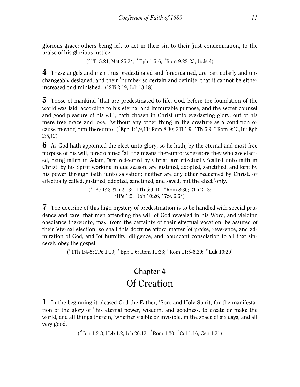glorious grace; others being left to act in their sin to their *<sup>i</sup>* just condemnation, to the praise of his glorious justice.

( *g* 1Ti 5:21; Mat 25:34; *<sup>h</sup>* Eph 1:5-6; *<sup>i</sup>* Rom 9:22-23; Jude 4)

4 These angels and men thus predestinated and foreordained, are particularly and unchangeably designed, and their *<sup>k</sup>* number so certain and definite, that it cannot be either increased or diminished. ( *k* 2Ti 2:19; Joh 13:18)

5 Those of mankind <sup>*l*</sup> that are predestinated to life, God, before the foundation of the world was laid, according to his eternal and immutable purpose, and the secret counsel and good pleasure of his will, hath chosen in Christ unto everlasting glory, out of his mere free grace and love, *<sup>m</sup>* without any other thing in the creature as a condition or cause moving him thereunto. ( *<sup>l</sup>*Eph 1:4,9,11; Rom 8:30; 2Ti 1:9; 1Th 5:9; *<sup>m</sup>* Rom 9:13,16; Eph 2:5,12)

**6** As God hath appointed the elect unto glory, so he hath, by the eternal and most free purpose of his will, foreordained "all the means thereunto; wherefore they who are elected, being fallen in Adam, <sup>o</sup>are redeemed by Christ, are effectually <sup>*p*</sup>called unto faith in Christ, by his Spirit working in due season, are justified, adopted, sanctified, and kept by his power through faith <sup>*q*</sup>unto salvation; neither are any other redeemed by Christ, or effectually called, justified, adopted, sanctified, and saved, but the elect 'only.

> ( *n* 1Pe 1:2; 2Th 2:13; *<sup>o</sup>* 1Th 5:9-10; *<sup>p</sup>* Rom 8:30; 2Th 2:13; *q* 1Pe 1:5; *<sup>r</sup>* Joh 10:26, 17:9, 6:64)

7 The doctrine of this high mystery of predestination is to be handled with special prudence and care, that men attending the will of God revealed in his Word, and yielding obedience thereunto, may, from the certainty of their effectual vocation, be assured of their <sup>s</sup>eternal election; so shall this doctrine afford matter <sup>t</sup>of praise, reverence, and admiration of God, and "of humility, diligence, and "abundant consolation to all that sincerely obey the gospel.

( *s* 1Th 1:4-5; 2Pe 1:10; *<sup>t</sup>* Eph 1:6; Rom 11:33; *<sup>u</sup>* Rom 11:5-6,20; *<sup>x</sup>* Luk 10:20)

#### Chapter 4 Of Creation

<span id="page-11-0"></span>1 In the beginning it pleased God the Father, 'Son, and Holy Spirit, for the manifestation of the glory of *<sup>b</sup>* his eternal power, wisdom, and goodness, to create or make the world, and all things therein, 'whether visible or invisible, in the space of six days, and all very good.

( *a* Joh 1:2-3; Heb 1:2; Job 26:13; *<sup>b</sup>* Rom 1:20; *<sup>c</sup>* Col 1:16; Gen 1:31)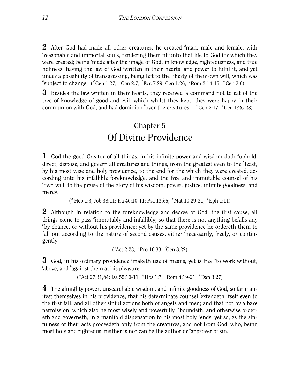2 After God had made all other creatures, he created *<sup>d</sup>* man, male and female, with *e* reasonable and immortal souls, rendering them fit unto that life to God for which they were created; being *<sup>f</sup>* made after the image of God, in knowledge, righteousness, and true holiness; having the law of God <sup>g</sup>written in their hearts, and power to fulfil it, and yet under a possibility of transgressing, being left to the liberty of their own will, which was *h*'subject to change. (*d* Gen 1:27; *f* Gen 2:7; *f* Ecc 7:29; Gen 1:26; *g* Rom 2:14-15; *h*<sup>2</sup> Gen 3:6)

3 Besides the law written in their hearts, they received *<sup>i</sup>* a command not to eat of the tree of knowledge of good and evil, which whilst they kept, they were happy in their communion with God, and had dominion <sup>k</sup>over the creatures. (<sup>*i*</sup> Gen 2:17; <sup>k</sup>Gen 1:26-28)

#### Chapter 5 Of Divine Providence

<span id="page-12-0"></span>1 God the good Creator of all things, in his infinite power and wisdom doth <sup>*a*</sup>uphold, direct, dispose, and govern all creatures and things, from the greatest even to the <sup>b</sup>least, by his most wise and holy providence, to the end for the which they were created, according unto his infallible foreknowledge, and the free and immutable counsel of his *c* own will; to the praise of the glory of his wisdom, power, justice, infinite goodness, and mercy.

( *<sup>a</sup>* Heb 1:3; Job 38:11; Isa 46:10-11; Psa 135:6; *<sup>b</sup>* Mat 10:29-31; *<sup>c</sup>* Eph 1:11)

2 Although in relation to the foreknowledge and decree of God, the first cause, all things come to pass <sup>d</sup>immutably and infallibly; so that there is not anything befalls any <sup>e</sup> by chance, or without his providence; yet by the same providence he ordereth them to fall out according to the nature of second causes, either 'necessarily, freely, or contingently.

```
(
d
Act 2:23; e
Pro 16:33; f
Gen 8:22)
```
**3** God, in his ordinary providence <sup>*s*</sup> maketh use of means, yet is free <sup>*h*</sup>to work without, <sup>*i*</sup> above, and <sup>*k*</sup> against them at his pleasure.

```
(
gAct 27:31,44; Isa 55:10-11; h
Hos 1:7; i
Rom 4:19-21; k
Dan 3:27)
```
4 The almighty power, unsearchable wisdom, and infinite goodness of God, so far manifest themselves in his providence, that his determinate counsel *<sup>l</sup>* extendeth itself even to the first fall, and all other sinful actions both of angels and men; and that not by a bare permission, which also he most wisely and powerfully *<sup>m</sup>* boundeth, and otherwise ordereth and governeth, in a manifold dispensation to his most holy "ends; yet so, as the sinfulness of their acts proceedeth only from the creatures, and not from God, who, being most holy and righteous, neither is nor can be the author or <sup>*o*</sup> approver of sin.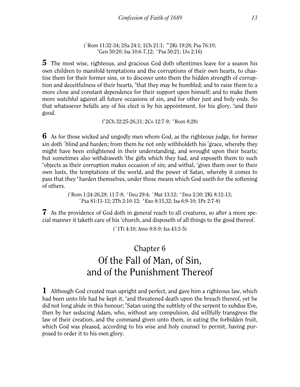( *l* Rom 11:32-34; 2Sa 24:1; 1Ch 21:1; *<sup>m</sup>* 2Ki 19:28; Psa 76:10; <sup>n</sup>Gen 50:20; Isa 10:6-7,12; <sup>*o*</sup>Psa 50:21; 1Jo 2:16)</sup>

5 The most wise, righteous, and gracious God doth oftentimes leave for a season his own children to manifold temptations and the corruptions of their own hearts, to chastise them for their former sins, or to discover unto them the hidden strength of corruption and deceitfulness of their hearts, <sup>*p*</sup>that they may be humbled; and to raise them to a more close and constant dependence for their support upon himself; and to make them more watchful against all future occasions of sin, and for other just and holy ends. So that whatsoever befalls any of his elect is by his appointment, for his glory, <sup>*q*</sup> and their good.

 $(^{p}$  2Ch 32:25-26,31; 2Co 12:7-9; <sup>*q*</sup> Rom 8:28)

6 As for those wicked and ungodly men whom God, as the righteous judge, for former sin doth *'blind and harden*; from them he not only withholdeth his <sup>*s*</sup> grace, whereby they might have been enlightened in their understanding, and wrought upon their hearts; but sometimes also withdraweth 'the gifts which they had, and exposeth them to such "objects as their corruption makes occasion of sin; and withal, "gives them over to their own lusts, the temptations of the world, and the power of Satan, whereby it comes to pass that they *<sup>y</sup>* harden themselves, under those means which God useth for the softening of others.

> ( *r* Rom 1:24-26,28; 11:7-8; *<sup>s</sup>* Deu 29:4; *<sup>t</sup>* Mat 13:12; *<sup>u</sup>* Deu 2:30; 2Ki 8:12-13; *x* Psa 81:11-12; 2Th 2:10-12; *<sup>y</sup>* Exo 8:15,32; Isa 6:9-10; 1Pe 2:7-8)

**7** As the providence of God doth in general reach to all creatures, so after a more special manner it taketh care of his <sup>*z*</sup> church, and disposeth of all things to the good thereof.

( *<sup>z</sup>*1Ti 4:10; Amo 9:8-9; Isa 43:3-5)

## Chapter 6 Of the Fall of Man, of Sin, and of the Punishment Thereof

<span id="page-13-0"></span>1 Although God created man upright and perfect, and gave him a righteous law, which had been unto life had he kept it, "and threatened death upon the breach thereof, yet he did not long abide in this honour; <sup>*b*</sup>Satan using the subtlety of the serpent to subdue Eve, then by her seducing Adam, who, without any compulsion, did willfully transgress the law of their creation, and the command given unto them, in eating the forbidden fruit, which God was pleased, according to his wise and holy counsel to permit, having purposed to order it to his own glory.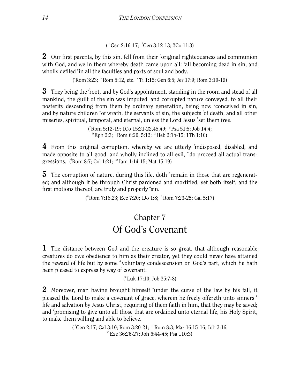( *a* Gen 2:16-17; *<sup>b</sup>* Gen 3:12-13; 2Co 11:3)

 $2$  Our first parents, by this sin, fell from their 'original righteousness and communion with God, and we in them whereby death came upon all: dall becoming dead in sin, and wholly defiled <sup>e</sup>in all the faculties and parts of soul and body.

( *c* Rom 3:23; *<sup>d</sup>* Rom 5:12, etc. *<sup>e</sup>* Ti 1:15; Gen 6:5; Jer 17:9; Rom 3:10-19)

**3** They being the *f* root, and by God's appointment, standing in the room and stead of all mankind, the guilt of the sin was imputed, and corrupted nature conveyed, to all their posterity descending from them by ordinary generation, being now <sup>*s*</sup>conceived in sin, and by nature children <sup>h</sup>of wrath, the servants of sin, the subjects <sup>*i*</sup> of death, and all other miseries, spiritual, temporal, and eternal, unless the Lord Jesus <sup>k</sup>set them free.

> ( *f* Rom 5:12-19; 1Co 15:21-22,45,49; *<sup>g</sup>* Psa 51:5; Job 14:4; *h* Eph 2:3; *<sup>i</sup>* Rom 6:20, 5:12; *<sup>k</sup>* Heb 2:14-15; 1Th 1:10)

4 From this original corruption, whereby we are utterly *<sup>l</sup>* indisposed, disabled, and made opposite to all good, and wholly inclined to all evil, *<sup>m</sup>* do proceed all actual transgressions. ( *l* Rom 8:7; Col 1:21; *<sup>m</sup>* Jam 1:14-15; Mat 15:19)

**5** The corruption of nature, during this life, doth "remain in those that are regenerated; and although it be through Christ pardoned and mortified, yet both itself, and the first motions thereof, are truly and properly <sup>o</sup>sin.

("Rom 7:18,23; Ecc 7:20; 1Jo 1:8; "Rom 7:23-25; Gal 5:17)

#### Chapter 7 Of God's Covenant

<span id="page-14-0"></span>1 The distance between God and the creature is so great, that although reasonable creatures do owe obedience to him as their creator, yet they could never have attained the reward of life but by some "voluntary condescension on God's part, which he hath been pleased to express by way of covenant.

#### ( *a* Luk 17:10; Job 35:7-8)

2 Moreover, man having brought himself *<sup>b</sup>* under the curse of the law by his fall, it pleased the Lord to make a covenant of grace, wherein he freely offereth unto sinners *<sup>c</sup>* life and salvation by Jesus Christ, requiring of them faith in him, that they may be saved; and *<sup>d</sup>* promising to give unto all those that are ordained unto eternal life, his Holy Spirit, to make them willing and able to believe.

> ( *b* Gen 2:17; Gal 3:10; Rom 3:20-21; *<sup>c</sup>* Rom 8:3; Mar 16:15-16; Joh 3:16; *d* Eze 36:26-27; Joh 6:44-45; Psa 110:3)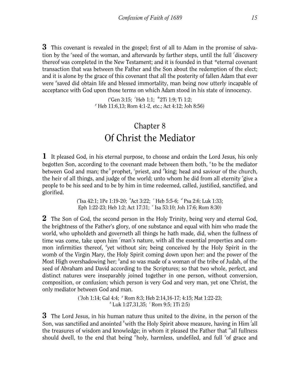**3** This covenant is revealed in the gospel; first of all to Adam in the promise of salvation by the 'seed of the woman, and afterwards by farther steps, until the full 'discovery thereof was completed in the New Testament; and it is founded in that *\**eternal covenant transaction that was between the Father and the Son about the redemption of the elect; and it is alone by the grace of this covenant that all the posterity of fallen Adam that ever were <sup>*s*</sup> saved did obtain life and blessed immortality, man being now utterly incapable of acceptance with God upon those terms on which Adam stood in his state of innocency.

> ( *e* Gen 3:15; *<sup>f</sup>*Heb 1:1; \*2Ti 1:9; Ti 1:2; *g* Heb 11:6,13; Rom 4:1-2, etc.; Act 4:12; Joh 8:56)

#### Chapter 8 Of Christ the Mediator

<span id="page-15-0"></span>1 It pleased God, in his eternal purpose, to choose and ordain the Lord Jesus, his only begotten Son, according to the covenant made between them both, <sup>a</sup> to be the mediator between God and man; the <sup>*b*</sup> prophet, <sup>c</sup> priest, and <sup>d</sup> king; head and saviour of the church, the heir of all things, and judge of the world; unto whom he did from all eternity <sup>e</sup> give a people to be his seed and to be by him in time redeemed, called, justified, sanctified, and glorified.

> ("Isa 42:1; 1Pe 1:19-20; 'Act 3:22; 'Heb 5:5-6; <sup>d</sup> Psa 2:6; Luk 1:33; Eph 1:22-23; Heb 1:2; Act 17:31; <sup>e</sup> Isa 53:10; Joh 17:6; Rom 8:30)

**2** The Son of God, the second person in the Holy Trinity, being very and eternal God, the brightness of the Father's glory, of one substance and equal with him who made the world, who upholdeth and governeth all things he hath made, did, when the fullness of time was come, take upon him 'man's nature, with all the essential properties and common infirmities thereof, <sup>*s*</sup>yet without sin; being conceived by the Holy Spirit in the womb of the Virgin Mary, the Holy Spirit coming down upon her: and the power of the Most High overshadowing her; *<sup>h</sup>* and so was made of a woman of the tribe of Judah, of the seed of Abraham and David according to the Scriptures; so that two whole, perfect, and distinct natures were inseparably joined together in one person, without conversion, composition, or confusion; which person is very God and very man, yet one *<sup>i</sup>* Christ, the only mediator between God and man.

> ('Joh 1:14; Gal 4:4;  $\degree$  Rom 8:3; Heb 2:14,16-17; 4:15; Mat 1:22-23; *h* Luk 1:27,31,35; *<sup>i</sup>* Rom 9:5; 1Ti 2:5)

**3** The Lord Jesus, in his human nature thus united to the divine, in the person of the Son, was sanctified and anointed <sup>k</sup>with the Holy Spirit above measure, having in Him 'all the treasures of wisdom and knowledge; in whom it pleased the Father that *<sup>m</sup>* all fullness should dwell, to the end that being "holy, harmless, undefiled, and full 'of grace and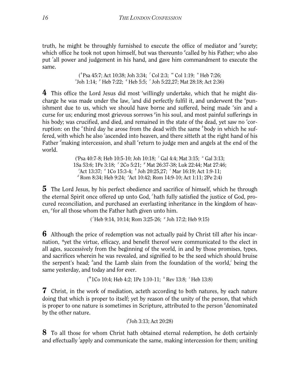truth, he might be throughly furnished to execute the office of mediator and <sup>*P*</sup> surety; which office he took not upon himself, but was thereunto <sup>*d*</sup>called by his Father; who also put *<sup>r</sup>* all power and judgement in his hand, and gave him commandment to execute the same.

> ( *k* Psa 45:7; Act 10:38; Joh 3:34; *<sup>l</sup>* Col 2:3; *<sup>m</sup>* Col 1:19; *<sup>n</sup>* Heb 7:26; <sup>*o*</sup> Joh 1:14; <sup>*p*</sup> Heb 7:22; <sup>*q*</sup> Heb 5:5; *'* Joh 5:22,27; Mat 28:18; Act 2:36)

4 This office the Lord Jesus did most 'willingly undertake, which that he might discharge he was made under the law, 'and did perfectly fulfil it, and underwent the "punishment due to us, which we should have borne and suffered, being made <sup>x</sup>sin and a curse for us; enduring most grievous sorrows "in his soul, and most painful sufferings in his body; was crucified, and died, and remained in the state of the dead, yet saw no <sup>z</sup>corruption: on the <sup>a</sup> third day he arose from the dead with the same body in which he suffered, with which he also 'ascended into heaven, and there sitteth at the right hand of his Father <sup>d</sup>making intercession, and shall <sup>e</sup>return to judge men and angels at the end of the world.

> ( *s* Psa 40:7-8; Heb 10:5-10; Joh 10:18; *<sup>t</sup>* Gal 4:4; Mat 3:15; *<sup>u</sup>* Gal 3:13; 1Sa 53:6; 1Pe 3:18; <sup>x</sup> 2Co 5:21; <sup>y</sup> Mat 26:37-38; Luk 22:44; Mat 27:46; <sup>2</sup> Act 13:37; <sup>*a*</sup> 1Co 15:3-4; <sup>*b*</sup> Joh 20:25,27; <sup>*c*</sup> Mar 16:19; Act 1:9-11; *d* Rom 8:34; Heb 9:24; *<sup>e</sup>* Act 10:42; Rom 14:9-10; Act 1:11; 2Pe 2:4)

**5** The Lord Jesus, by his perfect obedience and sacrifice of himself, which he through the eternal Spirit once offered up unto God, *<sup>f</sup>* hath fully satisfied the justice of God, procured reconciliation, and purchased an everlasting inheritance in the kingdom of heaven, <sup>*s*</sup> for all those whom the Father hath given unto him.

( *f* Heb 9:14, 10:14; Rom 3:25-26; *<sup>g</sup>* Joh 17:2; Heb 9:15)

**6** Although the price of redemption was not actually paid by Christ till after his incarnation, *\**yet the virtue, efficacy, and benefit thereof were communicated to the elect in all ages, successively from the beginning of the world, in and by those promises, types, and sacrifices wherein he was revealed, and signified to be the seed which should bruise the serpent's head; *<sup>h</sup>* and the Lamb slain from the foundation of the world,*<sup>i</sup>* being the same yesterday, and today and for ever.

(\*1Co 10:4; Heb 4:2; 1Pe 1:10-11; *<sup>h</sup>* Rev 13:8; *<sup>i</sup>* Heb 13:8)

7 Christ, in the work of mediation, acteth according to both natures, by each nature doing that which is proper to itself; yet by reason of the unity of the person, that which is proper to one nature is sometimes in Scripture, attributed to the person *<sup>k</sup>* denominated by the other nature.

```
(
k
Joh 3:13; Act 20:28)
```
8 To all those for whom Christ hath obtained eternal redemption, he doth certainly and effectually *<sup>l</sup>* apply and communicate the same, making intercession for them; uniting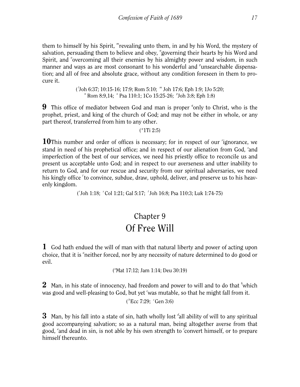them to himself by his Spirit, *<sup>m</sup>* revealing unto them, in and by his Word, the mystery of salvation, persuading them to believe and obey, "governing their hearts by his Word and Spirit, and <sup>o</sup>overcoming all their enemies by his almighty power and wisdom, in such manner and ways as are most consonant to his wonderful and <sup>*p*</sup>unsearchable dispensation; and all of free and absolute grace, without any condition foreseen in them to procure it.

> ( *l* Joh 6:37; 10:15-16; 17:9; Rom 5:10; *<sup>m</sup>* Joh 17:6; Eph 1:9; 1Jo 5:20; *<sup>n</sup>* Rom 8:9,14; *<sup>o</sup>* Psa 110:1; 1Co 15:25-26; *<sup>p</sup>* Joh 3:8; Eph 1:8)

**9** This office of mediator between God and man is proper <sup>*q*</sup> only to Christ, who is the prophet, priest, and king of the church of God; and may not be either in whole, or any part thereof, transferred from him to any other.

#### $(^{q}1Ti 2:5)$

10This number and order of offices is necessary; for in respect of our *r*ignorance, we stand in need of his prophetical office; and in respect of our alienation from God, *<sup>s</sup>* and imperfection of the best of our services, we need his priestly office to reconcile us and present us acceptable unto God; and in respect to our averseness and utter inability to return to God, and for our rescue and security from our spiritual adversaries, we need his kingly office *<sup>t</sup>* to convince, subdue, draw, uphold, deliver, and preserve us to his heavenly kingdom.

( *r* Joh 1:18; *<sup>s</sup>* Col 1:21; Gal 5:17; *<sup>t</sup>* Joh 16:8; Psa 110:3; Luk 1:74-75)

## Chapter 9 Of Free Will

<span id="page-17-0"></span>1 God hath endued the will of man with that natural liberty and power of acting upon choice, that it is <sup>a</sup>neither forced, nor by any necessity of nature determined to do good or evil.

("Mat 17:12; Jam 1:14; Deu 30:19)

 $2$  Man, in his state of innocency, had freedom and power to will and to do that  $\mathrm{^b}$ which was good and well-pleasing to God, but yet 'was mutable, so that he might fall from it.

( *<sup>b</sup>*Ecc 7:29; *<sup>c</sup>* Gen 3:6)

**3** Man, by his fall into a state of sin, hath wholly lost <sup>d</sup>all ability of will to any spiritual good accompanying salvation; so as a natural man, being altogether averse from that good, *<sup>e</sup>* and dead in sin, is not able by his own strength to *<sup>f</sup>* convert himself, or to prepare himself thereunto.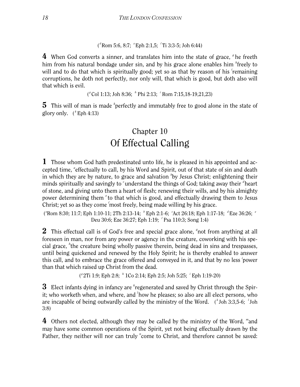( *d* Rom 5:6, 8:7; *<sup>e</sup>* Eph 2:1,5; *<sup>f</sup>* Ti 3:3-5; Joh 6:44)

4 When God converts a sinner, and translates him into the state of grace, <sup>*f*</sup> he freeth him from his natural bondage under sin, and by his grace alone enables him *<sup>h</sup>* freely to will and to do that which is spiritually good; yet so as that by reason of his *remaining* corruptions, he doth not perfectly, nor only will, that which is good, but doth also will that which is evil.

( *g* Col 1:13; Joh 8:36; *<sup>h</sup>* Phi 2:13; *<sup>i</sup>* Rom 7:15,18-19,21,23)

**5** This will of man is made <sup>k</sup> perfectly and immutably free to good alone in the state of glory only. ( *<sup>k</sup>* Eph 4:13)

## Chapter 10 Of Effectual Calling

<span id="page-18-0"></span>1 Those whom God hath predestinated unto life, he is pleased in his appointed and accepted time, "effectually to call, by his Word and Spirit, out of that state of sin and death in which they are by nature, to grace and salvation <sup>b</sup>by Jesus Christ; enlightening their minds spiritually and savingly to 'understand the things of God; taking away their <sup>d</sup>heart of stone, and giving unto them a heart of flesh; renewing their wills, and by his almighty power determining them <sup>e</sup> to that which is good, and effectually drawing them to Jesus Christ; yet so as they come *<sup>f</sup>* most freely, being made willing by his grace.

( *a* Rom 8:30; 11:7; Eph 1:10-11; 2Th 2:13-14; *<sup>b</sup>* Eph 2:1-6; *<sup>c</sup>* Act 26:18; Eph 1:17-18; *<sup>d</sup>* Eze 36:26; *<sup>e</sup>* Deu 30:6; Eze 36:27; Eph 1:19; *<sup>f</sup>* Psa 110:3; Song 1:4)

2 This effectual call is of God's free and special grace alone, <sup>*g*</sup> not from anything at all foreseen in man, nor from any power or agency in the creature, coworking with his special grace, *<sup>h</sup>* the creature being wholly passive therein, being dead in sins and trespasses, until being quickened and renewed by the Holy Spirit; he is thereby enabled to answer this call, and to embrace the grace offered and conveyed in it, and that by no less *<sup>i</sup>* power than that which raised up Christ from the dead.

( *g* 2Ti 1:9; Eph 2:8; *<sup>h</sup>* 1Co 2:14; Eph 2:5; Joh 5:25; *<sup>i</sup>* Eph 1:19-20)

 $3$  Elect infants dying in infancy are <sup>k</sup>regenerated and saved by Christ through the Spirit; who worketh when, and where, and <sup>*l*</sup> how he pleases; so also are all elect persons, who are incapable of being outwardly called by the ministry of the Word. (\*Joh 3:3,5-6; <sup>*I*</sup>Joh 3:8)

4 Others not elected, although they may be called by the ministry of the Word, *<sup>m</sup>* and may have some common operations of the Spirit, yet not being effectually drawn by the Father, they neither will nor can truly "come to Christ, and therefore cannot be saved: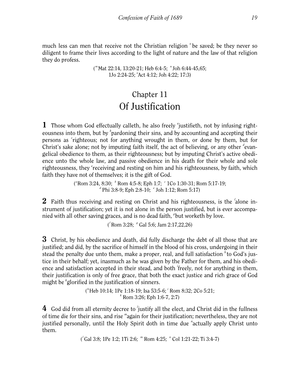much less can men that receive not the Christian religion <sup>o</sup> be saved; be they never so diligent to frame their lives according to the light of nature and the law of that religion they do profess.

> ( *m* Mat 22:14, 13:20-21; Heb 6:4-5; *<sup>n</sup>* Joh 6:44-45,65; 1Jo 2:24-25; *<sup>o</sup>* Act 4:12; Joh 4:22; 17:3)

#### Chapter 11 Of Justification

<span id="page-19-0"></span>1 Those whom God effectually calleth, he also freely <sup>*a*</sup> justifieth, not by infusing righteousness into them, but by <sup>*b*</sup> pardoning their sins, and by accounting and accepting their persons as *<sup>c</sup>* righteous; not for anything wrought in them, or done by them, but for Christ's sake alone; not by imputing faith itself, the act of believing, or any other devangelical obedience to them, as their righteousness; but by imputing Christ's active obedience unto the whole law, and passive obedience in his death for their whole and sole righteousness, they <sup>e</sup>receiving and resting on him and his righteousness, by faith, which faith they have not of themselves; it is the gift of God.

("Rom 3:24, 8:30; <sup>*b*</sup> Rom 4:5-8; Eph 1:7; <sup>*c*</sup> 1Co 1:30-31; Rom 5:17-19; *d*<sup>*d*</sup> Phi 3:8-9; Eph 2:8-10; *<sup><i>e*</sup> Joh 1:12; Rom 5:17)</sub>

2 Faith thus receiving and resting on Christ and his righteousness, is the *<sup>f</sup>* alone instrument of justification; yet it is not alone in the person justified, but is ever accompanied with all other saving graces, and is no dead faith, *<sup>g</sup>* but worketh by love.

( *f* Rom 3:28; *<sup>g</sup>* Gal 5:6; Jam 2:17,22,26)

**3** Christ, by his obedience and death, did fully discharge the debt of all those that are justified; and did, by the sacrifice of himself in the blood of his cross, undergoing in their stead the penalty due unto them, make a proper, real, and full satisfaction *<sup>h</sup>* to God's justice in their behalf; yet, inasmuch as he was given by the Father for them, and his obedience and satisfaction accepted in their stead, and both *<sup>i</sup>* freely, not for anything in them, their justification is only of free grace, that both the exact justice and rich grace of God might be *<sup>k</sup>* glorified in the justification of sinners.

> ( *h* Heb 10:14; 1Pe 1:18-19; Isa 53:5-6; *<sup>i</sup>* Rom 8:32; 2Co 5:21; *k* Rom 3:26; Eph 1:6-7, 2:7)

4 God did from all eternity decree to 'justify all the elect, and Christ did in the fullness of time die for their sins, and rise *<sup>m</sup>* again for their justification; nevertheless, they are not justified personally, until the Holy Spirit doth in time due *<sup>n</sup>* actually apply Christ unto them.

( *l* Gal 3:8; 1Pe 1:2; 1Ti 2:6; *<sup>m</sup>* Rom 4:25; *<sup>n</sup>* Col 1:21-22; Ti 3:4-7)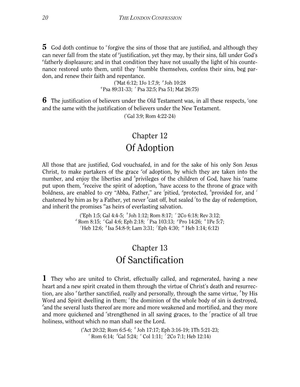**5** God doth continue to <sup>*o*</sup> forgive the sins of those that are justified, and although they can never fall from the state of <sup>*p*</sup> justification, yet they may, by their sins, fall under God's <sup>q</sup> fatherly displeasure; and in that condition they have not usually the light of his countenance restored unto them, until they *<sup>r</sup>* humble themselves, confess their sins, beg pardon, and renew their faith and repentance.

> ('Mat 6:12; 1Jo 1:7,9; ' Joh 10:28 *q* Psa 89:31-33; *<sup>r</sup>* Psa 32:5; Psa 51; Mat 26:75)

**6** The justification of believers under the Old Testament was, in all these respects, 'one and the same with the justification of believers under the New Testament.

( *s* Gal 3:9; Rom 4:22-24)

#### Chapter 12 Of Adoption

<span id="page-20-0"></span>All those that are justified, God vouchsafed, in and for the sake of his only Son Jesus Christ, to make partakers of the grace "of adoption, by which they are taken into the number, and enjoy the liberties and <sup>*b*</sup> privileges of the children of God, have his 'name put upon them, <sup>d</sup>receive the spirit of adoption, <sup>e</sup> have access to the throne of grace with boldness, are enabled to cry "Abba, Father," are 'pitied, <sup>*s*</sup> protected, '<sub>provided for, and <sup>*i*</sup></sub> chastened by him as by a Father, yet never <sup>k</sup>cast off, but sealed <sup>*l*</sup> to the day of redemption, and inherit the promises *<sup>m</sup>* as heirs of everlasting salvation.

> ("Eph 1:5; Gal 4:4-5;  $\degree$  Joh 1:12; Rom 8:17;  $\degree$  2Co 6:18; Rev 3:12; *d* Rom 8:15; *<sup>e</sup>* Gal 4:6; Eph 2:18; *<sup>f</sup>* Psa 103:13; *<sup>g</sup>* Pro 14:26; *<sup>h</sup>* 1Pe 5:7; *i* Heb 12:6; *<sup>k</sup>* Isa 54:8-9; Lam 3:31; *<sup>l</sup>* Eph 4:30; *<sup>m</sup>* Heb 1:14; 6:12)

#### Chapter 13 Of Sanctification

<span id="page-20-1"></span>1 They who are united to Christ, effectually called, and regenerated, having a new heart and a new spirit created in them through the virtue of Christ's death and resurrection, are also <sup>a</sup> farther sanctified, really and personally, through the same virtue, <sup>b</sup> by His Word and Spirit dwelling in them; <sup>c</sup> the dominion of the whole body of sin is destroyed, *d* and the several lusts thereof are more and more weakened and mortified, and they more and more quickened and 'strengthened in all saving graces, to the 'practice of all true holiness, without which no man shall see the Lord.

> ( *a* Act 20:32; Rom 6:5-6; *<sup>b</sup>* Joh 17:17; Eph 3:16-19; 1Th 5:21-23; *c* Rom 6:14; *<sup>d</sup>* Gal 5:24; *<sup>e</sup>* Col 1:11; *<sup>f</sup>* 2Co 7:1; Heb 12:14)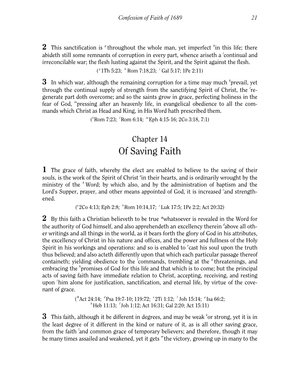2 This sanctification is <sup>*f*</sup> throughout the whole man, yet imperfect <sup>*h*</sup>in this life; there abideth still some remnants of corruption in every part, whence ariseth a *<sup>i</sup>* continual and irreconcilable war; the flesh lusting against the Spirit, and the Spirit against the flesh.

( *g* 1Th 5:23; *<sup>h</sup>* Rom 7:18,23; *<sup>i</sup>* Gal 5:17; 1Pe 2:11)

3 In which war, although the remaining corruption for a time may much *<sup>k</sup>* prevail, yet through the continual supply of strength from the sanctifying Spirit of Christ, the 'regenerate part doth overcome; and so the saints grow in grace, perfecting holiness in the fear of God, *<sup>m</sup>* pressing after an heavenly life, in evangelical obedience to all the commands which Christ as Head and King, in His Word hath prescribed them.

( *k* Rom 7:23; *<sup>l</sup>* Rom 6:14; *<sup>m</sup>* Eph 4:15-16; 2Co 3:18, 7:1)

## Chapter 14 Of Saving Faith

<span id="page-21-0"></span>1 The grace of faith, whereby the elect are enabled to believe to the saving of their souls, is the work of the Spirit of Christ <sup>a</sup>in their hearts, and is ordinarily wrought by the ministry of the *<sup>b</sup>* Word; by which also, and by the administration of baptism and the Lord's Supper, prayer, and other means appointed of God, it is increased 'and strengthened.

(<sup>*a*</sup> 2Co 4:13; Eph 2:8; <sup>*b*</sup> Rom 10:14,17; <sup>*c*</sup>Luk 17:5; 1Pe 2:2; Act 20:32)

2 By this faith a Christian believeth to be true *\**whatsoever is revealed in the Word for the authority of God himself, and also apprehendeth an excellency therein <sup>d</sup>above all other writings and all things in the world, as it bears forth the glory of God in his attributes, the excellency of Christ in his nature and offices, and the power and fullness of the Holy Spirit in his workings and operations: and so is enabled to <sup>e</sup>cast his soul upon the truth thus believed; and also acteth differently upon that which each particular passage thereof containeth; yielding obedience to the 'commands, trembling at the <sup>*f*</sup> threatenings, and embracing the *<sup>h</sup>* promises of God for this life and that which is to come; but the principal acts of saving faith have immediate relation to Christ, accepting, receiving, and resting upon *<sup>i</sup>* him alone for justification, sanctification, and eternal life, by virtue of the covenant of grace.

> (\*Act 24:14; *<sup>d</sup>*Psa 19:7-10; 119:72; *<sup>e</sup>*2Ti 1:12; *<sup>f</sup>* Joh 15:14; *<sup>g</sup>*Isa 66:2; *h* Heb 11:13; <sup>*I*</sup>Joh 1:12; Act 16:31; Gal 2:20; Act 15:11)

 $3$  This faith, although it be different in degrees, and may be weak <sup>k</sup>or strong, yet it is in the least degree of it different in the kind or nature of it, as is all other saving grace, from the faith <sup>'</sup>and common grace of temporary believers; and therefore, though it may be many times assailed and weakened, yet it gets "the victory, growing up in many to the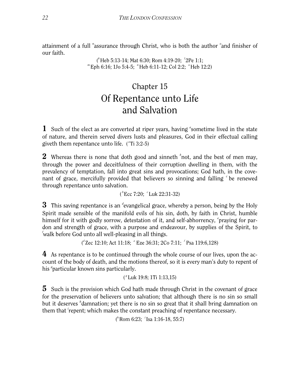attainment of a full "assurance through Christ, who is both the author <sup>o</sup>and finisher of our faith.

> ( *<sup>k</sup>*Heb 5:13-14; Mat 6:30; Rom 4:19-20; *<sup>l</sup>*2Pe 1:1; *m* Eph 6:16; 1Jo 5:4-5; *n* Heb 6:11-12; Col 2:2; *o*Heb 12:2)

## Chapter 15 Of Repentance unto Life and Salvation

<span id="page-22-0"></span>1 Such of the elect as are converted at riper years, having "sometime lived in the state of nature, and therein served divers lusts and pleasures, God in their effectual calling giveth them repentance unto life. ("Ti 3:2-5)

2 Whereas there is none that doth good and sinneth <sup>b</sup>not, and the best of men may, through the power and deceitfulness of their corruption dwelling in them, with the prevalency of temptation, fall into great sins and provocations; God hath, in the covenant of grace, mercifully provided that believers so sinning and falling <sup>c</sup> be renewed through repentance unto salvation.

( *b* Ecc 7:20; *<sup>c</sup>* Luk 22:31-32)

**3** This saving repentance is an <sup>d</sup>evangelical grace, whereby a person, being by the Holy Spirit made sensible of the manifold evils of his sin, doth, by faith in Christ, humble himself for it with godly sorrow, detestation of it, and self-abhorrency, *'praying for par*don and strength of grace, with a purpose and endeavour, by supplies of the Spirit, to *f* walk before God unto all well-pleasing in all things.

( *<sup>d</sup>*Zec 12:10; Act 11:18; *<sup>e</sup>* Eze 36:31; 2Co 7:11; *<sup>f</sup>* Psa 119:6,128)

4 As repentance is to be continued through the whole course of our lives, upon the account of the body of death, and the motions thereof, so it is every man's duty to repent of his <sup>*s*</sup> particular known sins particularly.

( *g* Luk 19:8; 1Ti 1:13,15)

**5** Such is the provision which God hath made through Christ in the covenant of grace for the preservation of believers unto salvation; that although there is no sin so small but it deserves *<sup>h</sup>* damnation; yet there is no sin so great that it shall bring damnation on them that *i* repent; which makes the constant preaching of repentance necessary.

( *h* Rom 6:23; *<sup>i</sup>* Isa 1:16-18, 55:7)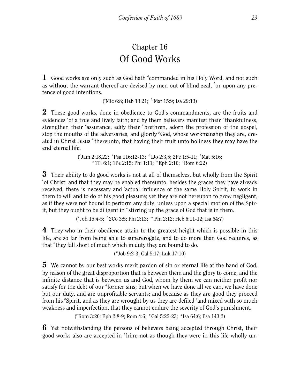## Chapter 16 Of Good Works

<span id="page-23-0"></span>1 Good works are only such as God hath "commanded in his Holy Word, and not such as without the warrant thereof are devised by men out of blind zeal, <sup>b</sup>or upon any pretence of good intentions.

("Mic 6:8; Heb 13:21; <sup>b</sup> Mat 15:9; Isa 29:13)

2 These good works, done in obedience to God's commandments, are the fruits and evidences <sup>c</sup>of a true and lively faith; and by them believers manifest their <sup>d</sup> thankfulness, strengthen their <sup>e</sup>assurance, edify their <sup>*f*</sup> brethren, adorn the profession of the gospel, stop the mouths of the adversaries, and glorify <sup>*g*</sup>God, whose workmanship they are, created in Christ Jesus *<sup>h</sup>* thereunto, that having their fruit unto holiness they may have the end *<sup>i</sup>* eternal life.

> ( *<sup>c</sup>*Jam 2:18,22; *<sup>d</sup>*Psa 116:12-13; *<sup>e</sup>*1Jo 2:3,5; 2Pe 1:5-11; *<sup>f</sup>*Mat 5:16; *<sup>g</sup>*1Ti 6:1; 1Pe 2:15; Phi 1:11; *<sup>h</sup>*Eph 2:10; *<sup>I</sup>*Rom 6:22)

**3** Their ability to do good works is not at all of themselves, but wholly from the Spirit *k* of Christ; and that they may be enabled thereunto, besides the graces they have already received, there is necessary and *<sup>l</sup>* actual influence of the same Holy Spirit, to work in them to will and to do of his good pleasure; yet they are not hereupon to grow negligent, as if they were not bound to perform any duty, unless upon a special motion of the Spirit, but they ought to be diligent in *<sup>m</sup>* stirring up the grace of God that is in them.

( *<sup>k</sup>*Joh 15:4-5; *<sup>l</sup>* 2Co 3:5; Phi 2:13; *<sup>m</sup>* Phi 2:12; Heb 6:11-12; Isa 64:7)

4 They who in their obedience attain to the greatest height which is possible in this life, are so far from being able to supererogate, and to do more than God requires, as that <sup>n</sup> they fall short of much which in duty they are bound to do.

( *n* Job 9:2-3; Gal 5:17; Luk 17:10)

5 We cannot by our best works merit pardon of sin or eternal life at the hand of God, by reason of the great disproportion that is between them and the glory to come, and the infinite distance that is between us and God, whom by them we can neither profit nor satisfy for the debt of our <sup>*o*</sup> former sins; but when we have done all we can, we have done but our duty, and are unprofitable servants; and because as they are good they proceed from his <sup>*P*</sup>Spirit, and as they are wrought by us they are defiled <sup>*q*</sup> and mixed with so much weakness and imperfection, that they cannot endure the severity of God's punishment.

( $^{\circ}$ Rom 3:20; Eph 2:8-9; Rom 4:6;  $^{\circ}$  Gal 5:22-23;  $^{\circ}$  Isa 64:6; Psa 143:2)

6 Yet notwithstanding the persons of believers being accepted through Christ, their good works also are accepted in *<sup>r</sup>* him; not as though they were in this life wholly un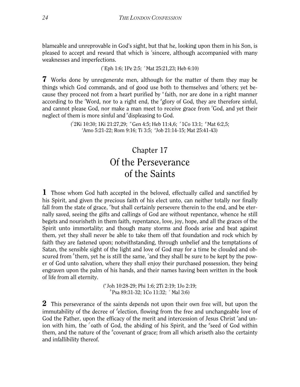blameable and unreprovable in God's sight, but that he, looking upon them in his Son, is pleased to accept and reward that which is 'sincere, although accompanied with many weaknesses and imperfections.

( *<sup>r</sup>*Eph 1:6; 1Pe 2:5; *<sup>s</sup>*Mat 25:21,23; Heb 6:10)

7 Works done by unregenerate men, although for the matter of them they may be things which God commands, and of good use both to themselves and 'others; yet because they proceed not from a heart purified by "faith, nor are done in a right manner according to the *"Word*, nor to a right end, the *"glory of God*, they are therefore sinful, and cannot please God, nor make a man meet to receive grace from <sup>*z*</sup>God, and yet their neglect of them is more sinful and "displeasing to God.

> ( *<sup>t</sup>*2Ki 10:30; 1Ki 21:27,29; *<sup>u</sup>* Gen 4:5; Heb 11:4,6; *<sup>x</sup>* 1Co 13:1; *<sup>y</sup>* Mat 6:2,5; *z* Amo 5:21-22; Rom 9:16; Ti 3:5; *<sup>a</sup>* Job 21:14-15; Mat 25:41-43)

#### Chapter 17 Of the Perseverance of the Saints

<span id="page-24-0"></span>1 Those whom God hath accepted in the beloved, effectually called and sanctified by his Spirit, and given the precious faith of his elect unto, can neither totally nor finally fall from the state of grace, "but shall certainly persevere therein to the end, and be eternally saved, seeing the gifts and callings of God are without repentance, whence he still begets and nourisheth in them faith, repentance, love, joy, hope, and all the graces of the Spirit unto immortality; and though many storms and floods arise and beat against them, yet they shall never be able to take them off that foundation and rock which by faith they are fastened upon; notwithstanding, through unbelief and the temptations of Satan, the sensible sight of the light and love of God may for a time be clouded and obscured from <sup>*b*</sup> them, yet he is still the same, 'and they shall be sure to be kept by the power of God unto salvation, where they shall enjoy their purchased possession, they being engraven upon the palm of his hands, and their names having been written in the book of life from all eternity.

> ( *<sup>a</sup>*Joh 10:28-29; Phi 1:6; 2Ti 2:19; 1Jo 2:19; *<sup>b</sup>*Psa 89:31-32; 1Co 11:32; *<sup>c</sup>* Mal 3:6)

2 This perseverance of the saints depends not upon their own free will, but upon the immutability of the decree of <sup>d</sup>election, flowing from the free and unchangeable love of God the Father, upon the efficacy of the merit and intercession of Jesus Christ <sup>e</sup>and union with him, the <sup>*f*</sup> oath of God, the abiding of his Spirit, and the <sup>*g*</sup> seed of God within them, and the nature of the *<sup>h</sup>* covenant of grace; from all which ariseth also the certainty and infallibility thereof.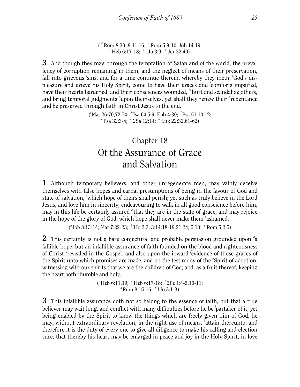( *d* Rom 8:30; 9:11,16; *<sup>e</sup>* Rom 5:9-10; Joh 14:19; *f* Heb 6:17-18; *<sup>g</sup>* 1Jo 3:9; *<sup>h</sup>* Jer 32:40)

**3** And though they may, through the temptation of Satan and of the world, the prevalency of corruption remaining in them, and the neglect of means of their preservation, fall into grievous 'sins, and for a time continue therein, whereby they incur <sup>k</sup>God's displeasure and grieve his Holy Spirit, come to have their graces and *<sup>l</sup>* comforts impaired, have their hearts hardened, and their consciences wounded, *<sup>m</sup>* hurt and scandalize others, and bring temporal judgments "upon themselves, yet shall they renew their <sup>o</sup>repentance and be preserved through faith in Christ Jesus to the end.

> ( *<sup>I</sup>*Mat 26:70,72,74; *<sup>k</sup>* Isa 64:5,9; Eph 4:30; *<sup>l</sup>* Psa 51:10,12; *<sup>m</sup>*Psa 32:3-4; *<sup>n</sup>* 2Sa 12:14; *<sup>o</sup>* Luk 22:32,61-62)

#### Chapter 18 Of the Assurance of Grace and Salvation

<span id="page-25-0"></span>1 Although temporary believers, and other unregenerate men, may vainly deceive themselves with false hopes and carnal presumptions of being in the favour of God and state of salvation, "which hope of theirs shall perish; yet such as truly believe in the Lord Jesus, and love him in sincerity, endeavouring to walk in all good conscience before him, may in this life be certainly assured <sup>b</sup> that they are in the state of grace, and may rejoice in the hope of the glory of God, which hope shall never make them 'ashamed.

( *<sup>a</sup>*Job 8:13-14; Mat 7:22-23; *<sup>b</sup>* 1Jo 2:3; 3:14,18-19,21,24; 5:13; *<sup>c</sup>* Rom 5:2,5)

2 This certainty is not a bare conjectural and probable persuasion grounded upon *<sup>d</sup>* a fallible hope, but an infallible assurance of faith founded on the blood and righteousness of Christ <sup>e</sup>revealed in the Gospel; and also upon the inward 'evidence of those graces of the Spirit unto which promises are made, and on the testimony of the <sup>*s*</sup>Spirit of adoption, witnessing with our spirits that we are the children of God; and, as a fruit thereof, keeping the heart both *<sup>h</sup>* humble and holy.

> ( *<sup>d</sup>*Heb 6:11,19; *<sup>e</sup>* Heb 6:17-18; *<sup>f</sup>* 2Pe 1:4-5,10-11; *<sup>g</sup>*Rom 8:15-16; *<sup>h</sup>* 1Jo 3:1-3)

**3** This infallible assurance doth not so belong to the essence of faith, but that a true believer may wait long, and conflict with many difficulties before he be *<sup>i</sup>* partaker of it; yet being enabled by the Spirit to know the things which are freely given him of God, he may, without extraordinary revelation, in the right use of means, *<sup>k</sup>* attain thereunto: and therefore it is the duty of every one to give all diligence to make his calling and election sure, that thereby his heart may be enlarged in peace and joy in the Holy Spirit, in love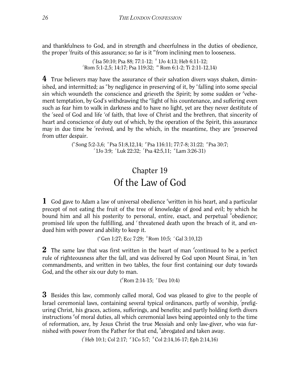and thankfulness to God, and in strength and cheerfulness in the duties of obedience, the proper *<sup>l</sup>* fruits of this assurance; so far is it *<sup>m</sup>* from inclining men to looseness.

> ( *<sup>i</sup>*Isa 50:10; Psa 88; 77:1-12; *<sup>k</sup>* 1Jo 4:13; Heb 6:11-12; *<sup>l</sup>*Rom 5:1-2,5; 14:17; Psa 119:32; *<sup>m</sup>* Rom 6:1-2; Ti 2:11-12,14)

4 True believers may have the assurance of their salvation divers ways shaken, diminished, and intermitted; as "by negligence in preserving of it, by <sup>o</sup>falling into some special sin which woundeth the conscience and grieveth the Spirit; by some sudden or <sup>*p*</sup>vehement temptation, by God's withdrawing the <sup>*q*</sup> light of his countenance, and suffering even such as fear him to walk in darkness and to have no light, yet are they never destitute of the 'seed of God and life 'of faith, that love of Christ and the brethren, that sincerity of heart and conscience of duty out of which, by the operation of the Spirit, this assurance may in due time be 'revived, and by the which, in the meantime, they are "preserved from utter despair.

> ("Song 5:2-3,6;  $^{\circ}$ Psa 51:8,12,14;  $^{\circ}$ Psa 116:11; 77:7-8; 31:22;  $^{\circ}$ Psa 30:7; *<sup>r</sup>*1Jo 3:9; *<sup>s</sup>* Luk 22:32; *<sup>t</sup>* Psa 42:5,11; *<sup>u</sup>* Lam 3:26-31)

#### Chapter 19 Of the Law of God

<span id="page-26-0"></span>1 God gave to Adam a law of universal obedience "written in his heart, and a particular precept of not eating the fruit of the tree of knowledge of good and evil; by which he bound him and all his posterity to personal, entire, exact, and perpetual *b*bedience; promised life upon the fulfilling, and 'threatened death upon the breach of it, and endued him with power and ability to keep it.

(<sup>a</sup>Gen 1:27; Ecc 7:29; <sup>b</sup> Rom 10:5; <sup>c</sup>Gal 3:10,12)

2 The same law that was first written in the heart of man *<sup>d</sup>* continued to be a perfect rule of righteousness after the fall, and was delivered by God upon Mount Sinai, in <sup>e</sup>ten commandments, and written in two tables, the four first containing our duty towards God, and the other six our duty to man.

( *d* Rom 2:14-15; *<sup>e</sup>* Deu 10:4)

**3** Besides this law, commonly called moral, God was pleased to give to the people of Israel ceremonial laws, containing several typical ordinances, partly of worship, *<sup>f</sup>* prefiguring Christ, his graces, actions, sufferings, and benefits; and partly holding forth divers instructions <sup>*g*</sup> of moral duties, all which ceremonial laws being appointed only to the time of reformation, are, by Jesus Christ the true Messiah and only law-giver, who was furnished with power from the Father for that end, *<sup>h</sup>* abrogated and taken away.

( *f* Heb 10:1; Col 2:17; *<sup>g</sup>* 1Co 5:7; *<sup>h</sup>* Col 2:14,16-17; Eph 2:14,16)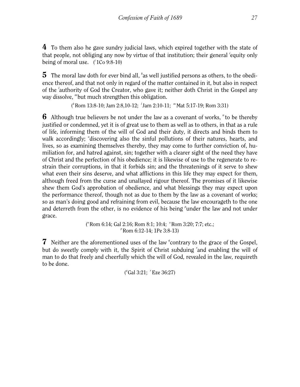4 To them also he gave sundry judicial laws, which expired together with the state of that people, not obliging any now by virtue of that institution; their general 'equity only being of moral use. ( *<sup>i</sup>*1Co 9:8-10)

5 The moral law doth for ever bind all, *<sup>k</sup>* as well justified persons as others, to the obedience thereof, and that not only in regard of the matter contained in it, but also in respect of the *<sup>l</sup>* authority of God the Creator, who gave it; neither doth Christ in the Gospel any way dissolve, *<sup>m</sup>* but much strengthen this obligation.

( *<sup>k</sup>*Rom 13:8-10; Jam 2:8,10-12; *<sup>l</sup>* Jam 2:10-11; *<sup>m</sup>* Mat 5:17-19; Rom 3:31)

**6** Although true believers be not under the law as a covenant of works, <sup>n</sup> to be thereby justified or condemned, yet it is of great use to them as well as to others, in that as a rule of life, informing them of the will of God and their duty, it directs and binds them to walk accordingly; <sup>o</sup>discovering also the sinful pollutions of their natures, hearts, and lives, so as examining themselves thereby, they may come to further conviction of, humiliation for, and hatred against, sin; together with a clearer sight of the need they have of Christ and the perfection of his obedience; it is likewise of use to the regenerate to restrain their corruptions, in that it forbids sin; and the threatenings of it serve to shew what even their sins deserve, and what afflictions in this life they may expect for them, although freed from the curse and unallayed rigour thereof. The promises of it likewise shew them God's approbation of obedience, and what blessings they may expect upon the performance thereof, though not as due to them by the law as a covenant of works; so as man's doing good and refraining from evil, because the law encourageth to the one and deterreth from the other, is no evidence of his being <sup>*p*</sup>under the law and not under grace.

> ("Rom 6:14; Gal 2:16; Rom 8:1; 10:4;  $\degree$ Rom 3:20; 7:7; etc.; *p* Rom 6:12-14; 1Pe 3:8-13)

7 Neither are the aforementioned uses of the law <sup>*q*</sup> contrary to the grace of the Gospel, but do sweetly comply with it, the Spirit of Christ subduing *<sup>r</sup>* and enabling the will of man to do that freely and cheerfully which the will of God, revealed in the law, requireth to be done.

( *q* Gal 3:21; *<sup>r</sup>* Eze 36:27)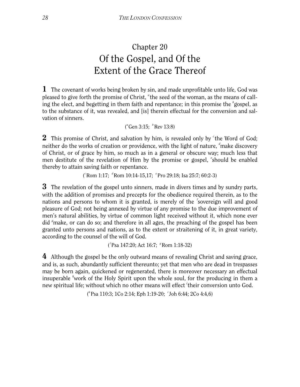## Chapter 20 Of the Gospel, and Of the Extent of the Grace Thereof

<span id="page-28-0"></span>1 The covenant of works being broken by sin, and made unprofitable unto life, God was pleased to give forth the promise of Christ, "the seed of the woman, as the means of calling the elect, and begetting in them faith and repentance; in this promise the <sup>b</sup>gospel, as to the substance of it, was revealed, and [is] therein effectual for the conversion and salvation of sinners.

( *a* Gen 3:15; *<sup>b</sup>* Rev 13:8)

2 This promise of Christ, and salvation by him, is revealed only by <sup>c</sup>the Word of God; neither do the works of creation or providence, with the light of nature, <sup>d</sup> make discovery of Christ, or of grace by him, so much as in a general or obscure way; much less that men destitute of the revelation of Him by the promise or gospel, 'should be enabled thereby to attain saving faith or repentance.

( *<sup>c</sup>*Rom 1:17; *<sup>d</sup>* Rom 10:14-15,17; *<sup>e</sup>* Pro 29:18; Isa 25:7; 60:2-3)

**3** The revelation of the gospel unto sinners, made in divers times and by sundry parts, with the addition of promises and precepts for the obedience required therein, as to the nations and persons to whom it is granted, is merely of the *<sup>f</sup>* sovereign will and good pleasure of God; not being annexed by virtue of any promise to the due improvement of men's natural abilities, by virtue of common light received without it, which none ever did <sup>*g*</sup> make, or can do so; and therefore in all ages, the preaching of the gospel has been granted unto persons and nations, as to the extent or straitening of it, in great variety, according to the counsel of the will of God.

( *<sup>f</sup>*Psa 147:20; Act 16:7; *<sup>g</sup>* Rom 1:18-32)

4 Although the gospel be the only outward means of revealing Christ and saving grace, and is, as such, abundantly sufficient thereunto; yet that men who are dead in trespasses may be born again, quickened or regenerated, there is moreover necessary an effectual insuperable *<sup>h</sup>* work of the Holy Spirit upon the whole soul, for the producing in them a new spiritual life; without which no other means will effect *<sup>i</sup>* their conversion unto God.

( *<sup>h</sup>*Psa 110:3; 1Co 2:14; Eph 1:19-20; *<sup>i</sup>* Joh 6:44; 2Co 4:4,6)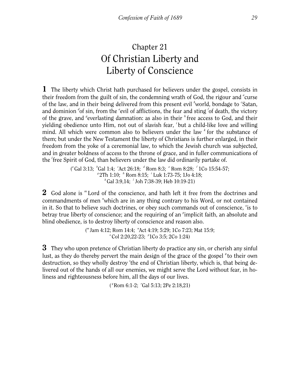## Chapter 21 Of Christian Liberty and Liberty of Conscience

<span id="page-29-0"></span>1 The liberty which Christ hath purchased for believers under the gospel, consists in their freedom from the guilt of sin, the condemning wrath of God, the rigour and <sup>a</sup>curse of the law, and in their being delivered from this present evil 'world, bondage to 'Satan, and dominion <sup>d</sup>of sin, from the <sup>*e*</sup>evil of afflictions, the fear and sting <sup>*f*</sup> of death, the victory of the grave, and <sup>*d*</sup> everlasting damnation: as also in their <sup>*h*</sup> free access to God, and their yielding obedience unto Him, not out of slavish fear, *<sup>i</sup>* but a child-like love and willing mind. All which were common also to believers under the law <sup>k</sup> for the substance of them; but under the New Testament the liberty of Christians is further enlarged, in their freedom from the yoke of a ceremonial law, to which the Jewish church was subjected, and in greater boldness of access to the throne of grace, and in fuller communications of the *<sup>l</sup>* free Spirit of God, than believers under the law did ordinarily partake of.

> ("Gal 3:13; <sup>*b*</sup>Gal 1:4; <sup>*c*</sup>Act 26:18; <sup>*d*</sup> Rom 8:3; <sup>*e*</sup> Rom 8:28; <sup>*f*</sup> 1Co 15:54-57; *<sup>g</sup>*2Th 1:10; *<sup>h</sup>* Rom 8:15; *<sup>i</sup>* Luk 1:73-75; 1Jo 4:18; *<sup>k</sup>*Gal 3:9,14; *<sup>l</sup>* Joh 7:38-39; Heb 10:19-21)

2 God alone is *<sup>m</sup>* Lord of the conscience, and hath left it free from the doctrines and commandments of men "which are in any thing contrary to his Word, or not contained in it. So that to believe such doctrines, or obey such commands out of conscience, <sup>o</sup> is to betray true liberty of conscience; and the requiring of an <sup>*p*</sup>implicit faith, an absolute and blind obedience, is to destroy liberty of conscience and reason also.

> ( *<sup>m</sup>*Jam 4:12; Rom 14:4; *<sup>n</sup>* Act 4:19; 5:29; 1Co 7:23; Mat 15:9; *<sup>o</sup>* Col 2:20,22-23; <sup>*p*</sup>1Co 3:5; 2Co 1:24)</sup>

**3** They who upon pretence of Christian liberty do practice any sin, or cherish any sinful lust, as they do thereby pervert the main design of the grace of the gospel <sup>*q*</sup> to their own destruction, so they wholly destroy 'the end of Christian liberty, which is, that being delivered out of the hands of all our enemies, we might serve the Lord without fear, in holiness and righteousness before him, all the days of our lives.

( *q* Rom 6:1-2; *<sup>r</sup>* Gal 5:13; 2Pe 2:18,21)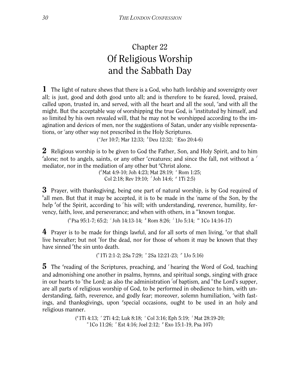## Chapter 22 Of Religious Worship and the Sabbath Day

<span id="page-30-0"></span>1 The light of nature shews that there is a God, who hath lordship and sovereignty over all; is just, good and doth good unto all; and is therefore to be feared, loved, praised, called upon, trusted in, and served, with all the heart and all the soul, and with all the might. But the acceptable way of worshipping the true God, is <sup>b</sup>instituted by himself, and so limited by his own revealed will, that he may not be worshipped according to the imagination and devices of men, nor the suggestions of Satan, under any visible representations, or *<sup>c</sup>* any other way not prescribed in the Holy Scriptures.

(*<sup>a</sup>* Jer 10:7; Mar 12:33; <sup>*b*</sup> Deu 12:32; *<sup>c</sup>* Exo 20:4-6)

**2** Religious worship is to be given to God the Father, Son, and Holy Spirit, and to him <sup>d</sup>alone; not to angels, saints, or any other <sup>e</sup>creatures; and since the fall, not without a <sup>*f*</sup> mediator, nor in the mediation of any other but *<sup>g</sup>* Christ alone.

( *<sup>d</sup>*Mat 4:9-10; Joh 4:23; Mat 28:19; *<sup>e</sup>* Rom 1:25; Col 2:18; Rev 19:10; <sup>*f*</sup> Joh 14:6; <sup>*g*</sup> 1Ti 2:5)

**3** Prayer, with thanksgiving, being one part of natural worship, is by God required of <sup>h</sup>all men. But that it may be accepted, it is to be made in the *i*name of the Son, by the help <sup>k</sup>of the Spirit, according to <sup>*l*</sup> his will; with understanding, reverence, humility, fervency, faith, love, and perseverance; and when with others, in a *<sup>m</sup>* known tongue.

( *<sup>h</sup>*Psa 95:1-7; 65:2; *<sup>i</sup>* Joh 14:13-14; *<sup>k</sup>* Rom 8:26; *<sup>l</sup>* 1Jo 5:14; *<sup>m</sup>* 1Co 14:16-17)

4 Prayer is to be made for things lawful, and for all sorts of men living, "or that shall live hereafter; but not <sup>o</sup>for the dead, nor for those of whom it may be known that they have sinned <sup>*r*</sup>the sin unto death.

( *<sup>n</sup>*1Ti 2:1-2; 2Sa 7:29; *<sup>o</sup>* 2Sa 12:21-23; *<sup>p</sup>* 1Jo 5:16)

5 The <sup>*q*</sup> reading of the Scriptures, preaching, and *'* hearing the Word of God, teaching and admonishing one another in psalms, hymns, and spiritual songs, singing with grace in our hearts to <sup>s</sup>the Lord; as also the administration <sup>t</sup>of baptism, and "the Lord's supper, are all parts of religious worship of God, to be performed in obedience to him, with understanding, faith, reverence, and godly fear; moreover, solemn humiliation, "with fastings, and thanksgivings, upon 'special occasions, ought to be used in an holy and religious manner.

> ( *<sup>q</sup>*1Ti 4:13; *<sup>r</sup>* 2Ti 4:2; Luk 8:18; *<sup>s</sup>* Col 3:16; Eph 5:19; *<sup>t</sup>* Mat 28:19-20; *<sup>u</sup>*1Co 11:26; *<sup>x</sup>* Est 4:16; Joel 2:12; *<sup>y</sup>* Exo 15:1-19, Psa 107)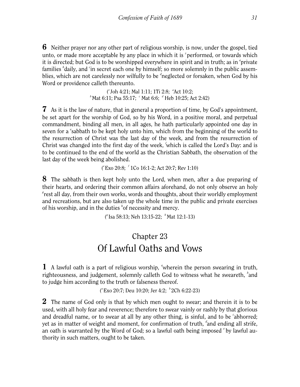6 Neither prayer nor any other part of religious worship, is now, under the gospel, tied unto, or made more acceptable by any place in which it is <sup>z</sup> performed, or towards which it is directed; but God is to be worshipped everywhere in spirit and in truth; as in <sup>a</sup>private families <sup>*b*</sup>daily, and <sup>*c*</sup>in secret each one by himself; so more solemnly in the public assemblies, which are not carelessly nor wilfully to be <sup>d</sup>neglected or forsaken, when God by his Word or providence calleth thereunto.

> ( *<sup>z</sup>*Joh 4:21; Mal 1:11; 1Ti 2:8; *<sup>a</sup>* Act 10:2; <sup>*b*</sup> Mat 6:11; Psa 55:17; <sup>*c*</sup> Mat 6:6; <sup>*d*</sup> Heb 10:25; Act 2:42)

7 As it is the law of nature, that in general a proportion of time, by God's appointment, be set apart for the worship of God, so by his Word, in a positive moral, and perpetual commandment, binding all men, in all ages, he hath particularly appointed one day in seven for a 'sabbath to be kept holy unto him, which from the beginning of the world to the resurrection of Christ was the last day of the week, and from the resurrection of Christ was changed into the first day of the week, *<sup>f</sup>* which is called the Lord's Day: and is to be continued to the end of the world as the Christian Sabbath, the observation of the last day of the week being abolished.

( *<sup>e</sup>*Exo 20:8; *<sup>f</sup>* 1Co 16:1-2; Act 20:7; Rev 1:10)

8 The sabbath is then kept holy unto the Lord, when men, after a due preparing of their hearts, and ordering their common affairs aforehand, do not only observe an holy *g* rest all day, from their own works, words and thoughts, about their worldly employment and recreations, but are also taken up the whole time in the public and private exercises of his worship, and in the duties *<sup>h</sup>* of necessity and mercy.

( *<sup>g</sup>*Isa 58:13; Neh 13:15-22; *<sup>h</sup>* Mat 12:1-13)

#### Chapter 23 Of Lawful Oaths and Vows

<span id="page-31-0"></span>1 A lawful oath is a part of religious worship, "wherein the person swearing in truth, righteousness, and judgement, solemnly calleth God to witness what he sweareth, <sup>b</sup>and to judge him according to the truth or falseness thereof.

("Exo 20:7; Deu 10:20; Jer 4:2; <sup>b</sup> 2Ch 6:22-23)

**2** The name of God only is that by which men ought to swear; and therein it is to be used, with all holy fear and reverence; therefore to swear vainly or rashly by that glorious and dreadful name, or to swear at all by any other thing, is sinful, and to be *<sup>c</sup>* abhorred; yet as in matter of weight and moment, for confirmation of truth, *<sup>d</sup>* and ending all strife, an oath is warranted by the Word of God; so a lawful oath being imposed *<sup>e</sup>* by lawful authority in such matters, ought to be taken.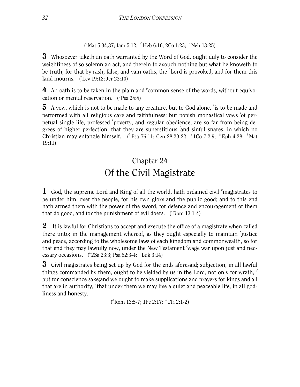( *<sup>c</sup>*Mat 5:34,37; Jam 5:12; *<sup>d</sup>* Heb 6:16, 2Co 1:23; *<sup>e</sup>* Neh 13:25)

**3** Whosoever taketh an oath warranted by the Word of God, ought duly to consider the weightiness of so solemn an act, and therein to avouch nothing but what he knoweth to be truth; for that by rash, false, and vain oaths, the *<sup>f</sup>* Lord is provoked, and for them this land mourns. ( *<sup>f</sup>*Lev 19:12; Jer 23:10)

4 An oath is to be taken in the plain and <sup>*f*</sup> common sense of the words, without equivocation or mental reservation. (<sup>*g*</sup> Psa 24:4)

5 A vow, which is not to be made to any creature, but to God alone, *<sup>h</sup>* is to be made and performed with all religious care and faithfulness; but popish monastical vows *<sup>i</sup>* of perpetual single life, professed <sup>k</sup>poverty, and regular obedience, are so far from being degrees of higher perfection, that they are superstitious 'and sinful snares, in which no Christian may entangle himself. (<sup>*h*</sup> Psa 76:11; Gen 28:20-22; <sup>*i*</sup> 1Co 7:2,9; <sup>*k*</sup> Eph 4:28; <sup>*l*</sup> Mat 19:11)

## Chapter 24 Of the Civil Magistrate

<span id="page-32-0"></span>1 God, the supreme Lord and King of all the world, hath ordained civil <sup>a</sup>magistrates to be under him, over the people, for his own glory and the public good; and to this end hath armed them with the power of the sword, for defence and encouragement of them that do good, and for the punishment of evil doers. (*"Rom* 13:1-4)

**2** It is lawful for Christians to accept and execute the office of a magistrate when called there unto; in the management whereof, as they ought especially to maintain <sup>*b*</sup>justice and peace, according to the wholesome laws of each kingdom and commonwealth, so for that end they may lawfully now, under the New Testament 'wage war upon just and necessary occasions. ( *b* 2Sa 23:3; Psa 82:3-4; *<sup>c</sup>* Luk 3:14)

3 Civil magistrates being set up by God for the ends aforesaid; subjection, in all lawful things commanded by them, ought to be yielded by us in the Lord, not only for wrath, *<sup>d</sup>* but for conscience sake;and we ought to make supplications and prayers for kings and all that are in authority, <sup>e</sup>that under them we may live a quiet and peaceable life, in all godliness and honesty.

( *<sup>d</sup>*Rom 13:5-7; 1Pe 2:17; *<sup>e</sup>*1Ti 2:1-2)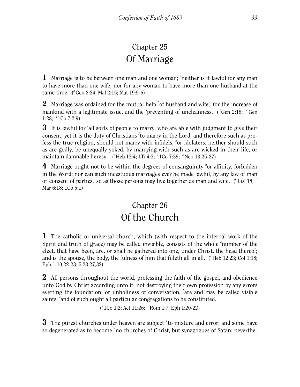#### Chapter 25 Of Marriage

<span id="page-33-0"></span>1 Marriage is to be between one man and one woman; <sup>a</sup>neither is it lawful for any man to have more than one wife, nor for any woman to have more than one husband at the same time. (<sup>a</sup>Gen 2:24; Mal 2:15; Mat 19:5-6)

 $2$  Marriage was ordained for the mutual help <sup>b</sup>of husband and wife, <sup>c</sup>for the increase of mankind with a legitimate issue, and the <sup>d</sup>preventing of uncleanness. (<sup>b</sup>Gen 2:18; <sup>c</sup>Gen 1:28; *<sup>d</sup>* 1Co 7:2,9)

**3** It is lawful for <sup>e</sup>all sorts of people to marry, who are able with judgment to give their consent; yet it is the duty of Christians *<sup>f</sup>* to marry in the Lord; and therefore such as profess the true religion, should not marry with infidels, <sup>*s*</sup> or idolaters; neither should such as are godly, be unequally yoked, by marrying with such as are wicked in their life, or maintain damnable heresy. (<sup>e</sup>Heb 13:4; 1Ti 4:3; <sup>*f*</sup> 1Co 7:39; <sup>*g*</sup>Neh 13:25-27)</sub>

4 Marriage ought not to be within the degrees of consanguinity *<sup>h</sup>* or affinity, forbidden in the Word; nor can such incestuous marriages ever be made lawful, by any law of man or consent of parties, 'so as those persons may live together as man and wife. (<sup>h</sup>Lev 18; <sup>*i*</sup> Mar 6:18; 1Co 5:1)

#### Chapter 26 Of the Church

<span id="page-33-1"></span>1 The catholic or universal church, which (with respect to the internal work of the Spirit and truth of grace) may be called invisible, consists of the whole <sup>a</sup>number of the elect, that have been, are, or shall be gathered into one, under Christ, the head thereof; and is the spouse, the body, the fulness of him that filleth all in all. ("Heb 12:23; Col 1:18; Eph 1:10,22-23; 5:23,27,32)

2 All persons throughout the world, professing the faith of the gospel, and obedience unto God by Christ according unto it, not destroying their own profession by any errors everting the foundation, or unholiness of conversation, <sup>b</sup>are and may be called visible saints; 'and of such ought all particular congregations to be constituted.

( *<sup>b</sup>*1Co 1:2; Act 11:26; *<sup>c</sup>*Rom 1:7; Eph 1:20-22)

3 The purest churches under heaven are subject *<sup>d</sup>* to mixture and error; and some have so degenerated as to become <sup>e</sup> no churches of Christ, but synagogues of Satan; neverthe-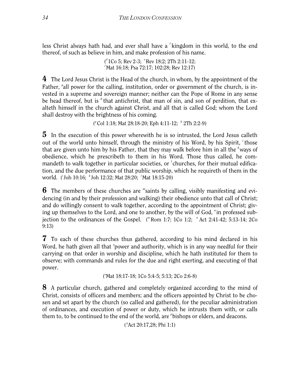less Christ always hath had, and ever shall have a *<sup>f</sup>* kingdom in this world, to the end thereof, of such as believe in him, and make profession of his name.

> ( *<sup>d</sup>*1Co 5; Rev 2-3; *<sup>e</sup>* Rev 18:2; 2Th 2:11-12; *f* Mat 16:18; Psa 72:17; 102:28; Rev 12:17)

4 The Lord Jesus Christ is the Head of the church, in whom, by the appointment of the Father, <sup>*g*</sup> all power for the calling, institution, order or government of the church, is invested in a supreme and sovereign manner; neither can the Pope of Rome in any sense be head thereof, but is <sup>h</sup> that antichrist, that man of sin, and son of perdition, that exalteth himself in the church against Christ, and all that is called God; whom the Lord shall destroy with the brightness of his coming.

( *<sup>g</sup>*Col 1:18; Mat 28:18-20; Eph 4:11-12; *<sup>h</sup>* 2Th 2:2-9)

**5** In the execution of this power wherewith he is so intrusted, the Lord Jesus calleth out of the world unto himself, through the ministry of his Word, by his Spirit, *<sup>i</sup>* those that are given unto him by his Father, that they may walk before him in all the <sup>k</sup>ways of obedience, which he prescribeth to them in his Word. Those thus called, he commandeth to walk together in particular societies, or <sup>*l*</sup> churches, for their mutual edification, and the due performance of that public worship, which he requireth of them in the world. ( *<sup>i</sup>*Joh 10:16; *<sup>k</sup>*Joh 12:32; Mat 28:20; *<sup>l</sup>*Mat 18:15-20)

**6** The members of these churches are "saints by calling, visibly manifesting and evidencing (in and by their profession and walking) their obedience unto that call of Christ; and do willingly consent to walk together, according to the appointment of Christ; giving up themselves to the Lord, and one to another, by the will of God, "in professed subjection to the ordinances of the Gospel. ("Rom 1:7; 1Co 1:2; "Act 2:41-42; 5:13-14; 2Co 9:13)

7 To each of these churches thus gathered, according to his mind declared in his Word, he hath given all that <sup>o</sup>power and authority, which is in any way needful for their carrying on that order in worship and discipline, which he hath instituted for them to observe; with commands and rules for the due and right exerting, and executing of that power.

('Mat 18:17-18; 1Co 5:4-5; 5:13; 2Co 2:6-8)

8 A particular church, gathered and completely organized according to the mind of Christ, consists of officers and members; and the officers appointed by Christ to be chosen and set apart by the church (so called and gathered), for the peculiar administration of ordinances, and execution of power or duty, which he intrusts them with, or calls them to, to be continued to the end of the world, are <sup>*p*</sup> bishops or elders, and deacons.

( *p* Act 20:17,28; Phi 1:1)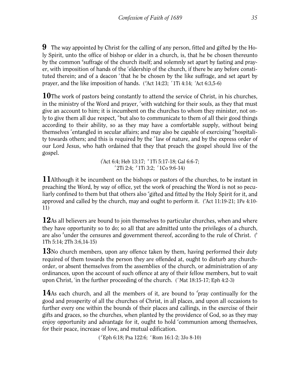9 The way appointed by Christ for the calling of any person, fitted and gifted by the Holy Spirit, unto the office of bishop or elder in a church, is, that he be chosen thereunto by the common <sup>*q*</sup> suffrage of the church itself; and solemnly set apart by fasting and prayer, with imposition of hands of the 'eldership of the church, if there be any before constituted therein; and of a deacon <sup>s</sup> that he be chosen by the like suffrage, and set apart by prayer, and the like imposition of hands. ("Act 14:23; '1Ti 4:14; 'Act 6:3,5-6)

**10**The work of pastors being constantly to attend the service of Christ, in his churches, in the ministry of the Word and prayer, *<sup>t</sup>* with watching for their souls, as they that must give an account to him; it is incumbent on the churches to whom they minister, not only to give them all due respect, "but also to communicate to them of all their good things according to their ability, so as they may have a comfortable supply, without being themselves <sup>x</sup>entangled in secular affairs; and may also be capable of exercising <sup>y</sup> hospitality towards others; and this is required by the <sup>z</sup>law of nature, and by the express order of our Lord Jesus, who hath ordained that they that preach the gospel should live of the gospel.

> ( *t* Act 6:4; Heb 13:17; *<sup>u</sup>*1Ti 5:17-18; Gal 6:6-7; *x*<sub>2</sub>Ti 2:4; <sup>*y*</sup>1Ti 3:2; <sup>*z*</sup>1Co 9:6-14)</sup>

**11**Although it be incumbent on the bishops or pastors of the churches, to be instant in preaching the Word, by way of office, yet the work of preaching the Word is not so peculiarly confined to them but that others also "gifted and fitted by the Holy Spirit for it, and approved and called by the church, may and ought to perform it. ("Act 11:19-21; 1Pe 4:10-11)

12As all believers are bound to join themselves to particular churches, when and where they have opportunity so to do; so all that are admitted unto the privileges of a church, are also <sup>b</sup>under the censures and government thereof, according to the rule of Christ. (<sup>b</sup> 1Th 5:14; 2Th 3:6,14-15)

13No church members, upon any offence taken by them, having performed their duty required of them towards the person they are offended at, ought to disturb any churchorder, or absent themselves from the assemblies of the church, or administration of any ordinances, upon the account of such offence at any of their fellow members, but to wait upon Christ, 'in the further proceeding of the church. ('Mat 18:15-17; Eph 4:2-3)

14As each church, and all the members of it, are bound to <sup>d</sup>pray continually for the good and prosperity of all the churches of Christ, in all places, and upon all occasions to further every one within the bounds of their places and callings, in the exercise of their gifts and graces, so the churches, when planted by the providence of God, so as they may enjoy opportunity and advantage for it, ought to hold <sup>e</sup>communion among themselves, for their peace, increase of love, and mutual edification.

( *d* Eph 6:18; Psa 122:6; *<sup>e</sup>* Rom 16:1-2; 3Jo 8-10)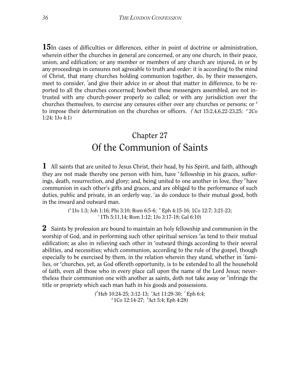15In cases of difficulties or differences, either in point of doctrine or administration, wherein either the churches in general are concerned, or any one church, in their peace, union, and edification; or any member or members of any church are injured, in or by any proceedings in censures not agreeable to truth and order: it is according to the mind of Christ, that many churches holding communion together, do, by their messengers, meet to consider, 'and give their advice in or about that matter in difference, to be reported to all the churches concerned; howbeit these messengers assembled, are not intrusted with any church-power properly so called; or with any jurisdiction over the churches themselves, to exercise any censures either over any churches or persons; or *<sup>g</sup>* to impose their determination on the churches or officers. (Act 15:2,4,6,22-23,25; <sup>*g*</sup>2Co 1:24; 1Jo 4:1)

# Chapter 27 Of the Communion of Saints

1 All saints that are united to Jesus Christ, their head, by his Spirit, and faith, although they are not made thereby one person with him, have <sup>a</sup> fellowship in his graces, sufferings, death, resurrection, and glory; and, being united to one another in love, they *<sup>b</sup>* have communion in each other's gifts and graces, and are obliged to the performance of such duties, public and private, in an orderly way, *<sup>c</sup>* as do conduce to their mutual good, both in the inward and outward man.

> ( *<sup>a</sup>*1Jo 1:3; Joh 1:16; Phi 3:10; Rom 6:5-6; *<sup>b</sup>* Eph 4:15-16; 1Co 12:7; 3:21-23; *<sup>c</sup>*1Th 5:11,14; Rom 1:12; 1Jo 3:17-18; Gal 6:10)

2 Saints by profession are bound to maintain an holy fellowship and communion in the worship of God, and in performing such other spiritual services <sup>d</sup>as tend to their mutual edification; as also in relieving each other in 'outward things according to their several abilities, and necessities; which communion, according to the rule of the gospel, though especially to be exercised by them, in the relation wherein they stand, whether in *<sup>f</sup>* families, or <sup>*g*</sup> churches, yet, as God offereth opportunity, is to be extended to all the household of faith, even all those who in every place call upon the name of the Lord Jesus; nevertheless their communion one with another as saints, doth not take away or *<sup>h</sup>* infringe the title or propriety which each man hath in his goods and possessions.

> ( *<sup>d</sup>*Heb 10:24-25; 3:12-13; *<sup>e</sup>* Act 11:29-30; *<sup>f</sup>* Eph 6:4; *<sup>g</sup>*1Co 12:14-27; *<sup>h</sup>* Act 5:4; Eph 4:28)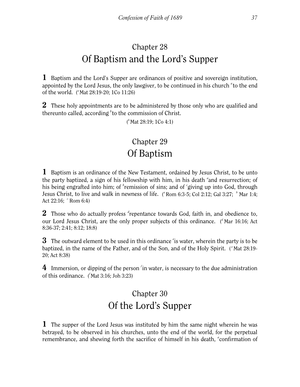# Chapter 28 Of Baptism and the Lord's Supper

1 Baptism and the Lord's Supper are ordinances of positive and sovereign institution, appointed by the Lord Jesus, the only lawgiver, to be continued in his church <sup>a</sup> to the end of the world. ("Mat 28:19-20; 1Co 11:26)

**2** These holy appointments are to be administered by those only who are qualified and thereunto called, according <sup>b</sup> to the commission of Christ.

(*b*Mat 28:19; 1Co 4:1)

# Chapter 29 Of Baptism

1 Baptism is an ordinance of the New Testament, ordained by Jesus Christ, to be unto the party baptized, a sign of his fellowship with him, in his death <sup>a</sup> and resurrection; of his being engrafted into him; of <sup>b</sup>remission of sins; and of 'giving up into God, through Jesus Christ, to live and walk in newness of life. ("Rom 6:3-5; Col 2:12; Gal 3:27; <sup>b</sup> Mar 1:4; Act 22:16; <sup>c</sup> Rom 6:4)

2 Those who do actually profess <sup>d</sup>repentance towards God, faith in, and obedience to, our Lord Jesus Christ, are the only proper subjects of this ordinance. (<sup>d</sup> Mar 16:16; Act 8:36-37; 2:41; 8:12; 18:8)

3 The outward element to be used in this ordinance *<sup>e</sup>* is water, wherein the party is to be baptized, in the name of the Father, and of the Son, and of the Holy Spirit. (<sup>e</sup> Mat 28:19-20; Act 8:38)

4 Immersion, or dipping of the person *<sup>f</sup>* in water, is necessary to the due administration of this ordinance. ( *<sup>f</sup>*Mat 3:16; Joh 3:23)

# Chapter 30 Of the Lord's Supper

1 The supper of the Lord Jesus was instituted by him the same night wherein he was betrayed, to be observed in his churches, unto the end of the world, for the perpetual remembrance, and shewing forth the sacrifice of himself in his death, "confirmation of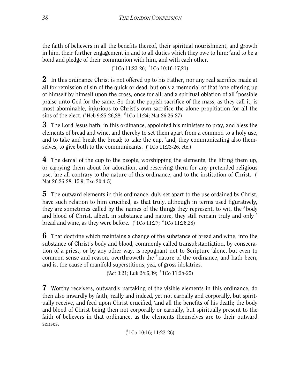the faith of believers in all the benefits thereof, their spiritual nourishment, and growth in him, their further engagement in and to all duties which they owe to him; <sup>b</sup>and to be a bond and pledge of their communion with him, and with each other.

( *<sup>a</sup>*1Co 11:23-26; *<sup>b</sup>* 1Co 10:16-17,21)

2 In this ordinance Christ is not offered up to his Father, nor any real sacrifice made at all for remission of sin of the quick or dead, but only a memorial of that <sup>c</sup>one offering up of himself by himself upon the cross, once for all; and a spiritual oblation of all *<sup>d</sup>* possible praise unto God for the same. So that the popish sacrifice of the mass, as they call it, is most abominable, injurious to Christ's own sacrifice the alone propitiation for all the sins of the elect. ('Heb 9:25-26,28; <sup>d</sup> 1Co 11:24; Mat 26:26-27)

**3** The Lord Jesus hath, in this ordinance, appointed his ministers to pray, and bless the elements of bread and wine, and thereby to set them apart from a common to a holy use, and to take and break the bread; to take the cup, *<sup>e</sup>* and, they communicating also themselves, to give both to the communicants. (<sup>e</sup> 1Co 11:23-26, etc.)

4 The denial of the cup to the people, worshipping the elements, the lifting them up, or carrying them about for adoration, and reserving them for any pretended religious use, 'are all contrary to the nature of this ordinance, and to the institution of Christ. ( Mat 26:26-28; 15:9; Exo 20:4-5)

5 The outward elements in this ordinance, duly set apart to the use ordained by Christ, have such relation to him crucified, as that truly, although in terms used figuratively, they are sometimes called by the names of the things they represent, to wit, the <sup>*g*</sup> body and blood of Christ, albeit, in substance and nature, they still remain truly and only *<sup>h</sup>* bread and wine, as they were before. (<sup>*q*</sup> 1Co 11:27; <sup>*h*</sup> 1Co 11:26,28)

6 That doctrine which maintains a change of the substance of bread and wine, into the substance of Christ's body and blood, commonly called transubstantiation, by consecration of a priest, or by any other way, is repugnant not to Scripture *<sup>i</sup>* alone, but even to common sense and reason, overthroweth the <sup>k</sup> nature of the ordinance, and hath been, and is, the cause of manifold superstitions, yea, of gross idolatries.

( *i* Act 3:21; Luk 24:6,39; *<sup>k</sup>* 1Co 11:24-25)

7 Worthy receivers, outwardly partaking of the visible elements in this ordinance, do then also inwardly by faith, really and indeed, yet not carnally and corporally, but spiritually receive, and feed upon Christ crucified, *<sup>l</sup>* and all the benefits of his death; the body and blood of Christ being then not corporally or carnally, but spiritually present to the faith of believers in that ordinance, as the elements themselves are to their outward senses.

( *<sup>l</sup>*1Co 10:16; 11:23-26)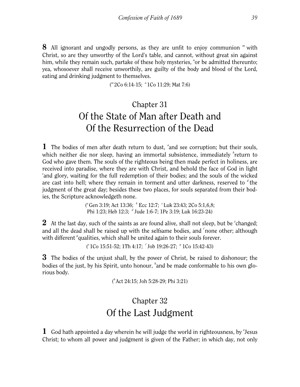8 All ignorant and ungodly persons, as they are unfit to enjoy communion *<sup>m</sup>* with Christ, so are they unworthy of the Lord's table, and cannot, without great sin against him, while they remain such, partake of these holy mysteries, "or be admitted thereunto; yea, whosoever shall receive unworthily, are guilty of the body and blood of the Lord, eating and drinking judgment to themselves.

( *<sup>m</sup>*2Co 6:14-15; *<sup>n</sup>*1Co 11:29; Mat 7:6)

# Chapter 31 Of the State of Man after Death and Of the Resurrection of the Dead

1 The bodies of men after death return to dust, <sup>a</sup> and see corruption; but their souls, which neither die nor sleep, having an immortal subsistence, immediately <sup>b</sup>return to God who gave them. The souls of the righteous being then made perfect in holiness, are received into paradise, where they are with Christ, and behold the face of God in light *c* and glory, waiting for the full redemption of their bodies; and the souls of the wicked are cast into hell; where they remain in torment and utter darkness, reserved to <sup>d</sup> the judgment of the great day; besides these two places, for souls separated from their bodies, the Scripture acknowledgeth none.

> ( *<sup>a</sup>*Gen 3:19; Act 13:36; *<sup>b</sup>* Ecc 12:7; *<sup>c</sup>*Luk 23:43; 2Co 5:1,6,8; Phi 1:23; Heb 12:3; *<sup>d</sup>* Jude 1:6-7; 1Pe 3:19; Luk 16:23-24)

2 At the last day, such of the saints as are found alive, shall not sleep, but be <sup>*e*</sup>changed; and all the dead shall be raised up with the selfsame bodies, and *<sup>f</sup>* none other; although with different <sup>*q*</sup> qualities, which shall be united again to their souls forever.

( *<sup>e</sup>*1Co 15:51-52; 1Th 4:17; *<sup>f</sup>* Job 19:26-27; *<sup>g</sup>* 1Co 15:42-43)

3 The bodies of the unjust shall, by the power of Christ, be raised to dishonour; the bodies of the just, by his Spirit, unto honour, *<sup>h</sup>* and be made conformable to his own glorious body.

( *<sup>h</sup>*Act 24:15; Joh 5:28-29; Phi 3:21)

# Chapter 32 Of the Last Judgment

1 God hath appointed a day wherein he will judge the world in righteousness, by <sup>*a*</sup> Jesus Christ; to whom all power and judgment is given of the Father; in which day, not only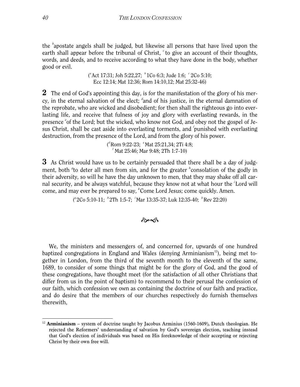the *<sup>b</sup>* apostate angels shall be judged, but likewise all persons that have lived upon the earth shall appear before the tribunal of Christ, <sup>c</sup> to give an account of their thoughts, words, and deeds, and to receive according to what they have done in the body, whether good or evil.

> ( *<sup>a</sup>*Act 17:31; Joh 5:22,27; *<sup>b</sup>*1Co 6:3; Jude 1:6; *<sup>c</sup>* 2Co 5:10; Ecc 12:14; Mat 12:36; Rom 14:10,12; Mat 25:32-46)

2 The end of God's appointing this day, is for the manifestation of the glory of his mercy, in the eternal salvation of the elect; <sup>d</sup>and of his justice, in the eternal damnation of the reprobate, who are wicked and disobedient; for then shall the righteous go into everlasting life, and receive that fulness of joy and glory with everlasting rewards, in the presence <sup>e</sup> of the Lord; but the wicked, who know not God, and obey not the gospel of Jesus Christ, shall be cast aside into everlasting torments, and *<sup>f</sup>* punished with everlasting destruction, from the presence of the Lord, and from the glory of his power.

> ( *<sup>d</sup>*Rom 9:22-23; *<sup>e</sup>*Mat 25:21,34; 2Ti 4:8; *f* Mat 25:46; Mar 9:48; 2Th 1:7-10)

**3** As Christ would have us to be certainly persuaded that there shall be a day of judgment, both <sup>*f*</sup> to deter all men from sin, and for the greater <sup>*h*</sup> consolation of the godly in their adversity, so will he have the day unknown to men, that they may shake off all carnal security, and be always watchful, because they know not at what hour the *<sup>i</sup>* Lord will come, and may ever be prepared to say, *<sup>k</sup>* Come Lord Jesus; come quickly. Amen.

( *<sup>g</sup>*2Co 5:10-11; *<sup>h</sup>*2Th 1:5-7; *<sup>i</sup>* Mar 13:35-37; Luk 12:35-40; *<sup>k</sup>*Rev 22:20)

#### কৈৰ্ক

We, the ministers and messengers of, and concerned for, upwards of one hundred baptized congregations in England and Wales (denying Arminianism<sup>12</sup>), being met together in London, from the third of the seventh month to the eleventh of the same, 1689, to consider of some things that might be for the glory of God, and the good of these congregations, have thought meet (for the satisfaction of all other Christians that differ from us in the point of baptism) to recommend to their perusal the confession of our faith, which confession we own as containing the doctrine of our faith and practice, and do desire that the members of our churches respectively do furnish themselves therewith,

<span id="page-40-0"></span> $12$  **Arminianism** – system of doctrine taught by Jacobus Arminius (1560-1609), Dutch theologian. He rejected the Reformers' understanding of salvation by God's sovereign election, teaching instead that God's election of individuals was based on His foreknowledge of their accepting or rejecting Christ by their own free will.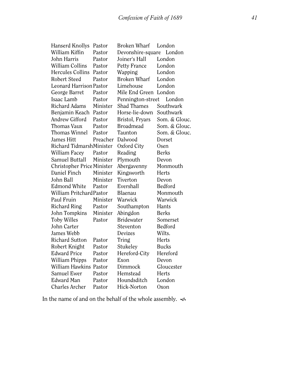Hanserd Knollys Pastor Broken Wharf London William Kiffin Pastor Devonshire-square London John Harris Pastor Joiner's Hall London William Collins Pastor Petty France London Hercules Collins Pastor Wapping London Robert Steed Pastor Broken Wharf London Leonard HarrisonPastor Limehouse London George Barret Pastor Mile End Green London Isaac Lamb Pastor Pennington-street London Richard Adams Minister Shad Thames Southwark Benjamin Keach Pastor Horse-lie-down Southwark Andrew Gifford Pastor Bristol, Fryars Som. & Glouc. Thomas Vaux Pastor Broadmead Som. & Glouc. Thomas Winnel Pastor Taunton Som. & Glouc. James Hitt Preacher Dalwood Dorset Richard TidmarshMinister Oxford City Osen William Facey Pastor Reading Berks Samuel Buttall Minister Plymouth Devon Christopher Price Minister Abergavenny Monmouth Daniel Finch Minister Kingsworth Herts John Ball Minister Tiverton Devon Edmond White Pastor Evershall Bedford William Pritchard Pastor Blaenau Monmouth Paul Fruin Minister Warwick Warwick Richard Ring Pastor Southampton Hants John Tompkins Minister Abingdon Berks Toby Willes Pastor Bridewater Somerset John Carter Steventon Bedford James Webb Devizes Wilts. Richard Sutton Pastor Tring Herts Robert Knight Pastor Stukeley Bucks Edward Price Pastor Hereford-City Hereford William Phipps Pastor Exon Devon William Hawkins Pastor Dimmock Gloucester Samuel Ewer Pastor Hemstead Herts Edward Man Pastor Houndsditch London Charles Archer Pastor Hick-Norton Oxon

In the name of and on the behalf of the whole assembly.  $\infty$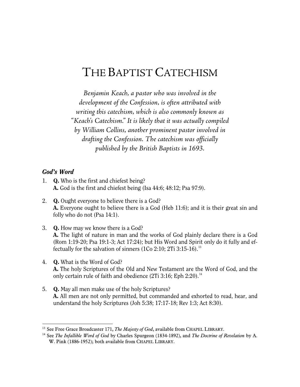# THE BAPTIST CATECHISM

*Benjamin Keach, a pastor who was involved in the development of the Confession, is often attributed with writing this catechism, which is also commonly known as "Keach's Catechism." It is likely that it was actually compiled by William Collins, another prominent pastor involved in drafting the Confession. The catechism was officially published by the British Baptists in 1693.*

## *God's Word*

- 1. Q. Who is the first and chiefest being? A. God is the first and chiefest being (Isa 44:6; 48:12; Psa 97:9).
- 2. Q. Ought everyone to believe there is a God? A. Everyone ought to believe there is a God (Heb 11:6); and it is their great sin and folly who do not (Psa 14:1).
- 3. Q. How may we know there is a God? A. The light of nature in man and the works of God plainly declare there is a God (Rom 1:19-20; Psa 19:1-3; Act 17:24); but His Word and Spirit only do it fully and ef-fectually for the salvation of sinners (1Co 2:10; 2Ti 3:15-16).<sup>[13](#page-42-0)</sup>
- 4. Q. What is the Word of God? A. The holy Scriptures of the Old and New Testament are the Word of God, and the only certain rule of faith and obedience  $(2Ti\ 3:16; Eph\ 2:20).<sup>14</sup>$  $(2Ti\ 3:16; Eph\ 2:20).<sup>14</sup>$  $(2Ti\ 3:16; Eph\ 2:20).<sup>14</sup>$
- 5. Q. May all men make use of the holy Scriptures? A. All men are not only permitted, but commanded and exhorted to read, hear, and understand the holy Scriptures (Joh 5:38; 17:17-18; Rev 1:3; Act 8:30).

<span id="page-42-1"></span><span id="page-42-0"></span><sup>&</sup>lt;sup>13</sup> See Free Grace Broadcaster 171, *The Majesty of God*, available from CHAPEL LIBRARY.<br><sup>14</sup> See *The Infallible Word of God* by Charles Spurgeon (1834-1892), and *The Doctrine of Revelation* by A.

W. Pink (1886-1952); both available from CHAPEL LIBRARY.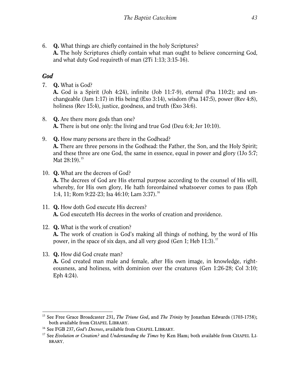6. Q. What things are chiefly contained in the holy Scriptures? A. The holy Scriptures chiefly contain what man ought to believe concerning God, and what duty God requireth of man (2Ti 1:13; 3:15-16).

# *God*

7. Q. What is God?

A. God is a Spirit (Joh 4:24), infinite (Job 11:7-9), eternal (Psa 110:2); and unchangeable (Jam 1:17) in His being (Exo 3:14), wisdom (Psa 147:5), power (Rev 4:8), holiness (Rev 15:4), justice, goodness, and truth (Exo 34:6).

- 8. Q. Are there more gods than one? A. There is but one only: the living and true God (Deu 6:4; Jer 10:10).
- 9. Q. How many persons are there in the Godhead? A. There are three persons in the Godhead: the Father, the Son, and the Holy Spirit; and these three are one God, the same in essence, equal in power and glory (1Jo 5:7; Mat  $28:19$ .<sup>[15](#page-43-0)</sup>
- 10. Q. What are the decrees of God? A. The decrees of God are His eternal purpose according to the counsel of His will, whereby, for His own glory, He hath foreordained whatsoever comes to pass (Eph 1:4, 11; Rom 9:22-23; Isa 46:10; Lam 3:37).<sup>[16](#page-43-1)</sup>
- 11. Q. How doth God execute His decrees? A. God executeth His decrees in the works of creation and providence.
- 12. Q. What is the work of creation?

A. The work of creation is God's making all things of nothing, by the word of His power, in the space of six days, and all very good (Gen 1; Heb  $11:3$ ).<sup>[17](#page-43-2)</sup>

## 13. Q. How did God create man?

A. God created man male and female, after His own image, in knowledge, righteousness, and holiness, with dominion over the creatures (Gen 1:26-28; Col 3:10; Eph 4:24).

<span id="page-43-0"></span><sup>-</sup><sup>15</sup> See Free Grace Broadcaster 231, *The Triune God*, and *The Trinity* by Jonathan Edwards (1703-1758); both available from CHAPEL LIBRARY. 16 See FGB 237, *God's Decrees*, available from CHAPEL LIBRARY. 17 See *Evolution or Creation?* and *Understanding the Times* by Ken Ham; both available from CHAPEL LI-

<span id="page-43-1"></span>

<span id="page-43-2"></span>BRARY.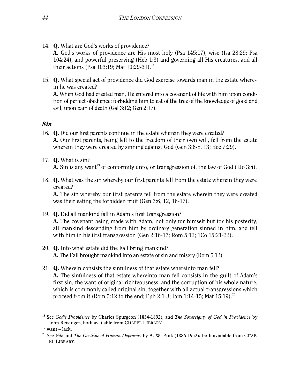- 14. Q. What are God's works of providence? A. God's works of providence are His most holy (Psa 145:17), wise (Isa 28:29; Psa 104:24), and powerful preserving (Heb 1:3) and governing all His creatures, and all their actions (Psa 103:19; Mat 10:29-31).<sup>[18](#page-44-0)</sup>
- 15. Q. What special act of providence did God exercise towards man in the estate wherein he was created? A. When God had created man, He entered into a covenant of life with him upon condition of perfect obedience: forbidding him to eat of the tree of the knowledge of good and evil, upon pain of death (Gal 3:12; Gen 2:17).

#### *Sin*

- 16. Q. Did our first parents continue in the estate wherein they were created? A. Our first parents, being left to the freedom of their own will, fell from the estate wherein they were created by sinning against God (Gen 3:6-8, 13; Ecc 7:29).
- 17. Q. What is sin? **A.** Sin is any want<sup>19</sup> of conformity unto, or transgression of, the law of God (1Jo 3:4).
- 18. Q. What was the sin whereby our first parents fell from the estate wherein they were created?

A. The sin whereby our first parents fell from the estate wherein they were created was their eating the forbidden fruit (Gen 3:6, 12, 16-17).

- 19. Q. Did all mankind fall in Adam's first transgression? A. The covenant being made with Adam, not only for himself but for his posterity, all mankind descending from him by ordinary generation sinned in him, and fell with him in his first transgression (Gen 2:16-17; Rom 5:12; 1Co 15:21-22).
- 20. Q. Into what estate did the Fall bring mankind? A. The Fall brought mankind into an estate of sin and misery (Rom 5:12).
- 21. Q. Wherein consists the sinfulness of that estate whereinto man fell? A. The sinfulness of that estate whereinto man fell consists in the guilt of Adam's first sin, the want of original righteousness, and the corruption of his whole nature, which is commonly called original sin, together with all actual transgressions which proceed from it (Rom 5:12 to the end; Eph 2:1-3; Jam 1:14-15; Mat 15:19).<sup>[20](#page-44-2)</sup>

<span id="page-44-0"></span><sup>18</sup> See *God's Providence* by Charles Spurgeon (1834-1892), and *The Sovereignty of God in Providence* by John Reisinger; both available from CHAPEL LIBRARY. 19 **want** – lack.

<span id="page-44-2"></span><span id="page-44-1"></span><sup>20</sup> See *Vile* and *The Doctrine of Human Depravity* by A. W. Pink (1886-1952); both available from CHAP-EL LIBRARY.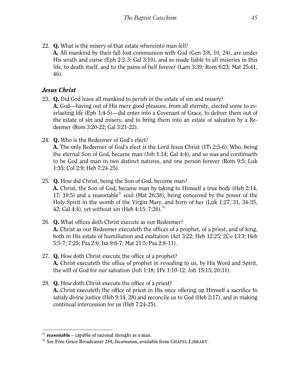22. Q. What is the misery of that estate whereinto man fell? A. All mankind by their fall lost communion with God (Gen 3:8, 10, 24), are under His wrath and curse (Eph 2:2-3; Gal 3:10), and so made liable to all miseries in this life, to death itself, and to the pains of hell forever (Lam 3:39; Rom 6:23; Mat 25:41, 46).

## *Jesus Christ*

- 23. Q. Did God leave all mankind to perish in the estate of sin and misery? A. God—having out of His mere good pleasure, from all eternity, elected some to everlasting life (Eph 1:4-5)—did enter into a Covenant of Grace, to deliver them out of the estate of sin and misery, and to bring them into an estate of salvation by a Redeemer (Rom 3:20-22; Gal 3:21-22).
- 24. Q. Who is the Redeemer of God's elect?

A. The only Redeemer of God's elect is the Lord Jesus Christ (1Ti 2:5-6); Who, being the eternal Son of God, became man (Joh 1:14; Gal 4:4), and so was and continueth to be God and man in two distinct natures, and one person forever (Rom 9:5; Luk 1:35; Col 2:9; Heb 7:24-25).

25. Q. How did Christ, being the Son of God, become man?

A. Christ, the Son of God, became man by taking to Himself a true body (Heb 2:14, 17; 10:5) and a reasonable<sup>[21](#page-45-0)</sup> soul (Mat 26:38); being conceived by the power of the Holy Spirit in the womb of the Virgin Mary, and born of her (Luk 1:27, 31, 34-35, 42; Gal 4:4), yet without sin (Heb 4:15; 7:26).<sup>[22](#page-45-1)</sup>

- 26. Q. What offices doth Christ execute as our Redeemer? A. Christ as our Redeemer executeth the offices of a prophet, of a priest, and of king, both in His estate of humiliation and exaltation (Act 3:22; Heb 12:25; 2Co 13:3; Heb 5:5-7; 7:25; Psa 2:6; Isa 9:6-7; Mat 21:5; Psa 2:8-11).
- 27. Q. How doth Christ execute the office of a prophet? A. Christ executeth the office of prophet in revealing to us, by His Word and Spirit, the will of God for our salvation (Joh 1:18; 1Pe 1:10-12; Joh 15:15; 20:31).
- 28. Q. How doth Christ execute the office of a priest? A. Christ executeth the office of priest in His once offering up Himself a sacrifice to satisfy divine justice (Heb 9:14, 28) and reconcile us to God (Heb 2:17), and in making continual intercession for us (Heb 7:24-25).

<span id="page-45-0"></span> $21$  **reasonable** – capable of rational thought as a man.

<span id="page-45-1"></span><sup>&</sup>lt;sup>22</sup> See Free Grace Broadcaster 234, *Incarnation*, available from CHAPEL LIBRARY.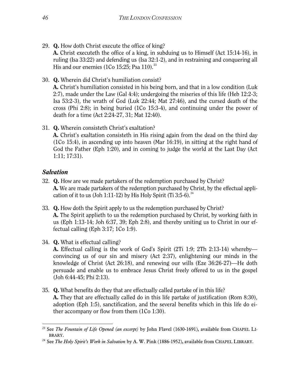- 29. Q. How doth Christ execute the office of king? A. Christ executeth the office of a king, in subduing us to Himself (Act 15:14-16), in ruling (Isa 33:22) and defending us (Isa 32:1-2), and in restraining and conquering all His and our enemies  $(1)$ Co 15:25; Psa 110).<sup>[23](#page-46-0)</sup>
- 30. Q. Wherein did Christ's humiliation consist? A. Christ's humiliation consisted in his being born, and that in a low condition (Luk 2:7), made under the Law (Gal 4:4); undergoing the miseries of this life (Heb 12:2-3; Isa 53:2-3), the wrath of God (Luk 22:44; Mat 27:46), and the cursed death of the cross (Phi 2:8); in being buried (1Co 15:3-4), and continuing under the power of death for a time (Act 2:24-27, 31; Mat 12:40).
- 31. Q. Wherein consisteth Christ's exaltation? A. Christ's exaltation consisteth in His rising again from the dead on the third day (1Co 15:4), in ascending up into heaven (Mar 16:19), in sitting at the right hand of God the Father (Eph 1:20), and in coming to judge the world at the Last Day (Act 1:11; 17:31).

## *Salvation*

- 32. Q. How are we made partakers of the redemption purchased by Christ? A. We are made partakers of the redemption purchased by Christ, by the effectual appli-cation of it to us (Joh 1:11-12) by His Holy Spirit (Ti 3:5-6).<sup>[24](#page-46-1)</sup>
- 33. Q. How doth the Spirit apply to us the redemption purchased by Christ? A. The Spirit applieth to us the redemption purchased by Christ, by working faith in us (Eph 1:13-14; Joh 6:37, 39; Eph 2:8), and thereby uniting us to Christ in our effectual calling (Eph 3:17; 1Co 1:9).
- 34. Q. What is effectual calling?

A. Effectual calling is the work of God's Spirit (2Ti 1:9; 2Th 2:13-14) whereby convincing us of our sin and misery (Act 2:37), enlightening our minds in the knowledge of Christ (Act 26:18), and renewing our wills (Eze 36:26-27)—He doth persuade and enable us to embrace Jesus Christ freely offered to us in the gospel (Joh 6:44-45; Phi 2:13).

35. Q. What benefits do they that are effectually called partake of in this life? A. They that are effectually called do in this life partake of justification (Rom 8:30), adoption (Eph 1:5), sanctification, and the several benefits which in this life do either accompany or flow from them (1Co 1:30).

<span id="page-46-0"></span>l <sup>23</sup> See *The Fountain of Life Opened (an excerpt)* by John Flavel (1630-1691), available from CHAPEL LI-BRARY. 24 See *The Holy Spirit's Work in Salvation* by A. W. Pink (1886-1952), available from CHAPEL LIBRARY.

<span id="page-46-1"></span>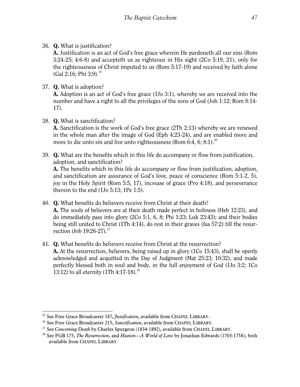36. Q. What is justification?

A. Justification is an act of God's free grace wherein He pardoneth all our sins (Rom 3:24-25; 4:6-8) and accepteth us as righteous in His sight (2Co 5:19, 21), only for the righteousness of Christ imputed to us (Rom 5:17-19) and received by faith alone (Gal 2:16; Phi 3:9).<sup>[25](#page-47-0)</sup>

37. Q. What is adoption?

A. Adoption is an act of God's free grace (1Jo 3:1), whereby we are received into the number and have a right to all the privileges of the sons of God (Joh 1:12; Rom 8:14- 17).

38. Q. What is sanctification?

A. Sanctification is the work of God's free grace (2Th 2:13) whereby we are renewed in the whole man after the image of God (Eph 4:23-24), and are enabled more and more to die unto sin and live unto righteousness (Rom 6:4, 6; 8:1).<sup>[26](#page-47-1)</sup>

39. Q. What are the benefits which in this life do accompany or flow from justification, adoption, and sanctification?

A. The benefits which in this life do accompany or flow from justification, adoption, and sanctification are assurance of God's love, peace of conscience (Rom 5:1-2, 5), joy in the Holy Spirit (Rom 5:5, 17), increase of grace (Pro 4:18), and perseverance therein to the end (1Jo 5:13; 1Pe 1:5).

40. Q. What benefits do believers receive from Christ at their death?

A. The souls of believers are at their death made perfect in holiness (Heb 12:23), and do immediately pass into glory (2Co 5:1, 6, 8; Phi 1:23; Luk 23:43); and their bodies being still united to Christ (1Th 4:14), do rest in their graves (Isa 57:2) till the resur-rection (Job 19:26-[27](#page-47-2)).<sup>27</sup>

41. Q. What benefits do believers receive from Christ at the resurrection? A. At the resurrection, believers, being raised up in glory (1Co 15:43), shall be openly acknowledged and acquitted in the Day of Judgment (Mat 25:23; 10:32), and made perfectly blessed both in soul and body, in the full enjoyment of God (1Jo 3:2; 1Co 13:12) to all eternity  $(1Th 4:17-18)^{28}$  $(1Th 4:17-18)^{28}$  $(1Th 4:17-18)^{28}$ 

<sup>-</sup>

<span id="page-47-2"></span>

<span id="page-47-3"></span>

<span id="page-47-1"></span><span id="page-47-0"></span><sup>&</sup>lt;sup>25</sup> See Free Grace Broadcaster 187, *Justification*, available from CHAPEL LIBRARY.<br><sup>26</sup> See Free Grace Broadcaster 215, *Sanctification*, available from CHAPEL LIBRARY.<br><sup>27</sup> See Concerning Death by Charles Spurgeon (183 available from CHAPEL LIBRARY.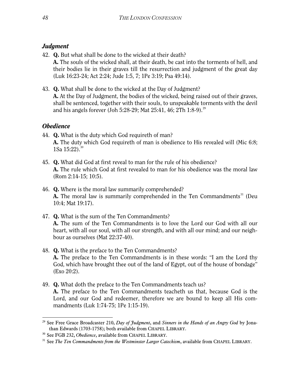# *Judgment*

- 42. Q. But what shall be done to the wicked at their death? A. The souls of the wicked shall, at their death, be cast into the torments of hell, and their bodies lie in their graves till the resurrection and judgment of the great day (Luk 16:23-24; Act 2:24; Jude 1:5, 7; 1Pe 3:19; Psa 49:14).
- 43. Q. What shall be done to the wicked at the Day of Judgment? A. At the Day of Judgment, the bodies of the wicked, being raised out of their graves, shall be sentenced, together with their souls, to unspeakable torments with the devil and his angels forever (Joh 5:28-[29](#page-48-0); Mat 25:41, 46; 2Th 1:8-9).<sup>29</sup>

# *Obedience*

- 44. Q. What is the duty which God requireth of man? A. The duty which God requireth of man is obedience to His revealed will (Mic 6:8; 1Sa  $15:22$ ).<sup>[30](#page-48-1)</sup>
- 45. Q. What did God at first reveal to man for the rule of his obedience? A. The rule which God at first revealed to man for his obedience was the moral law (Rom 2:14-15; 10:5).
- 46. Q. Where is the moral law summarily comprehended? **A.** The moral law is summarily comprehended in the Ten Commandments<sup>[31](#page-48-2)</sup> (Deu 10:4; Mat 19:17).
- 47. Q. What is the sum of the Ten Commandments? A. The sum of the Ten Commandments is to love the Lord our God with all our heart, with all our soul, with all our strength, and with all our mind; and our neighbour as ourselves (Mat 22:37-40).
- 48. Q. What is the preface to the Ten Commandments? A. The preface to the Ten Commandments is in these words: "I am the Lord thy God, which have brought thee out of the land of Egypt, out of the house of bondage" (Exo 20:2).
- 49. Q. What doth the preface to the Ten Commandments teach us? A. The preface to the Ten Commandments teacheth us that, because God is the Lord, and our God and redeemer, therefore we are bound to keep all His commandments (Luk 1:74-75; 1Pe 1:15-19).

<span id="page-48-0"></span><sup>-</sup><sup>29</sup> See Free Grace Broadcaster 210, *Day of Judgment*, and *Sinners in the Hands of an Angry God* by Jonathan Edwards (1703-1758); both available from CHAPEL LIBRARY.<br><sup>30</sup> See FGB 232, *Obedience*, available from CHAPEL LIBRARY.<br><sup>31</sup> See *The Ten Commandments from the Westminster Larger Catechism*, available from CHAPEL LIBRA

<span id="page-48-1"></span>

<span id="page-48-2"></span>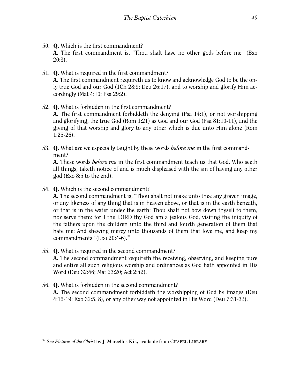- 50. Q. Which is the first commandment? A. The first commandment is, "Thou shalt have no other gods before me" (Exo 20:3).
- 51. Q. What is required in the first commandment? A. The first commandment requireth us to know and acknowledge God to be the only true God and our God (1Ch 28:9; Deu 26:17), and to worship and glorify Him accordingly (Mat 4:10; Psa 29:2).
- 52. Q. What is forbidden in the first commandment? A. The first commandment forbiddeth the denying (Psa 14:1), or not worshipping and glorifying, the true God (Rom 1:21) as God and our God (Psa 81:10-11), and the giving of that worship and glory to any other which is due unto Him alone (Rom 1:25-26).
- 53. Q. What are we especially taught by these words *before me* in the first commandment?

A. These words *before me* in the first commandment teach us that God, Who seeth all things, taketh notice of and is much displeased with the sin of having any other god (Exo 8:5 to the end).

54. Q. Which is the second commandment?

A. The second commandment is, "Thou shalt not make unto thee any graven image, or any likeness of any thing that is in heaven above, or that is in the earth beneath, or that is in the water under the earth: Thou shalt not bow down thyself to them, nor serve them: for I the LORD thy God am a jealous God, visiting the iniquity of the fathers upon the children unto the third and fourth generation of them that hate me; And shewing mercy unto thousands of them that love me, and keep my commandments" (Exo  $20:4-6$ ).<sup>[32](#page-49-0)</sup>

55. Q. What is required in the second commandment?

A. The second commandment requireth the receiving, observing, and keeping pure and entire all such religious worship and ordinances as God hath appointed in His Word (Deu 32:46; Mat 23:20; Act 2:42).

56. Q. What is forbidden in the second commandment? A. The second commandment forbiddeth the worshipping of God by images (Deu

4:15-19; Exo 32:5, 8), or any other way not appointed in His Word (Deu 7:31-32).

<span id="page-49-0"></span><sup>-</sup><sup>32</sup> See *Pictures of the Christ* by J. Marcellus Kik, available from CHAPEL LIBRARY.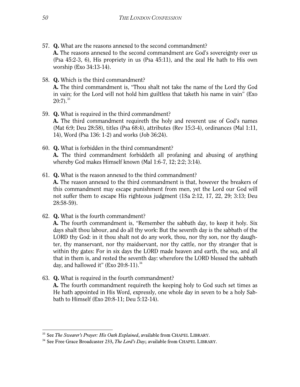- 57. Q. What are the reasons annexed to the second commandment? A. The reasons annexed to the second commandment are God's sovereignty over us (Psa 45:2-3, 6), His propriety in us (Psa 45:11), and the zeal He hath to His own worship (Exo 34:13-14).
- 58. Q. Which is the third commandment? A. The third commandment is, "Thou shalt not take the name of the Lord thy God in vain; for the Lord will not hold him guiltless that taketh his name in vain" (Exo  $20:7$ ).  $33$
- 59. Q. What is required in the third commandment? A. The third commandment requireth the holy and reverent use of God's names (Mat 6:9; Deu 28:58), titles (Psa 68:4), attributes (Rev 15:3-4), ordinances (Mal 1:11, 14), Word (Psa 136: 1-2) and works (Job 36:24).
- 60. Q. What is forbidden in the third commandment? A. The third commandment forbiddeth all profaning and abusing of anything whereby God makes Himself known (Mal 1:6-7, 12; 2:2; 3:14).
- 61. Q. What is the reason annexed to the third commandment? A. The reason annexed to the third commandment is that, however the breakers of this commandment may escape punishment from men, yet the Lord our God will not suffer them to escape His righteous judgment (1Sa 2:12, 17, 22, 29; 3:13; Deu 28:58-59).
- 62. Q. What is the fourth commandment?

A. The fourth commandment is, "Remember the sabbath day, to keep it holy. Six days shalt thou labour, and do all thy work: But the seventh day is the sabbath of the LORD thy God: in it thou shalt not do any work, thou, nor thy son, nor thy daughter, thy manservant, nor thy maidservant, nor thy cattle, nor thy stranger that is within thy gates: For in six days the LORD made heaven and earth, the sea, and all that in them is, and rested the seventh day: wherefore the LORD blessed the sabbath day, and hallowed it" (Exo  $20:8-11$ ).<sup>[34](#page-50-1)</sup>

63. Q. What is required in the fourth commandment? A. The fourth commandment requireth the keeping holy to God such set times as He hath appointed in His Word, expressly, one whole day in seven to be a holy Sabbath to Himself (Exo 20:8-11; Deu 5:12-14).

<span id="page-50-1"></span><span id="page-50-0"></span><sup>&</sup>lt;sup>33</sup> See *The Swearer's Prayer: His Oath Explained*, available from CHAPEL LIBRARY.<br><sup>34</sup> See Free Grace Broadcaster 233, *The Lord's Day*; available from CHAPEL LIBRARY.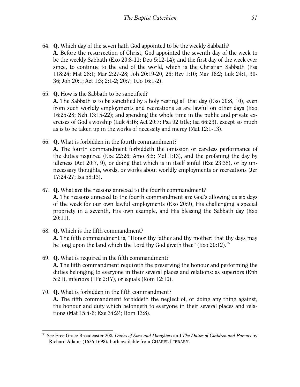- 64. Q. Which day of the seven hath God appointed to be the weekly Sabbath? A. Before the resurrection of Christ, God appointed the seventh day of the week to be the weekly Sabbath (Exo 20:8-11; Deu 5:12-14); and the first day of the week ever since, to continue to the end of the world, which is the Christian Sabbath (Psa 118:24; Mat 28:1; Mar 2:27-28; Joh 20:19-20, 26; Rev 1:10; Mar 16:2; Luk 24:1, 30- 36; Joh 20:1; Act 1:3; 2:1-2; 20:7; 1Co 16:1-2).
- 65. Q. How is the Sabbath to be sanctified?

-

A. The Sabbath is to be sanctified by a holy resting all that day (Exo 20:8, 10), even from such worldly employments and recreations as are lawful on other days (Exo 16:25-28; Neh 13:15-22); and spending the whole time in the public and private exercises of God's worship (Luk 4:16; Act 20:7; Psa 92 title; Isa 66:23), except so much as is to be taken up in the works of necessity and mercy (Mat 12:1-13).

66. Q. What is forbidden in the fourth commandment?

A. The fourth commandment forbiddeth the omission or careless performance of the duties required (Eze 22:26; Amo 8:5; Mal 1:13), and the profaning the day by idleness (Act 20:7, 9), or doing that which is in itself sinful (Eze 23:38), or by unnecessary thoughts, words, or works about worldly employments or recreations (Jer 17:24-27; Isa 58:13).

67. Q. What are the reasons annexed to the fourth commandment?

A. The reasons annexed to the fourth commandment are God's allowing us six days of the week for our own lawful employments (Exo 20:9), His challenging a special propriety in a seventh, His own example, and His blessing the Sabbath day (Exo 20:11).

- 68. Q. Which is the fifth commandment? A. The fifth commandment is, "Honor thy father and thy mother: that thy days may be long upon the land which the Lord thy God giveth thee" (Exo  $20:12$ ).<sup>[35](#page-51-0)</sup>
- 69. Q. What is required in the fifth commandment? A. The fifth commandment requireth the preserving the honour and performing the duties belonging to everyone in their several places and relations: as superiors (Eph 5:21), inferiors (1Pe 2:17), or equals (Rom 12:10).
- 70. Q. What is forbidden in the fifth commandment? A. The fifth commandment forbiddeth the neglect of, or doing any thing against, the honour and duty which belongeth to everyone in their several places and relations (Mat 15:4-6; Eze 34:24; Rom 13:8).

<span id="page-51-0"></span><sup>35</sup> See Free Grace Broadcaster 208, *Duties of Sons and Daughters* and *The Duties of Children and Parents* by Richard Adams (1626-1698); both available from CHAPEL LIBRARY.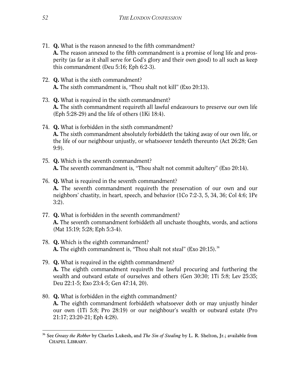- 71. Q. What is the reason annexed to the fifth commandment? A. The reason annexed to the fifth commandment is a promise of long life and prosperity (as far as it shall serve for God's glory and their own good) to all such as keep this commandment (Deu 5:16; Eph 6:2-3).
- 72. Q. What is the sixth commandment? A. The sixth commandment is, "Thou shalt not kill" (Exo 20:13).
- 73. Q. What is required in the sixth commandment? A. The sixth commandment requireth all lawful endeavours to preserve our own life (Eph 5:28-29) and the life of others (1Ki 18:4).
- 74. Q. What is forbidden in the sixth commandment? A. The sixth commandment absolutely forbiddeth the taking away of our own life, or the life of our neighbour unjustly, or whatsoever tendeth thereunto (Act 26:28; Gen 9:9).
- 75. Q. Which is the seventh commandment? A. The seventh commandment is, "Thou shalt not commit adultery" (Exo 20:14).
- 76. Q. What is required in the seventh commandment? A. The seventh commandment requireth the preservation of our own and our neighbors' chastity, in heart, speech, and behavior (1Co 7:2-3, 5, 34, 36; Col 4:6; 1Pe 3:2).
- 77. Q. What is forbidden in the seventh commandment? A. The seventh commandment forbiddeth all unchaste thoughts, words, and actions (Mat 15:19; 5:28; Eph 5:3-4).
- 78. Q. Which is the eighth commandment? **A.** The eighth commandment is, "Thou shalt not steal" (Exo  $20:15$ ).  $36$
- 79. Q. What is required in the eighth commandment? A. The eighth commandment requireth the lawful procuring and furthering the wealth and outward estate of ourselves and others (Gen 30:30; 1Ti 5:8; Lev 25:35; Deu 22:1-5; Exo 23:4-5; Gen 47:14, 20).
- 80. Q. What is forbidden in the eighth commandment? A. The eighth commandment forbiddeth whatsoever doth or may unjustly hinder our own (1Ti 5:8; Pro 28:19) or our neighbour's wealth or outward estate (Pro 21:17; 23:20-21; Eph 4:28).

<span id="page-52-0"></span><sup>-</sup><sup>36</sup> See *Greasy the Robber* by Charles Lukesh, and *The Sin of Stealing* by L. R. Shelton, Jr.; available from CHAPEL LIBRARY.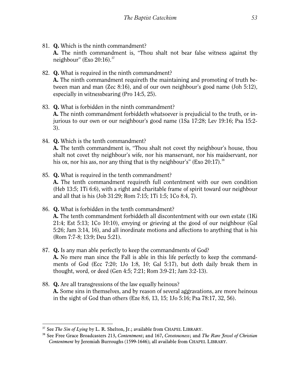- 81. Q. Which is the ninth commandment? A. The ninth commandment is, "Thou shalt not bear false witness against thy neighbour" (Exo  $20:16$ ).<sup>[37](#page-53-0)</sup>
- 82. Q. What is required in the ninth commandment? A. The ninth commandment requireth the maintaining and promoting of truth between man and man (Zec 8:16), and of our own neighbour's good name (Joh 5:12), especially in witnessbearing (Pro 14:5, 25).
- 83. Q. What is forbidden in the ninth commandment? A. The ninth commandment forbiddeth whatsoever is prejudicial to the truth, or injurious to our own or our neighbour's good name (1Sa 17:28; Lev 19:16; Psa 15:2- 3).
- 84. Q. Which is the tenth commandment? A. The tenth commandment is, "Thou shalt not covet thy neighbour's house, thou shalt not covet thy neighbour's wife, nor his manservant, nor his maidservant, nor his ox, nor his ass, nor any thing that is thy neighbour's" (Exo  $20:17$ ).<sup>[38](#page-53-1)</sup>
- 85. Q. What is required in the tenth commandment? A. The tenth commandment requireth full contentment with our own condition (Heb 13:5; 1Ti 6:6), with a right and charitable frame of spirit toward our neighbour and all that is his (Job 31:29; Rom 7:15; 1Ti 1:5; 1Co 8:4, 7).
- 86. Q. What is forbidden in the tenth commandment? A. The tenth commandment forbiddeth all discontentment with our own estate (1Ki 21:4; Est 5:13; 1Co 10:10), envying or grieving at the good of our neighbour (Gal 5:26; Jam 3:14, 16), and all inordinate motions and affections to anything that is his (Rom 7:7-8; 13:9; Deu 5:21).
- 87. Q. Is any man able perfectly to keep the commandments of God? A. No mere man since the Fall is able in this life perfectly to keep the commandments of God (Ecc 7:20; 1Jo 1:8, 10; Gal 5:17), but doth daily break them in thought, word, or deed (Gen 4:5; 7:21; Rom 3:9-21; Jam 3:2-13).
- 88. Q. Are all transgressions of the law equally heinous? A. Some sins in themselves, and by reason of several aggravations, are more heinous in the sight of God than others (Eze 8:6, 13, 15; 1Jo 5:16; Psa 78:17, 32, 56).

<span id="page-53-1"></span><span id="page-53-0"></span><sup>37</sup> See *The Sin of Lying* by L. R. Shelton, Jr.; available from CHAPEL LIBRARY. 38 See Free Grace Broadcasters 213, *Contentment*; and 167, *Covetousness*; and *The Rare Jewel of Christian Contentment* by Jeremiah Burroughs (1599-1646); all available from CHAPEL LIBRARY.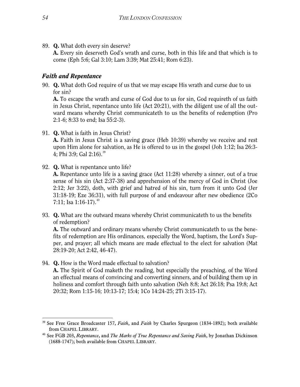89. Q. What doth every sin deserve?

A. Every sin deserveth God's wrath and curse, both in this life and that which is to come (Eph 5:6; Gal 3:10; Lam 3:39; Mat 25:41; Rom 6:23).

## *Faith and Repentance*

90. Q. What doth God require of us that we may escape His wrath and curse due to us for sin?

A. To escape the wrath and curse of God due to us for sin, God requireth of us faith in Jesus Christ, repentance unto life (Act 20:21), with the diligent use of all the outward means whereby Christ communicateth to us the benefits of redemption (Pro 2:1-6; 8:33 to end; Isa 55:2-3).

91. Q. What is faith in Jesus Christ?

A. Faith in Jesus Christ is a saving grace (Heb 10:39) whereby we receive and rest upon Him alone for salvation, as He is offered to us in the gospel (Joh 1:12; Isa 26:3- 4; Phi 3:9; Gal  $2:16$ .<sup>[39](#page-54-0)</sup>

92. Q. What is repentance unto life?

A. Repentance unto life is a saving grace (Act 11:28) whereby a sinner, out of a true sense of his sin (Act 2:37-38) and apprehension of the mercy of God in Christ (Joe 2:12; Jer 3:22), doth, with grief and hatred of his sin, turn from it unto God (Jer 31:18-19; Eze 36:31), with full purpose of and endeavour after new obedience (2Co 7:11; Isa 1:16-17).  $40$ 

93. Q. What are the outward means whereby Christ communicateth to us the benefits of redemption?

A. The outward and ordinary means whereby Christ communicateth to us the benefits of redemption are His ordinances, especially the Word, baptism, the Lord's Supper, and prayer; all which means are made effectual to the elect for salvation (Mat 28:19-20; Act 2:42, 46-47).

94. Q. How is the Word made effectual to salvation?

A. The Spirit of God maketh the reading, but especially the preaching, of the Word an effectual means of convincing and converting sinners, and of building them up in holiness and comfort through faith unto salvation (Neh 8:8; Act 26:18; Psa 19:8; Act 20:32; Rom 1:15-16; 10:13-17; 15:4; 1Co 14:24-25; 2Ti 3:15-17).

<span id="page-54-0"></span><sup>39</sup> See Free Grace Broadcaster 157, *Faith*, and *Faith* by Charles Spurgeon (1834-1892); both available from CHAPEL LIBRARY. 40 See FGB 203, *Repentance*, and *The Marks of True Repentance and Saving Faith*, by Jonathan Dickinson

<span id="page-54-1"></span><sup>(1688-1747);</sup> both available from CHAPEL LIBRARY.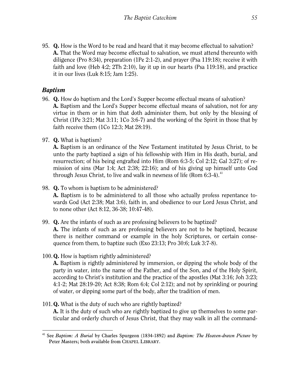95. Q. How is the Word to be read and heard that it may become effectual to salvation? A. That the Word may become effectual to salvation, we must attend thereunto with diligence (Pro 8:34), preparation (1Pe 2:1-2), and prayer (Psa 119:18); receive it with faith and love (Heb 4:2; 2Th 2:10), lay it up in our hearts (Psa 119:18), and practice it in our lives (Luk 8:15; Jam 1:25).

# *Baptism*

- 96. Q. How do baptism and the Lord's Supper become effectual means of salvation? A. Baptism and the Lord's Supper become effectual means of salvation, not for any virtue in them or in him that doth administer them, but only by the blessing of Christ (1Pe 3:21; Mat 3:11; 1Co 3:6-7) and the working of the Spirit in those that by faith receive them  $(1Co\ 12:3; Mat\ 28:19)$ .
- 97. Q. What is baptism?

A. Baptism is an ordinance of the New Testament instituted by Jesus Christ, to be unto the party baptized a sign of his fellowship with Him in His death, burial, and resurrection; of his being engrafted into Him (Rom 6:3-5; Col 2:12; Gal 3:27); of remission of sins (Mar 1:4; Act 2:38; 22:16); and of his giving up himself unto God through Jesus Christ, to live and walk in newness of life (Rom  $6:3-4$ ).<sup>[41](#page-55-0)</sup>

## 98. Q. To whom is baptism to be administered?

A. Baptism is to be administered to all those who actually profess repentance towards God (Act 2:38; Mat 3:6), faith in, and obedience to our Lord Jesus Christ, and to none other (Act 8:12, 36-38; 10:47-48).

99. Q. Are the infants of such as are professing believers to be baptized?

A. The infants of such as are professing believers are not to be baptized, because there is neither command or example in the holy Scriptures, or certain consequence from them, to baptize such (Exo 23:13; Pro 30:6; Luk 3:7-8).

100.Q. How is baptism rightly administered?

A. Baptism is rightly administered by immersion, or dipping the whole body of the party in water, into the name of the Father, and of the Son, and of the Holy Spirit, according to Christ's institution and the practice of the apostles (Mat 3:16; Joh 3:23; 4:1-2; Mat 28:19-20; Act 8:38; Rom 6:4; Col 2:12); and not by sprinkling or pouring of water, or dipping some part of the body, after the tradition of men.

101.Q. What is the duty of such who are rightly baptized? A. It is the duty of such who are rightly baptized to give up themselves to some particular and orderly church of Jesus Christ, that they may walk in all the command-

<span id="page-55-0"></span><sup>-</sup><sup>41</sup> See *Baptism: A Burial* by Charles Spurgeon (1834-1892) and *Baptism: The Heaven-drawn Picture* by Peter Masters; both available from CHAPEL LIBRARY.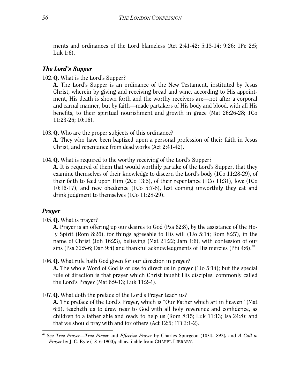ments and ordinances of the Lord blameless (Act 2:41-42; 5:13-14; 9:26; 1Pe 2:5; Luk 1:6).

#### *The Lord's Supper*

102.Q. What is the Lord's Supper?

A. The Lord's Supper is an ordinance of the New Testament, instituted by Jesus Christ, wherein by giving and receiving bread and wine, according to His appointment, His death is shown forth and the worthy receivers are—not after a corporal and carnal manner, but by faith—made partakers of His body and blood, with all His benefits, to their spiritual nourishment and growth in grace (Mat 26:26-28; 1Co 11:23-26; 10:16).

103.Q. Who are the proper subjects of this ordinance?

A. They who have been baptized upon a personal profession of their faith in Jesus Christ, and repentance from dead works (Act 2:41-42).

104. Q. What is required to the worthy receiving of the Lord's Supper?

A. It is required of them that would worthily partake of the Lord's Supper, that they examine themselves of their knowledge to discern the Lord's body (1Co 11:28-29), of their faith to feed upon Him (2Co 13:5), of their repentance (1Co 11:31), love (1Co 10:16-17), and new obedience (1Co 5:7-8), lest coming unworthily they eat and drink judgment to themselves (1Co 11:28-29).

## *Prayer*

105.Q. What is prayer?

A. Prayer is an offering up our desires to God (Psa 62:8), by the assistance of the Holy Spirit (Rom 8:26), for things agreeable to His will (1Jo 5:14; Rom 8:27), in the name of Christ (Joh 16:23), believing (Mat 21:22; Jam 1:6), with confession of our sins (Psa 32:5-6; Dan 9:4) and thankful acknowledgments of His mercies (Phi 4:6).<sup>[42](#page-56-0)</sup>

106.Q. What rule hath God given for our direction in prayer?

A. The whole Word of God is of use to direct us in prayer (1Jo 5:14); but the special rule of direction is that prayer which Christ taught His disciples, commonly called the Lord's Prayer (Mat 6:9-13; Luk 11:2-4).

107.Q. What doth the preface of the Lord's Prayer teach us?

A. The preface of the Lord's Prayer, which is "Our Father which art in heaven" (Mat 6:9), teacheth us to draw near to God with all holy reverence and confidence, as children to a father able and ready to help us (Rom 8:15; Luk 11:13; Isa 24:8); and that we should pray with and for others (Act 12:5; 1Ti 2:1-2).

<span id="page-56-0"></span><sup>-</sup><sup>42</sup> See *True Prayer—True Power* and *Effective Prayer* by Charles Spurgeon (1834-1892), and *A Call to Prayer* by J. C. Ryle (1816-1900); all available from CHAPEL LIBRARY.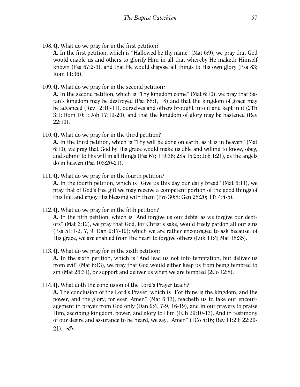108.Q. What do we pray for in the first petition?

A. In the first petition, which is "Hallowed be thy name" (Mat 6:9), we pray that God would enable us and others to glorify Him in all that whereby He maketh Himself known (Psa 67:2-3), and that He would dispose all things to His own glory (Psa 83; Rom 11:36).

109.Q. What do we pray for in the second petition?

A. In the second petition, which is "Thy kingdom come" (Mat 6:10), we pray that Satan's kingdom may be destroyed (Psa 68:1, 18) and that the kingdom of grace may be advanced (Rev 12:10-11), ourselves and others brought into it and kept in it (2Th 3:1; Rom 10:1; Joh 17:19-20), and that the kingdom of glory may be hastened (Rev 22:10).

110.Q. What do we pray for in the third petition?

A. In the third petition, which is "Thy will be done on earth, as it is in heaven" (Mat 6:10), we pray that God by His grace would make us able and willing to know, obey, and submit to His will in all things (Psa 67; 119:36; 2Sa 15:25; Job 1:21), as the angels do in heaven (Psa 103:20-21).

111. Q. What do we pray for in the fourth petition?

A. In the fourth petition, which is "Give us this day our daily bread" (Mat 6:11), we pray that of God's free gift we may receive a competent portion of the good things of this life, and enjoy His blessing with them (Pro 30:8; Gen 28:20; 1Ti 4:4-5).

112.Q. What do we pray for in the fifth petition?

A. In the fifth petition, which is "And forgive us our debts, as we forgive our debtors" (Mat 6:12), we pray that God, for Christ's sake, would freely pardon all our sins (Psa 51:1-2, 7, 9; Dan 9:17-19); which we are rather encouraged to ask because, of His grace, we are enabled from the heart to forgive others (Luk 11:4; Mat 18:35).

# 113.Q. What do we pray for in the sixth petition?

A. In the sixth petition, which is "And lead us not into temptation, but deliver us from evil" (Mat 6:13), we pray that God would either keep us from being tempted to sin (Mat 26:31), or support and deliver us when we are tempted (2Co 12:8).

114.Q. What doth the conclusion of the Lord's Prayer teach?

A. The conclusion of the Lord's Prayer, which is "For thine is the kingdom, and the power, and the glory, for ever. Amen" (Mat 6:13), teacheth us to take our encouragement in prayer from God only (Dan 9:4, 7-9, 16-19), and in our prayers to praise Him, ascribing kingdom, power, and glory to Him (1Ch 29:10-13). And in testimony of our desire and assurance to be heard, we say, "Amen" (1Co 4:16; Rev 11:20; 22:20-  $21$ ).  $\infty$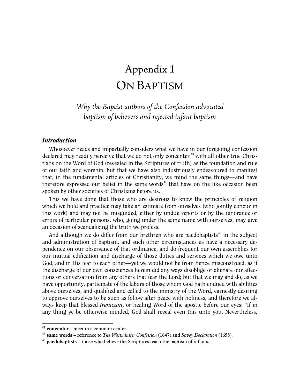# Appendix 1 ON BAPTISM

*Why the Baptist authors of the Confession advocated baptism of believers and rejected infant baptism*

#### *Introduction*

Whosoever reads and impartially considers what we have in our foregoing confession declared may readily perceive that we do not only concenter<sup>[43](#page-58-0)</sup> with all other true Christians on the Word of God (revealed in the Scriptures of truth) as the foundation and rule of our faith and worship, but that we have also industriously endeavoured to manifest that, in the fundamental articles of Christianity, we mind the same things—and have therefore expressed our belief in the same words $44$  that have on the like occasion been spoken by other societies of Christians before us.

This we have done that those who are desirous to know the principles of religion which we hold and practice may take an estimate from ourselves (who jointly concur in this work) and may not be misguided, either by undue reports or by the ignorance or errors of particular persons, who, going under the same name with ourselves, may give an occasion of scandalizing the truth we profess.

And although we do differ from our brethren who are paedobaptists<sup> $45$ </sup> in the subject and administration of baptism, and such other circumstances as have a necessary dependence on our observance of that ordinance, and do frequent our own assemblies for our mutual edification and discharge of those duties and services which we owe unto God, and in His fear to each other—yet we would not be from hence misconstrued, as if the discharge of our own consciences herein did any ways disoblige or alienate our affections or conversation from any others that fear the Lord; but that we may and do, as we have opportunity, participate of the labors of those whom God hath endued with abilities above ourselves, and qualified and called to the ministry of the Word, earnestly desiring to approve ourselves to be such as follow after peace with holiness, and therefore we always keep that blessed *Irenicum*, or healing Word of the apostle before our eyes: "If in any thing ye be otherwise minded, God shall reveal even this unto you. Nevertheless,

<span id="page-58-0"></span><sup>43</sup> **concenter** – meet in a common center.

<span id="page-58-1"></span><sup>44</sup> **same words** – reference to *The Westminster Confession* (1647) and *Savoy Declaration* (1658).

<span id="page-58-2"></span><sup>45</sup> **paedobaptists** – those who believe the Scriptures teach the baptism of infants.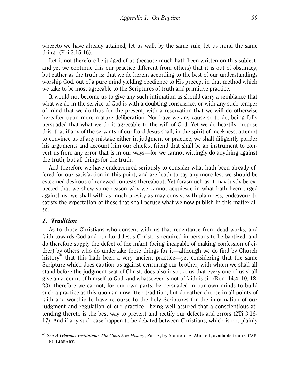whereto we have already attained, let us walk by the same rule, let us mind the same thing" (Phi 3:15-16).

Let it not therefore be judged of us (because much hath been written on this subject, and yet we continue this our practice different from others) that it is out of obstinacy, but rather as the truth is: that we do herein according to the best of our understandings worship God, out of a pure mind yielding obedience to His precept in that method which we take to be most agreeable to the Scriptures of truth and primitive practice.

It would not become us to give any such intimation as should carry a semblance that what we do in the service of God is with a doubting conscience, or with any such temper of mind that we do thus for the present, with a reservation that we will do otherwise hereafter upon more mature deliberation. Nor have we any cause so to do, being fully persuaded that what we do is agreeable to the will of God. Yet we do heartily propose this, that if any of the servants of our Lord Jesus shall, in the spirit of meekness, attempt to convince us of any mistake either in judgment or practice, we shall diligently ponder his arguments and account him our chiefest friend that shall be an instrument to convert us from any error that is in our ways—for we cannot wittingly do anything against the truth, but all things for the truth.

And therefore we have endeavoured seriously to consider what hath been already offered for our satisfaction in this point, and are loath to say any more lest we should be esteemed desirous of renewed contests thereabout. Yet forasmuch as it may justly be expected that we show some reason why we cannot acquiesce in what hath been urged against us, we shall with as much brevity as may consist with plainness, endeavour to satisfy the expectation of those that shall peruse what we now publish in this matter also.

#### *1. Tradition*

-

As to those Christians who consent with us that repentance from dead works, and faith towards God and our Lord Jesus Christ, is required in persons to be baptized, and do therefore supply the defect of the infant (being incapable of making confession of either) by others who do undertake these things for it—although we do find by Church history<sup>[46](#page-59-0)</sup> that this hath been a very ancient practice—yet considering that the same Scripture which does caution us against censuring our brother, with whom we shall all stand before the judgment seat of Christ, does also instruct us that every one of us shall give an account of himself to God, and whatsoever is not of faith is sin (Rom 14:4, 10, 12, 23): therefore we cannot, for our own parts, be persuaded in our own minds to build such a practice as this upon an unwritten tradition; but do rather choose in all points of faith and worship to have recourse to the holy Scriptures for the information of our judgment and regulation of our practice—being well assured that a conscientious attending thereto is the best way to prevent and rectify our defects and errors (2Ti 3:16- 17). And if any such case happen to be debated between Christians, which is not plainly

<span id="page-59-0"></span><sup>46</sup> See *A Glorious Institution: The Church in History*, Part 3, by Stanford E. Murrell; available from CHAP-EL LIBRARY.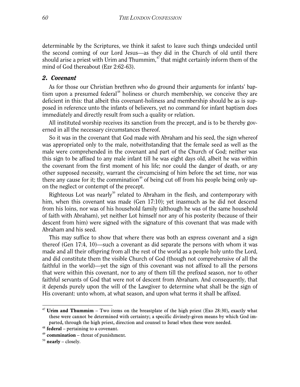determinable by the Scriptures, we think it safest to leave such things undecided until the second coming of our Lord Jesus—as they did in the Church of old until there should arise a priest with Urim and Thummim, $47$  that might certainly inform them of the mind of God thereabout (Ezr 2:62-63).

#### *2. Covenant*

As for those our Christian brethren who do ground their arguments for infants' baptism upon a presumed federal<sup>48</sup> holiness or church membership, we conceive they are deficient in this: that albeit this covenant-holiness and membership should be as is supposed in reference unto the infants of believers, yet no command for infant baptism does immediately and directly result from such a quality or relation.

All instituted worship receives its sanction from the precept, and is to be thereby governed in all the necessary circumstances thereof.

So it was in the covenant that God made with Abraham and his seed, the sign whereof was appropriated only to the male, notwithstanding that the female seed as well as the male were comprehended in the covenant and part of the Church of God; neither was this sign to be affixed to any male infant till he was eight days old, albeit he was within the covenant from the first moment of his life; nor could the danger of death, or any other supposed necessity, warrant the circumcising of him before the set time, nor was there any cause for it; the commination<sup>[49](#page-60-2)</sup> of being cut off from his people being only upon the neglect or contempt of the precept.

Righteous Lot was nearly<sup>[50](#page-60-3)</sup> related to Abraham in the flesh, and contemporary with him, when this covenant was made (Gen 17:10); yet inasmuch as he did not descend from his loins, nor was of his household family (although he was of the same household of faith with Abraham), yet neither Lot himself nor any of his posterity (because of their descent from him) were signed with the signature of this covenant that was made with Abraham and his seed.

This may suffice to show that where there was both an express covenant and a sign thereof (Gen 17:4, 10)—such a covenant as did separate the persons with whom it was made and all their offspring from all the rest of the world as a people holy unto the Lord, and did constitute them the visible Church of God (though not comprehensive of all the faithful in the world)—yet the sign of this covenant was not affixed to all the persons that were within this covenant, nor to any of them till the prefixed season, nor to other faithful servants of God that were not of descent from Abraham. And consequently, that it depends purely upon the will of the Lawgiver to determine what shall be the sign of His covenant: unto whom, at what season, and upon what terms it shall be affixed.

<span id="page-60-0"></span><sup>47</sup> **Urim and Thummim** – Two items on the breastplate of the high priest (Exo 28:30), exactly what these were cannot be determined with certainty; a specific divinely-given means by which God imparted, through the high priest, direction and counsel to Israel when these were needed.

<span id="page-60-1"></span><sup>48</sup> **federal** – pertaining to a covenant.

<span id="page-60-2"></span><sup>49</sup> **commination** – threat of punishment.

<span id="page-60-3"></span><sup>50</sup> **nearly** – closely.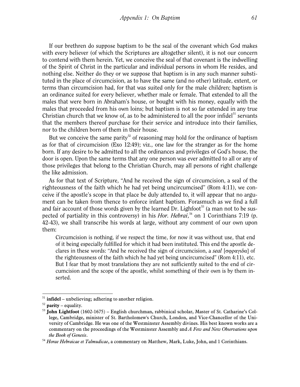If our brethren do suppose baptism to be the seal of the covenant which God makes with every believer (of which the Scriptures are altogether silent), it is not our concern to contend with them herein. Yet, we conceive the seal of that covenant is the indwelling of the Spirit of Christ in the particular and individual persons in whom He resides, and nothing else. Neither do they or we suppose that baptism is in any such manner substituted in the place of circumcision, as to have the same (and no other) latitude, extent, or terms than circumcision had, for that was suited only for the male children; baptism is an ordinance suited for every believer, whether male or female. That extended to all the males that were born in Abraham's house, or bought with his money, equally with the males that proceeded from his own loins; but baptism is not so far extended in any true Christian church that we know of, as to be administered to all the poor infidel<sup>[51](#page-61-0)</sup> servants that the members thereof purchase for their service and introduce into their families, nor to the children born of them in their house.

But we conceive the same parity<sup>[52](#page-61-1)</sup> of reasoning may hold for the ordinance of baptism as for that of circumcision (Exo 12:49); viz., one law for the stranger as for the home born. If any desire to be admitted to all the ordinances and privileges of God's house, the door is open. Upon the same terms that any one person was ever admitted to all or any of those privileges that belong to the Christian Church, may all persons of right challenge the like admission.

As for that text of Scripture, "And he received the sign of circumcision, a seal of the righteousness of the faith which he had yet being uncircumcised" (Rom 4:11), we conceive if the apostle's scope in that place be duly attended to, it will appear that no argument can be taken from thence to enforce infant baptism. Forasmuch as we find a full and fair account of those words given by the learned Dr. Lighfoot<sup>[53](#page-61-2)</sup> (a man not to be suspected of partiality in this controversy) in his *Hor. Hebrai*, [54](#page-61-3) on 1 Corinthians 7:19 (p. 42-43), we shall transcribe his words at large, without any comment of our own upon them:

Circumcision is nothing, if we respect the time, for now it was without use, that end of it being especially fulfilled for which it had been instituted. This end the apostle declares in these words: "And he received the sign of circumcision, a *seal* [σφραγιδα] of the righteousness of the faith which he had yet being uncircumcised" (Rom 4:11), etc. But I fear that by most translations they are not sufficiently suited to the end of circumcision and the scope of the apostle, whilst something of their own is by them inserted.

<span id="page-61-0"></span><sup>&</sup>lt;sup>51</sup> **infidel** – unbelieving; adhering to another religion.

<span id="page-61-1"></span> $52$  **parity** – equality.

<span id="page-61-2"></span><sup>53</sup> **John Lightfoot** (1602-1675) – English churchman, rabbinical scholar, Master of St. Catharine's College, Cambridge, minister of St. Bartholomew's Church, London, and Vice-Chancellor of the University of Cambridge. He was one of the Westminster Assembly divines. His best known works are a commentary on the proceedings of the Westminster Assembly and *A Few and New Observations upon the Book of Genesis*. 54 *Horae Hebraicae et Talmudicae*, a commentary on Matthew, Mark, Luke, John, and 1 Corinthians.

<span id="page-61-3"></span>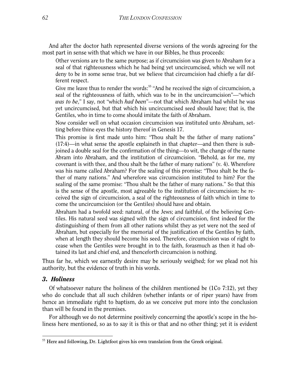And after the doctor hath represented diverse versions of the words agreeing for the most part in sense with that which we have in our Bibles, he thus proceeds:

Other versions are to the same purpose; as if circumcision was given to Abraham for a seal of that righteousness which he had being yet uncircumcised, which we will not deny to be in some sense true, but we believe that circumcision had chiefly a far different respect.

Give me leave thus to render the words:<sup>55</sup> "And he received the sign of circumcision, a seal of the righteousness of faith, which was to be in the uncircumcision"—"which *was to be*," I say, not "which *had been*"—not that which Abraham had whilst he was yet uncircumcised, but that which his uncircumcised seed should have; that is, the Gentiles, who in time to come should imitate the faith of Abraham.

Now consider well on what occasion circumcision was instituted unto Abraham, setting before thine eyes the history thereof in Genesis 17.

This promise is first made unto him: "Thou shalt be the father of many nations" (17:4)—in what sense the apostle explaineth in that chapter—and then there is subjoined a double seal for the confirmation of the thing—to wit, the change of the name Abram into Abraham, and the institution of circumcision. "Behold, as for me, my covenant is with thee, and thou shalt be the father of many nations"  $(v, 4)$ . Wherefore was his name called Abraham? For the sealing of this promise: "Thou shalt be the father of many nations." And wherefore was circumcision instituted to him? For the sealing of the same promise: "Thou shalt be the father of many nations." So that this is the sense of the apostle, most agreeable to the institution of circumcision: he received the sign of circumcision, a seal of the righteousness of faith which in time to come the uncircumcision (or the Gentiles) should have and obtain.

Abraham had a twofold seed: natural, of the Jews; and faithful, of the believing Gentiles. His natural seed was signed with the sign of circumcision, first indeed for the distinguishing of them from all other nations whilst they as yet were not the seed of Abraham, but especially for the memorial of the justification of the Gentiles by faith, when at length they should become his seed. Therefore, circumcision was of right to cease when the Gentiles were brought in to the faith, forasmuch as then it had obtained its last and chief end, and thenceforth circumcision is nothing.

Thus far he, which we earnestly desire may be seriously weighed; for we plead not his authority, but the evidence of truth in his words.

#### *3. Holiness*

-

Of whatsoever nature the holiness of the children mentioned be  $(1Co 7:12)$ , yet they who do conclude that all such children (whether infants or of riper years) have from hence an immediate right to baptism, do as we conceive put more into the conclusion than will be found in the premises.

For although we do not determine positively concerning the apostle's scope in the holiness here mentioned, so as to say it is this or that and no other thing; yet it is evident

<span id="page-62-0"></span><sup>&</sup>lt;sup>55</sup> Here and following, Dr. Lightfoot gives his own translation from the Greek original.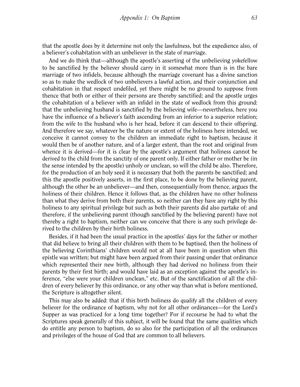that the apostle does by it determine not only the lawfulness, but the expedience also, of a believer's cohabitation with an unbeliever in the state of marriage.

And we do think that—although the apostle's asserting of the unbelieving yokefellow to be sanctified by the believer should carry in it somewhat more than is in the bare marriage of two infidels, because although the marriage covenant has a divine sanction so as to make the wedlock of two unbelievers a lawful action, and their conjunction and cohabitation in that respect undefiled, yet there might be no ground to suppose from thence that both or either of their persons are thereby sanctified; and the apostle urges the cohabitation of a believer with an infidel in the state of wedlock from this ground: that the unbelieving husband is sanctified by the believing wife—nevertheless, here you have the influence of a believer's faith ascending from an inferior to a superior relation; from the wife to the husband who is her head, before it can descend to their offspring. And therefore we say, whatever be the nature or extent of the holiness here intended, we conceive it cannot convey to the children an immediate right to baptism, because it would then be of another nature, and of a larger extent, than the root and original from whence it is derived—for it is clear by the apostle's argument that holiness cannot be derived to the child from the sanctity of one parent only. If either father or mother be (in the sense intended by the apostle) unholy or unclean, so will the child be also. Therefore, for the production of an holy seed it is necessary that both the parents be sanctified; and this the apostle positively asserts, in the first place, to be done by the believing parent, although the other be an unbeliever—and then, consequentially from thence, argues the holiness of their children. Hence it follows that, as the children have no other holiness than what they derive from both their parents, so neither can they have any right by this holiness to any spiritual privilege but such as both their parents did also partake of: and therefore, if the unbelieving parent (though sanctified by the believing parent) have not thereby a right to baptism, neither can we conceive that there is any such privilege derived to the children by their birth holiness.

Besides, if it had been the usual practice in the apostles' days for the father or mother that did believe to bring all their children with them to be baptised, then the holiness of the believing Corinthians' children would not at all have been in question when this epistle was written; but might have been argued from their passing under that ordinance which represented their new birth, although they had derived no holiness from their parents by their first birth; and would have laid as an exception against the apostle's inference, "else were your children unclean," etc. But of the sanctification of all the children of every believer by this ordinance, or any other way than what is before mentioned, the Scripture is altogether silent.

This may also be added: that if this birth holiness do qualify all the children of every believer for the ordinance of baptism, why not for all other ordinances—for the Lord's Supper as was practiced for a long time together? For if recourse be had to what the Scriptures speak generally of this subject, it will be found that the same qualities which do entitle any person to baptism, do so also for the participation of all the ordinances and privileges of the house of God that are common to all believers.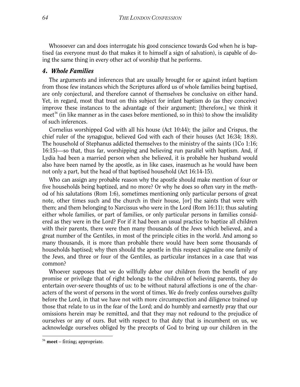Whosoever can and does interrogate his good conscience towards God when he is baptised (as everyone must do that makes it to himself a sign of salvation), is capable of doing the same thing in every other act of worship that he performs.

#### *4. Whole Families*

The arguments and inferences that are usually brought for or against infant baptism from those few instances which the Scriptures afford us of whole families being baptised, are only conjectural, and therefore cannot of themselves be conclusive on either hand. Yet, in regard, most that treat on this subject for infant baptism do (as they conceive) improve these instances to the advantage of their argument; [therefore,] we think it meet<sup>[56](#page-64-0)</sup> (in like manner as in the cases before mentioned, so in this) to show the invalidity of such inferences.

Cornelius worshipped God with all his house (Act 10:44); the jailor and Crispus, the chief ruler of the synagogue, believed God with each of their houses (Act 16:34; 18:8). The household of Stephanus addicted themselves to the ministry of the saints (1Co 1:16; 16:15)—so that, thus far, worshipping and believing run parallel with baptism. And, if Lydia had been a married person when she believed, it is probable her husband would also have been named by the apostle, as in like cases, inasmuch as he would have been not only a part, but the head of that baptised household (Act 16:14-15).

Who can assign any probable reason why the apostle should make mention of four or five households being baptized, and no more? Or why he does so often vary in the method of his salutations (Rom 1:6), sometimes mentioning only particular persons of great note, other times such and the church in their house, [or] the saints that were with them; and them belonging to Narcissus who were in the Lord (Rom 16:11); thus saluting either whole families, or part of families, or only particular persons in families considered as they were in the Lord? For if it had been an usual practice to baptize all children with their parents, there were then many thousands of the Jews which believed, and a great number of the Gentiles, in most of the principle cities in the world. And among so many thousands, it is more than probable there would have been some thousands of households baptised; why then should the apostle in this respect signalize one family of the Jews, and three or four of the Gentiles, as particular instances in a case that was common?

Whoever supposes that we do willfully debar our children from the benefit of any promise or privilege that of right belongs to the children of believing parents, they do entertain over-severe thoughts of us: to be without natural affections is one of the characters of the worst of persons in the worst of times. We do freely confess ourselves guilty before the Lord, in that we have not with more circumspection and diligence trained up those that relate to us in the fear of the Lord; and do humbly and earnestly pray that our omissions herein may be remitted, and that they may not redound to the prejudice of ourselves or any of ours. But with respect to that duty that is incumbent on us, we acknowledge ourselves obliged by the precepts of God to bring up our children in the

<span id="page-64-0"></span><sup>56</sup> **meet** – fitting; appropriate.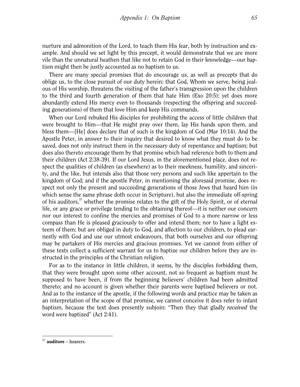nurture and admonition of the Lord, to teach them His fear, both by instruction and example. And should we set light by this precept, it would demonstrate that we are more vile than the unnatural heathen that like not to retain God in their knowledge—our baptism might then be justly accounted as no baptism to us.

There are many special promises that do encourage us, as well as precepts that do oblige us, to the close pursuit of our duty herein: that God, Whom we serve, being jealous of His worship, threatens the visiting of the father's transgression upon the children to the third and fourth generation of them that hate Him (Exo 20:5); yet does more abundantly extend His mercy even to thousands (respecting the offspring and succeeding generations) of them that love Him and keep His commands.

When our Lord rebuked His disciples for prohibiting the access of little children that were brought to Him—that He might pray over them, lay His hands upon them, and bless them—[He] does declare that of such is the kingdom of God (Mar 10:14). And the Apostle Peter, in answer to their inquiry that desired to know what they must do to be saved, does not only instruct them in the necessary duty of repentance and baptism; but does also thereto encourage them by that promise which had reference both to them and their children (Act 2:38-39). If our Lord Jesus, in the aforementioned place, does not respect the qualities of children (as elsewhere) as to their meekness, humility, and sincerity, and the like, but intends also that those very persons and such like appertain to the kingdom of God; and if the apostle Peter, in mentioning the aforesaid promise, does respect not only the present and succeeding generations of those Jews that heard him (in which sense the same phrase doth occur in Scripture), but also the immediate off-spring of his auditors,<sup>[57](#page-65-0)</sup> whether the promise relates to the gift of the Holy Spirit, or of eternal life, or any grace or privilege tending to the obtaining thereof—it is neither our concern nor our interest to confine the mercies and promises of God to a more narrow or less compass than He is pleased graciously to offer and intend them; nor to have a light esteem of them; but are obliged in duty to God, and affection to our children, to plead earnestly with God and use our utmost endeavours, that both ourselves and our offspring may be partakers of His mercies and gracious promises. Yet we cannot from either of these texts collect a sufficient warrant for us to baptize our children before they are instructed in the principles of the Christian religion.

For as to the instance in little children, it seems, by the disciples forbidding them, that they were brought upon some other account, not so frequent as baptism must be supposed to have been, if from the beginning believers' children had been admitted thereto; and no account is given whether their parents were baptised believers or not. And as to the instance of the apostle, if the following words and practice may be taken as an interpretation of the scope of that promise, we cannot conceive it does refer to infant baptism, because the text does presently subjoin: "Then they that gladly *received* the word were baptized" (Act 2:41).

<span id="page-65-0"></span><sup>57</sup> **auditors** – hearers.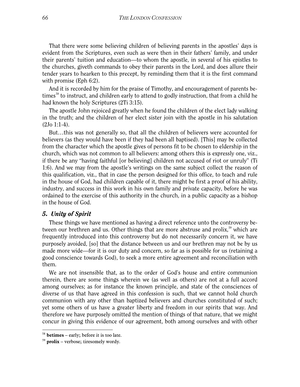That there were some believing children of believing parents in the apostles' days is evident from the Scriptures, even such as were then in their fathers' family, and under their parents' tuition and education—to whom the apostle, in several of his epistles to the churches, giveth commands to obey their parents in the Lord, and does allure their tender years to hearken to this precept, by reminding them that it is the first command with promise (Eph 6:2).

And it is recorded by him for the praise of Timothy, and encouragement of parents be-times<sup>[58](#page-66-0)</sup> to instruct, and children early to attend to godly instruction, that from a child he had known the holy Scriptures (2Ti 3:15).

The apostle John rejoiced greatly when he found the children of the elect lady walking in the truth; and the children of her elect sister join with the apostle in his salutation (2Jo 1:1-4).

But…this was not generally so, that all the children of believers were accounted for believers (as they would have been if they had been all baptised). [This] may be collected from the character which the apostle gives of persons fit to be chosen to eldership in the church, which was not common to all believers: among others this is expressly one, viz., if there be any "having faithful [or believing] children not accused of riot or unruly" (Ti 1:6). And we may from the apostle's writings on the same subject collect the reason of this qualification, viz., that in case the person designed for this office, to teach and rule in the house of God, had children capable of it, there might be first a proof of his ability, industry, and success in this work in his own family and private capacity, before he was ordained to the exercise of this authority in the church, in a public capacity as a bishop in the house of God.

#### *5. Unity of Spirit*

These things we have mentioned as having a direct reference unto the controversy be-tween our brethren and us. Other things that are more abstruse and prolix,<sup>[59](#page-66-1)</sup> which are frequently introduced into this controversy but do not necessarily concern it, we have purposely avoided, [so] that the distance between us and our brethren may not be by us made more wide—for it is our duty and concern, so far as is possible for us (retaining a good conscience towards God), to seek a more entire agreement and reconciliation with them.

We are not insensible that, as to the order of God's house and entire communion therein, there are some things wherein we (as well as others) are not at a full accord among ourselves; as for instance the known principle, and state of the consciences of diverse of us that have agreed in this confession is such, that we cannot hold church communion with any other than baptized believers and churches constituted of such; yet some others of us have a greater liberty and freedom in our spirits that way. And therefore we have purposely omitted the mention of things of that nature, that we might concur in giving this evidence of our agreement, both among ourselves and with other

<span id="page-66-0"></span><sup>58</sup> **betimes** – early; before it is too late.

<span id="page-66-1"></span><sup>59</sup> **prolix** – verbose; tiresomely wordy.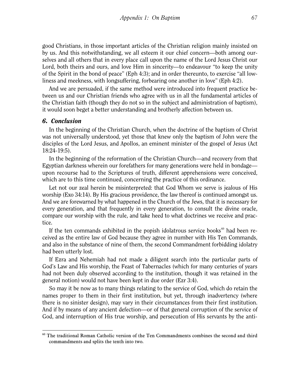good Christians, in those important articles of the Christian religion mainly insisted on by us. And this notwithstanding, we all esteem it our chief concern—both among ourselves and all others that in every place call upon the name of the Lord Jesus Christ our Lord, both theirs and ours, and love Him in sincerity—to endeavour "to keep the unity of the Spirit in the bond of peace" (Eph 4:3); and in order thereunto, to exercise "all lowliness and meekness, with longsuffering, forbearing one another in love" (Eph 4:2).

And we are persuaded, if the same method were introduced into frequent practice between us and our Christian friends who agree with us in all the fundamental articles of the Christian faith (though they do not so in the subject and administration of baptism), it would soon beget a better understanding and brotherly affection between us.

#### *6. Conclusion*

-

In the beginning of the Christian Church, when the doctrine of the baptism of Christ was not universally understood, yet those that knew only the baptism of John were the disciples of the Lord Jesus, and Apollos, an eminent minister of the gospel of Jesus (Act 18:24-19:5).

In the beginning of the reformation of the Christian Church—and recovery from that Egyptian darkness wherein our forefathers for many generations were held in bondage upon recourse had to the Scriptures of truth, different apprehensions were conceived, which are to this time continued, concerning the practice of this ordinance.

Let not our zeal herein be misinterpreted: that God Whom we serve is jealous of His worship (Exo 34:14). By His gracious providence, the law thereof is continued amongst us. And we are forewarned by what happened in the Church of the Jews, that it is necessary for every generation, and that frequently in every generation, to consult the divine oracle, compare our worship with the rule, and take heed to what doctrines we receive and practice.

If the ten commands exhibited in the popish idolatrous service books $^{60}$  $^{60}$  $^{60}$  had been received as the entire law of God because they agree in number with His Ten Commands, and also in the substance of nine of them, the second Commandment forbidding idolatry had been utterly lost.

If Ezra and Nehemiah had not made a diligent search into the particular parts of God's Law and His worship, the Feast of Tabernacles (which for many centuries of years had not been duly observed according to the institution, though it was retained in the general notion) would not have been kept in due order (Ezr 3:4).

So may it be now as to many things relating to the service of God, which do retain the names proper to them in their first institution, but yet, through inadvertency (where there is no sinister design), may vary in their circumstances from their first institution. And if by means of any ancient defection—or of that general corruption of the service of God, and interruption of His true worship, and persecution of His servants by the anti-

<span id="page-67-0"></span><sup>&</sup>lt;sup>60</sup> The traditional Roman Catholic version of the Ten Commandments combines the second and third commandments and splits the tenth into two.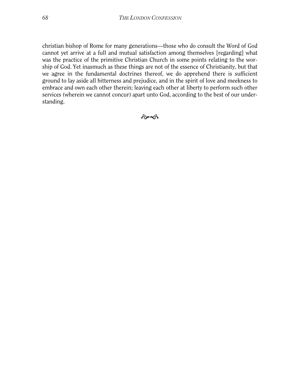christian bishop of Rome for many generations—those who do consult the Word of God cannot yet arrive at a full and mutual satisfaction among themselves [regarding] what was the practice of the primitive Christian Church in some points relating to the worship of God. Yet inasmuch as these things are not of the essence of Christianity, but that we agree in the fundamental doctrines thereof, we do apprehend there is sufficient ground to lay aside all bitterness and prejudice, and in the spirit of love and meekness to embrace and own each other therein; leaving each other at liberty to perform such other services (wherein we cannot concur) apart unto God, according to the best of our understanding.

কৈৰ্ক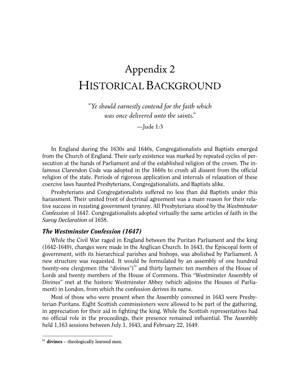# Appendix 2 HISTORICAL BACKGROUND

*"Ye should earnestly contend for the faith which was once delivered unto the saints."*

—Jude 1:3

In England during the 1630s and 1640s, Congregationalists and Baptists emerged from the Church of England. Their early existence was marked by repeated cycles of persecution at the hands of Parliament and of the established religion of the crown. The infamous Clarendon Code was adopted in the 1660s to crush all dissent from the official religion of the state. Periods of rigorous application and intervals of relaxation of these coercive laws haunted Presbyterians, Congregationalists, and Baptists alike.

Presbyterians and Congregationalists suffered no less than did Baptists under this harassment. Their united front of doctrinal agreement was a main reason for their relative success in resisting government tyranny. All Presbyterians stood by the *Westminster Confession* of 1647. Congregationalists adopted virtually the same articles of faith in the *Savoy Declaration* of 1658.

#### *The Westminster Confession (1647)*

While the Civil War raged in England between the Puritan Parliament and the king (1642-1649), changes were made in the Anglican Church. In 1643, the Episcopal form of government, with its hierarchical parishes and bishops, was abolished by Parliament. A new structure was requested. It would be formulated by an assembly of one hundred twenty-one clergymen (the "divines") $61$  and thirty laymen: ten members of the House of Lords and twenty members of the House of Commons. This "Westminster Assembly of Divines" met at the historic Westminster Abbey (which adjoins the Houses of Parliament) in London, from which the confession derives its name.

Most of those who were present when the Assembly convened in 1643 were Presbyterian Puritans. Eight Scottish commissioners were allowed to be part of the gathering, in appreciation for their aid in fighting the king. While the Scottish representatives had no official role in the proceedings, their presence remained influential. The Assembly held 1,163 sessions between July 1, 1643, and February 22, 1649.

<span id="page-69-0"></span><sup>61</sup> **divines** – theologically learned men.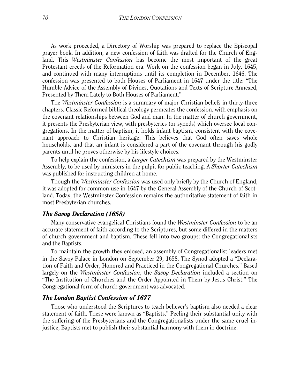As work proceeded, a Directory of Worship was prepared to replace the Episcopal prayer book. In addition, a new confession of faith was drafted for the Church of England. This *Westminster Confession* has become the most important of the great Protestant creeds of the Reformation era. Work on the confession began in July, 1645, and continued with many interruptions until its completion in December, 1646. The confession was presented to both Houses of Parliament in 1647 under the title: "The Humble Advice of the Assembly of Divines, Quotations and Texts of Scripture Annexed, Presented by Them Lately to Both Houses of Parliament."

The *Westminster Confession* is a summary of major Christian beliefs in thirty-three chapters. Classic Reformed biblical theology permeates the confession, with emphasis on the covenant relationships between God and man. In the matter of church government, it presents the Presbyterian view, with presbyteries (or synods) which oversee local congregations. In the matter of baptism, it holds infant baptism, consistent with the covenant approach to Christian heritage. This believes that God often saves whole households, and that an infant is considered a part of the covenant through his godly parents until he proves otherwise by his lifestyle choices.

To help explain the confession, a *Larger Catechism* was prepared by the Westminster Assembly, to be used by ministers in the pulpit for public teaching. A *Shorter Catechism* was published for instructing children at home.

Though the *Westminster Confession* was used only briefly by the Church of England, it was adopted for common use in 1647 by the General Assembly of the Church of Scotland. Today, the Westminster Confession remains the authoritative statement of faith in most Presbyterian churches.

#### *The Savoy Declaration (1658)*

Many conservative evangelical Christians found the *Westminster Confession* to be an accurate statement of faith according to the Scriptures, but some differed in the matters of church government and baptism. These fell into two groups: the Congregationalists and the Baptists.

To maintain the growth they enjoyed, an assembly of Congregationalist leaders met in the Savoy Palace in London on September 29, 1658. The Synod adopted a "Declaration of Faith and Order, Honored and Practiced in the Congregational Churches." Based largely on the *Westminster Confession*, the *Savoy Declaration* included a section on "The Institution of Churches and the Order Appointed in Them by Jesus Christ." The Congregational form of church government was advocated.

#### *The London Baptist Confession of 1677*

Those who understood the Scriptures to teach believer's baptism also needed a clear statement of faith. These were known as "Baptists." Feeling their substantial unity with the suffering of the Presbyterians and the Congregationalists under the same cruel injustice, Baptists met to publish their substantial harmony with them in doctrine.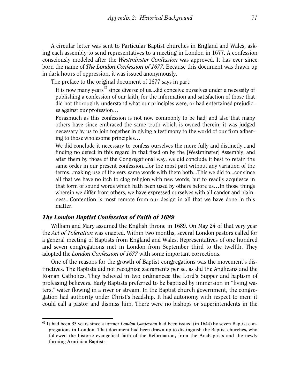A circular letter was sent to Particular Baptist churches in England and Wales, asking each assembly to send representatives to a meeting in London in 1677. A confession consciously modeled after the *Westminster Confession* was approved. It has ever since born the name of *The London Confession of 1677.* Because this document was drawn up in dark hours of oppression, it was issued anonymously.

The preface to the original document of 1677 says in part:

It is now many years $^{62}$  $^{62}$  $^{62}$  since diverse of us...did conceive ourselves under a necessity of publishing a confession of our faith, for the information and satisfaction of those that did not thoroughly understand what our principles were, or had entertained prejudices against our profession…

Forasmuch as this confession is not now commonly to be had; and also that many others have since embraced the same truth which is owned therein; it was judged necessary by us to join together in giving a testimony to the world of our firm adhering to those wholesome principles…

We did conclude it necessary to confess ourselves the more fully and distinctly...and finding no defect in this regard in that fixed on by the [Westminster] Assembly, and after them by those of the Congregational way, we did conclude it best to retain the same order in our present confession...for the most part without any variation of the terms...making use of the very same words with them both...This we did to...convince all that we have no itch to clog religion with new words, but to readily acquiesce in that form of sound words which hath been used by others before us…In those things wherein we differ from others, we have expressed ourselves with all candor and plainness...Contention is most remote from our design in all that we have done in this matter.

#### *The London Baptist Confession of Faith of 1689*

-

William and Mary assumed the English throne in 1689. On May 24 of that very year the *Act of Toleration* was enacted. Within two months, several London pastors called for a general meeting of Baptists from England and Wales. Representatives of one hundred and seven congregations met in London from September third to the twelfth. They adopted the *London Confession of 1677* with some important corrections.

One of the reasons for the growth of Baptist congregations was the movement's distinctives. The Baptists did not recognize sacraments per se, as did the Anglicans and the Roman Catholics. They believed in two ordinances: the Lord's Supper and baptism of professing believers. Early Baptists preferred to be baptized by immersion in "living waters," water flowing in a river or stream. In the Baptist church government, the congregation had authority under Christ's headship. It had autonomy with respect to men: it could call a pastor and dismiss him. There were no bishops or superintendents in the

<span id="page-71-0"></span><sup>62</sup> It had been 33 years since a former *London Confession* had been issued (in 1644) by seven Baptist congregations in London. That document had been drawn up to distinguish the Baptist churches, who followed the historic evangelical faith of the Reformation, from the Anabaptists and the newly forming Arminian Baptists.